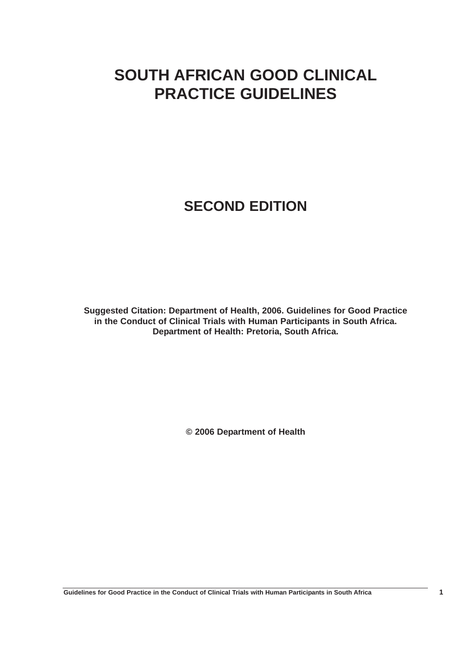# **SOUTH AFRICAN GOOD CLINICAL PRACTICE GUIDELINES**

**SECOND EDITION** 

**Suggested Citation: Department of Health, 2006. Guidelines for Good Practice in the Conduct of Clinical Trials with Human Participants in South Africa. Department of Health: Pretoria, South Africa.**

**© 2006 Department of Health**

**Guidelines for Good Practice in the Conduct of Clinical Trials with Human Participants in South Africa 1**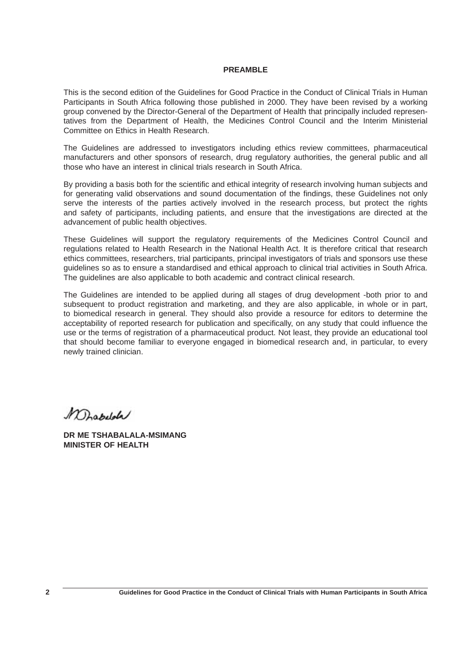#### **PREAMBLE**

This is the second edition of the Guidelines for Good Practice in the Conduct of Clinical Trials in Human Participants in South Africa following those published in 2000. They have been revised by a working group convened by the Director-General of the Department of Health that principally included representatives from the Department of Health, the Medicines Control Council and the Interim Ministerial Committee on Ethics in Health Research.

The Guidelines are addressed to investigators including ethics review committees, pharmaceutical manufacturers and other sponsors of research, drug regulatory authorities, the general public and all those who have an interest in clinical trials research in South Africa.

By providing a basis both for the scientific and ethical integrity of research involving human subjects and for generating valid observations and sound documentation of the findings, these Guidelines not only serve the interests of the parties actively involved in the research process, but protect the rights and safety of participants, including patients, and ensure that the investigations are directed at the advancement of public health objectives.

These Guidelines will support the regulatory requirements of the Medicines Control Council and regulations related to Health Research in the National Health Act. It is therefore critical that research ethics committees, researchers, trial participants, principal investigators of trials and sponsors use these guidelines so as to ensure a standardised and ethical approach to clinical trial activities in South Africa. The guidelines are also applicable to both academic and contract clinical research.

The Guidelines are intended to be applied during all stages of drug development -both prior to and subsequent to product registration and marketing, and they are also applicable, in whole or in part, to biomedical research in general. They should also provide a resource for editors to determine the acceptability of reported research for publication and specifically, on any study that could influence the use or the terms of registration of a pharmaceutical product. Not least, they provide an educational tool that should become familiar to everyone engaged in biomedical research and, in particular, to every newly trained clinician.

Mosbelda

**DR ME TSHABALALA-MSIMANG MINISTER OF HEALTH**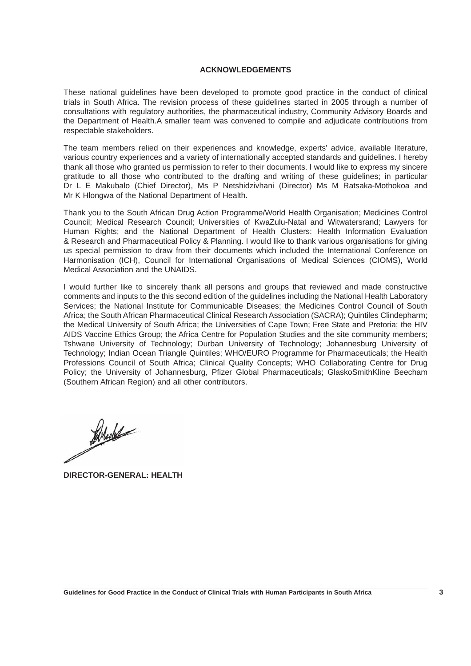#### **ACKNOWLEDGEMENTS**

These national guidelines have been developed to promote good practice in the conduct of clinical trials in South Africa. The revision process of these guidelines started in 2005 through a number of consultations with regulatory authorities, the pharmaceutical industry, Community Advisory Boards and the Department of Health.A smaller team was convened to compile and adjudicate contributions from respectable stakeholders.

The team members relied on their experiences and knowledge, experts' advice, available literature, various country experiences and a variety of internationally accepted standards and guidelines. I hereby thank all those who granted us permission to refer to their documents. I would like to express my sincere gratitude to all those who contributed to the drafting and writing of these guidelines; in particular Dr L E Makubalo (Chief Director), Ms P Netshidzivhani (Director) Ms M Ratsaka-Mothokoa and Mr K Hlongwa of the National Department of Health.

Thank you to the South African Drug Action Programme/World Health Organisation; Medicines Control Council; Medical Research Council; Universities of KwaZulu-Natal and Witwatersrand; Lawyers for Human Rights; and the National Department of Health Clusters: Health Information Evaluation & Research and Pharmaceutical Policy & Planning. I would like to thank various organisations for giving us special permission to draw from their documents which included the International Conference on Harmonisation (ICH), Council for International Organisations of Medical Sciences (CIOMS), World Medical Association and the UNAIDS.

I would further like to sincerely thank all persons and groups that reviewed and made constructive comments and inputs to the this second edition of the guidelines including the National Health Laboratory Services; the National Institute for Communicable Diseases; the Medicines Control Council of South Africa; the South African Pharmaceutical Clinical Research Association (SACRA); Quintiles Clindepharm; the Medical University of South Africa; the Universities of Cape Town; Free State and Pretoria; the HIV AIDS Vaccine Ethics Group; the Africa Centre for Population Studies and the site community members; Tshwane University of Technology; Durban University of Technology; Johannesburg University of Technology; Indian Ocean Triangle Quintiles; WHO/EURO Programme for Pharmaceuticals; the Health Professions Council of South Africa; Clinical Quality Concepts; WHO Collaborating Centre for Drug Policy; the University of Johannesburg, Pfizer Global Pharmaceuticals; GlaskoSmithKline Beecham (Southern African Region) and all other contributors.

Charles

**DIRECTOR-GENERAL: HEALTH**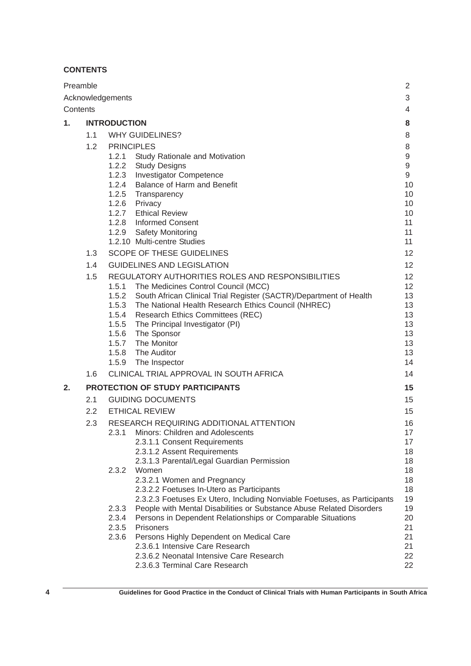# **CONTENTS**

|                  | Preamble            |       |                                                                                                                       |          |  |
|------------------|---------------------|-------|-----------------------------------------------------------------------------------------------------------------------|----------|--|
| Acknowledgements |                     |       |                                                                                                                       |          |  |
| Contents         |                     |       |                                                                                                                       |          |  |
| $\mathbf 1$ .    | <b>INTRODUCTION</b> |       |                                                                                                                       |          |  |
|                  | 1.1                 |       | <b>WHY GUIDELINES?</b>                                                                                                | 8        |  |
|                  | 1.2                 |       | <b>PRINCIPLES</b>                                                                                                     | 8        |  |
|                  |                     | 1.2.1 | Study Rationale and Motivation                                                                                        | 9        |  |
|                  |                     |       | 1.2.2 Study Designs                                                                                                   | 9        |  |
|                  |                     |       | 1.2.3 Investigator Competence                                                                                         | 9        |  |
|                  |                     | 1.2.4 | Balance of Harm and Benefit                                                                                           | 10       |  |
|                  |                     |       | 1.2.5 Transparency                                                                                                    | 10       |  |
|                  |                     |       | 1.2.6 Privacy                                                                                                         | 10       |  |
|                  |                     |       | 1.2.7 Ethical Review                                                                                                  | 10       |  |
|                  |                     |       | 1.2.8 Informed Consent                                                                                                | 11       |  |
|                  |                     |       | 1.2.9 Safety Monitoring                                                                                               | 11       |  |
|                  |                     |       | 1.2.10 Multi-centre Studies                                                                                           | 11       |  |
|                  | 1.3                 |       | SCOPE OF THESE GUIDELINES                                                                                             | 12       |  |
|                  | 1.4                 |       | <b>GUIDELINES AND LEGISLATION</b>                                                                                     | 12       |  |
|                  | 1.5                 |       | REGULATORY AUTHORITIES ROLES AND RESPONSIBILITIES                                                                     | 12       |  |
|                  |                     |       | 1.5.1 The Medicines Control Council (MCC)                                                                             | 12       |  |
|                  |                     |       | 1.5.2 South African Clinical Trial Register (SACTR)/Department of Health                                              | 13       |  |
|                  |                     |       | 1.5.3 The National Health Research Ethics Council (NHREC)                                                             | 13       |  |
|                  |                     |       | 1.5.4 Research Ethics Committees (REC)                                                                                | 13       |  |
|                  |                     |       | 1.5.5 The Principal Investigator (PI)                                                                                 | 13       |  |
|                  |                     |       | 1.5.6 The Sponsor                                                                                                     | 13       |  |
|                  |                     |       | 1.5.7 The Monitor<br>1.5.8 The Auditor                                                                                | 13<br>13 |  |
|                  |                     |       | 1.5.9 The Inspector                                                                                                   | 14       |  |
|                  |                     |       |                                                                                                                       |          |  |
|                  | 1.6                 |       | CLINICAL TRIAL APPROVAL IN SOUTH AFRICA                                                                               | 14       |  |
| 2.               |                     |       | <b>PROTECTION OF STUDY PARTICIPANTS</b>                                                                               | 15       |  |
|                  | 2.1                 |       | <b>GUIDING DOCUMENTS</b>                                                                                              | 15       |  |
|                  | 2.2                 |       | <b>ETHICAL REVIEW</b>                                                                                                 | 15       |  |
|                  | 2.3                 |       | RESEARCH REQUIRING ADDITIONAL ATTENTION                                                                               | 16       |  |
|                  |                     | 2.3.1 | Minors: Children and Adolescents                                                                                      | 17       |  |
|                  |                     |       | 2.3.1.1 Consent Requirements                                                                                          | 17       |  |
|                  |                     |       | 2.3.1.2 Assent Requirements                                                                                           | 18       |  |
|                  |                     |       | 2.3.1.3 Parental/Legal Guardian Permission                                                                            | 18       |  |
|                  |                     | 2.3.2 | Women                                                                                                                 | 18       |  |
|                  |                     |       | 2.3.2.1 Women and Pregnancy                                                                                           | 18       |  |
|                  |                     |       | 2.3.2.2 Foetuses In-Utero as Participants<br>2.3.2.3 Foetuses Ex Utero, Including Nonviable Foetuses, as Participants | 18<br>19 |  |
|                  |                     | 2.3.3 | People with Mental Disabilities or Substance Abuse Related Disorders                                                  | 19       |  |
|                  |                     | 2.3.4 | Persons in Dependent Relationships or Comparable Situations                                                           | 20       |  |
|                  |                     | 2.3.5 | Prisoners                                                                                                             | 21       |  |
|                  |                     | 2.3.6 | Persons Highly Dependent on Medical Care                                                                              | 21       |  |
|                  |                     |       | 2.3.6.1 Intensive Care Research                                                                                       | 21       |  |
|                  |                     |       | 2.3.6.2 Neonatal Intensive Care Research                                                                              | 22       |  |
|                  |                     |       | 2.3.6.3 Terminal Care Research                                                                                        | 22       |  |
|                  |                     |       |                                                                                                                       |          |  |

**4 Guidelines for Good Practice in the Conduct of Clinical Trials with Human Participants in South Africa**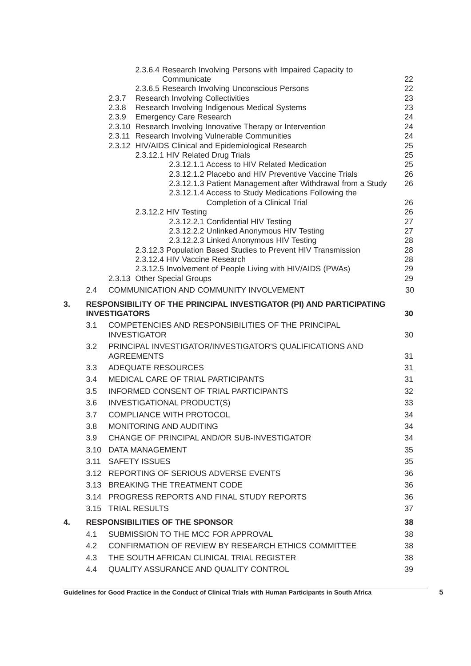|    |                  | 2.3.6.4 Research Involving Persons with Impaired Capacity to                                                        |          |
|----|------------------|---------------------------------------------------------------------------------------------------------------------|----------|
|    |                  | Communicate                                                                                                         | 22       |
|    |                  | 2.3.6.5 Research Involving Unconscious Persons                                                                      | 22       |
|    |                  | <b>Research Involving Collectivities</b><br>2.3.7                                                                   | 23       |
|    |                  | Research Involving Indigenous Medical Systems<br>2.3.8                                                              | 23<br>24 |
|    |                  | <b>Emergency Care Research</b><br>2.3.9<br>2.3.10 Research Involving Innovative Therapy or Intervention             | 24       |
|    |                  | 2.3.11 Research Involving Vulnerable Communities                                                                    | 24       |
|    |                  | 2.3.12 HIV/AIDS Clinical and Epidemiological Research                                                               | 25       |
|    |                  | 2.3.12.1 HIV Related Drug Trials                                                                                    | 25       |
|    |                  | 2.3.12.1.1 Access to HIV Related Medication                                                                         | 25       |
|    |                  | 2.3.12.1.2 Placebo and HIV Preventive Vaccine Trials                                                                | 26       |
|    |                  | 2.3.12.1.3 Patient Management after Withdrawal from a Study<br>2.3.12.1.4 Access to Study Medications Following the | 26       |
|    |                  | Completion of a Clinical Trial                                                                                      | 26       |
|    |                  | 2.3.12.2 HIV Testing                                                                                                | 26       |
|    |                  | 2.3.12.2.1 Confidential HIV Testing<br>2.3.12.2.2 Unlinked Anonymous HIV Testing                                    | 27<br>27 |
|    |                  | 2.3.12.2.3 Linked Anonymous HIV Testing                                                                             | 28       |
|    |                  | 2.3.12.3 Population Based Studies to Prevent HIV Transmission                                                       | 28       |
|    |                  | 2.3.12.4 HIV Vaccine Research                                                                                       | 28       |
|    |                  | 2.3.12.5 Involvement of People Living with HIV/AIDS (PWAs)                                                          | 29       |
|    |                  | 2.3.13 Other Special Groups                                                                                         | 29       |
|    | 2.4              | COMMUNICATION AND COMMUNITY INVOLVEMENT                                                                             | 30       |
| 3. |                  | <b>RESPONSIBILITY OF THE PRINCIPAL INVESTIGATOR (PI) AND PARTICIPATING</b>                                          |          |
|    |                  | <b>INVESTIGATORS</b>                                                                                                | 30       |
|    | 3.1              | COMPETENCIES AND RESPONSIBILITIES OF THE PRINCIPAL<br><b>INVESTIGATOR</b>                                           | 30       |
|    | 3.2              | PRINCIPAL INVESTIGATOR/INVESTIGATOR'S QUALIFICATIONS AND                                                            |          |
|    |                  | <b>AGREEMENTS</b>                                                                                                   | 31       |
|    | 3.3              | ADEQUATE RESOURCES                                                                                                  | 31       |
|    | 3.4              | MEDICAL CARE OF TRIAL PARTICIPANTS                                                                                  | 31       |
|    | 3.5              | <b>INFORMED CONSENT OF TRIAL PARTICIPANTS</b>                                                                       | 32       |
|    | 3.6              | INVESTIGATIONAL PRODUCT(S)                                                                                          | 33       |
|    | 3.7              | <b>COMPLIANCE WITH PROTOCOL</b>                                                                                     | 34       |
|    | 3.8 <sub>1</sub> | <b>MONITORING AND AUDITING</b>                                                                                      | 34       |
|    | 3.9              | CHANGE OF PRINCIPAL AND/OR SUB-INVESTIGATOR                                                                         | 34       |
|    |                  | 3.10 DATA MANAGEMENT                                                                                                | 35       |
|    |                  | 3.11 SAFETY ISSUES                                                                                                  | 35       |
|    |                  | 3.12 REPORTING OF SERIOUS ADVERSE EVENTS                                                                            | 36       |
|    |                  | 3.13 BREAKING THE TREATMENT CODE                                                                                    | 36       |
|    |                  | 3.14 PROGRESS REPORTS AND FINAL STUDY REPORTS                                                                       | 36       |
|    |                  | 3.15 TRIAL RESULTS                                                                                                  | 37       |
|    |                  |                                                                                                                     |          |
| 4. |                  | <b>RESPONSIBILITIES OF THE SPONSOR</b>                                                                              | 38       |
|    | 4.1              | SUBMISSION TO THE MCC FOR APPROVAL                                                                                  | 38       |
|    | 4.2              | CONFIRMATION OF REVIEW BY RESEARCH ETHICS COMMITTEE                                                                 | 38       |
|    | 4.3              | THE SOUTH AFRICAN CLINICAL TRIAL REGISTER                                                                           | 38       |
|    | 4.4              | QUALITY ASSURANCE AND QUALITY CONTROL                                                                               | 39       |

**Guidelines for Good Practice in the Conduct of Clinical Trials with Human Participants in South Africa 5**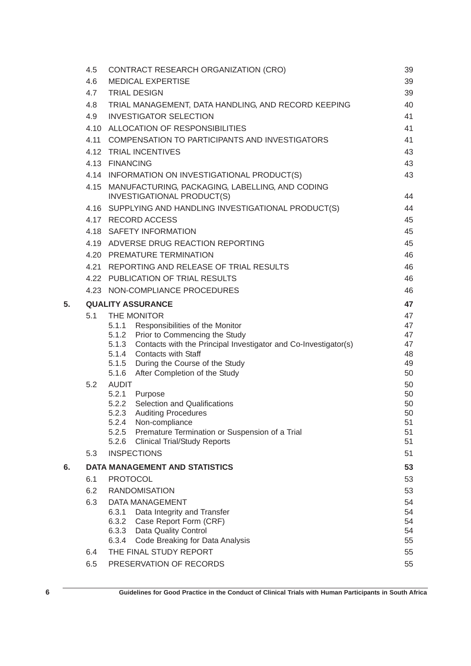|    | 4.5        | CONTRACT RESEARCH ORGANIZATION (CRO)                                                                         | 39       |  |
|----|------------|--------------------------------------------------------------------------------------------------------------|----------|--|
|    | 4.6        | <b>MEDICAL EXPERTISE</b>                                                                                     | 39       |  |
|    | 4.7        | <b>TRIAL DESIGN</b>                                                                                          | 39       |  |
|    | 4.8        | TRIAL MANAGEMENT, DATA HANDLING, AND RECORD KEEPING                                                          | 40       |  |
|    | 4.9        | <b>INVESTIGATOR SELECTION</b>                                                                                | 41       |  |
|    |            | 4.10 ALLOCATION OF RESPONSIBILITIES                                                                          | 41       |  |
|    |            | 4.11 COMPENSATION TO PARTICIPANTS AND INVESTIGATORS                                                          | 41       |  |
|    |            | 4.12 TRIAL INCENTIVES                                                                                        | 43       |  |
|    |            | 4.13 FINANCING                                                                                               | 43       |  |
|    |            | 4.14 INFORMATION ON INVESTIGATIONAL PRODUCT(S)                                                               | 43       |  |
|    |            | 4.15 MANUFACTURING, PACKAGING, LABELLING, AND CODING<br>INVESTIGATIONAL PRODUCT(S)                           | 44       |  |
|    |            | 4.16 SUPPLYING AND HANDLING INVESTIGATIONAL PRODUCT(S)                                                       | 44       |  |
|    |            | 4.17 RECORD ACCESS                                                                                           | 45       |  |
|    |            | 4.18 SAFETY INFORMATION                                                                                      | 45       |  |
|    |            | 4.19 ADVERSE DRUG REACTION REPORTING                                                                         | 45       |  |
|    |            | 4.20 PREMATURE TERMINATION                                                                                   | 46       |  |
|    |            | 4.21 REPORTING AND RELEASE OF TRIAL RESULTS                                                                  | 46       |  |
|    |            | 4.22 PUBLICATION OF TRIAL RESULTS                                                                            | 46       |  |
|    |            | 4.23 NON-COMPLIANCE PROCEDURES                                                                               | 46       |  |
| 5. |            | <b>QUALITY ASSURANCE</b>                                                                                     |          |  |
|    | 5.1        | THE MONITOR                                                                                                  | 47       |  |
|    |            | 5.1.1 Responsibilities of the Monitor                                                                        | 47       |  |
|    |            | 5.1.2 Prior to Commencing the Study<br>5.1.3 Contacts with the Principal Investigator and Co-Investigator(s) | 47<br>47 |  |
|    |            | 5.1.4 Contacts with Staff                                                                                    | 48       |  |
|    |            | 5.1.5 During the Course of the Study                                                                         | 49       |  |
|    |            | 5.1.6 After Completion of the Study                                                                          | 50       |  |
|    | 5.2        | <b>AUDIT</b>                                                                                                 | 50       |  |
|    |            | 5.2.1 Purpose<br>5.2.2 Selection and Qualifications                                                          | 50<br>50 |  |
|    |            | 5.2.3 Auditing Procedures                                                                                    | 50       |  |
|    |            | 5.2.4<br>Non-compliance                                                                                      | 51       |  |
|    |            | 5.2.5<br>Premature Termination or Suspension of a Trial                                                      | 51       |  |
|    |            | 5.2.6<br><b>Clinical Trial/Study Reports</b>                                                                 | 51       |  |
|    | 5.3        | <b>INSPECTIONS</b>                                                                                           | 51       |  |
| 6. |            | <b>DATA MANAGEMENT AND STATISTICS</b>                                                                        | 53       |  |
|    | 6.1<br>6.2 | <b>PROTOCOL</b>                                                                                              | 53       |  |
|    |            | <b>RANDOMISATION</b>                                                                                         | 53       |  |
|    | 6.3        | DATA MANAGEMENT<br>6.3.1<br>Data Integrity and Transfer                                                      | 54<br>54 |  |
|    |            | 6.3.2 Case Report Form (CRF)                                                                                 | 54       |  |
|    |            | 6.3.3 Data Quality Control                                                                                   | 54       |  |
|    |            | 6.3.4<br>Code Breaking for Data Analysis                                                                     | 55       |  |
|    | 6.4        | THE FINAL STUDY REPORT                                                                                       | 55       |  |
|    | 6.5        | PRESERVATION OF RECORDS                                                                                      | 55       |  |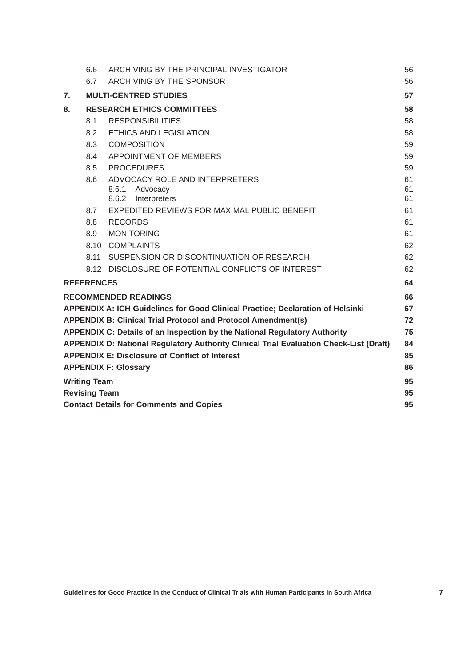|                                                | 6.6                               | ARCHIVING BY THE PRINCIPAL INVESTIGATOR                                                | 56 |  |  |
|------------------------------------------------|-----------------------------------|----------------------------------------------------------------------------------------|----|--|--|
|                                                | 6.7                               | ARCHIVING BY THE SPONSOR                                                               | 56 |  |  |
| 7.                                             |                                   | <b>MULTI-CENTRED STUDIES</b>                                                           | 57 |  |  |
| 8.                                             | <b>RESEARCH ETHICS COMMITTEES</b> |                                                                                        |    |  |  |
|                                                | 8.1                               | <b>RESPONSIBILITIES</b>                                                                |    |  |  |
|                                                | 8.2                               | <b>ETHICS AND LEGISLATION</b>                                                          | 58 |  |  |
|                                                | 8.3                               | <b>COMPOSITION</b>                                                                     |    |  |  |
|                                                | 8.4<br>APPOINTMENT OF MEMBERS     |                                                                                        |    |  |  |
|                                                | 8.5<br><b>PROCEDURES</b>          |                                                                                        |    |  |  |
|                                                | 8.6                               | ADVOCACY ROLE AND INTERPRETERS                                                         | 61 |  |  |
|                                                |                                   | 8.6.1 Advocacy                                                                         | 61 |  |  |
|                                                |                                   | 8.6.2 Interpreters                                                                     | 61 |  |  |
|                                                | 8.7                               | EXPEDITED REVIEWS FOR MAXIMAL PUBLIC BENEFIT                                           | 61 |  |  |
|                                                | 8.8                               | <b>RECORDS</b><br><b>MONITORING</b>                                                    | 61 |  |  |
|                                                | 8.9                               |                                                                                        | 61 |  |  |
|                                                |                                   | 8.10 COMPLAINTS                                                                        | 62 |  |  |
|                                                | 8.11                              | SUSPENSION OR DISCONTINUATION OF RESEARCH                                              | 62 |  |  |
|                                                |                                   | 8.12 DISCLOSURE OF POTENTIAL CONFLICTS OF INTEREST                                     | 62 |  |  |
|                                                | <b>REFERENCES</b>                 |                                                                                        | 64 |  |  |
|                                                |                                   | <b>RECOMMENDED READINGS</b>                                                            | 66 |  |  |
|                                                |                                   | APPENDIX A: ICH Guidelines for Good Clinical Practice; Declaration of Helsinki         | 67 |  |  |
|                                                |                                   | <b>APPENDIX B: Clinical Trial Protocol and Protocol Amendment(s)</b>                   | 72 |  |  |
|                                                |                                   | APPENDIX C: Details of an Inspection by the National Regulatory Authority              | 75 |  |  |
|                                                |                                   | APPENDIX D: National Regulatory Authority Clinical Trial Evaluation Check-List (Draft) | 84 |  |  |
|                                                |                                   | <b>APPENDIX E: Disclosure of Conflict of Interest</b>                                  | 85 |  |  |
|                                                | <b>APPENDIX F: Glossary</b>       |                                                                                        |    |  |  |
|                                                | <b>Writing Team</b>               |                                                                                        |    |  |  |
| <b>Revising Team</b>                           |                                   |                                                                                        |    |  |  |
| <b>Contact Details for Comments and Copies</b> |                                   |                                                                                        |    |  |  |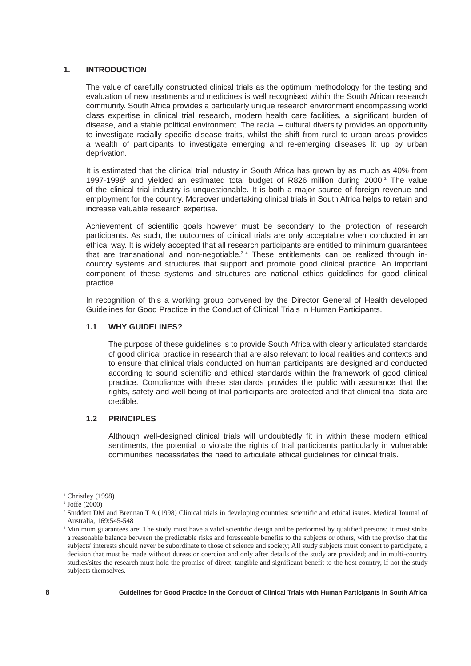# **1. INTRODUCTION**

The value of carefully constructed clinical trials as the optimum methodology for the testing and evaluation of new treatments and medicines is well recognised within the South African research community. South Africa provides a particularly unique research environment encompassing world class expertise in clinical trial research, modern health care facilities, a significant burden of disease, and a stable political environment. The racial – cultural diversity provides an opportunity to investigate racially specific disease traits, whilst the shift from rural to urban areas provides a wealth of participants to investigate emerging and re-emerging diseases lit up by urban deprivation.

It is estimated that the clinical trial industry in South Africa has grown by as much as 40% from 1997-1998<sup>1</sup> and yielded an estimated total budget of R826 million during 2000.<sup>2</sup> The value of the clinical trial industry is unquestionable. It is both a major source of foreign revenue and employment for the country. Moreover undertaking clinical trials in South Africa helps to retain and increase valuable research expertise.

Achievement of scientific goals however must be secondary to the protection of research participants. As such, the outcomes of clinical trials are only acceptable when conducted in an ethical way. It is widely accepted that all research participants are entitled to minimum guarantees that are transnational and non-negotiable.<sup>34</sup> These entitlements can be realized through incountry systems and structures that support and promote good clinical practice. An important component of these systems and structures are national ethics guidelines for good clinical practice.

In recognition of this a working group convened by the Director General of Health developed Guidelines for Good Practice in the Conduct of Clinical Trials in Human Participants.

# **1.1 WHY GUIDELINES?**

The purpose of these guidelines is to provide South Africa with clearly articulated standards of good clinical practice in research that are also relevant to local realities and contexts and to ensure that clinical trials conducted on human participants are designed and conducted according to sound scientific and ethical standards within the framework of good clinical practice. Compliance with these standards provides the public with assurance that the rights, safety and well being of trial participants are protected and that clinical trial data are credible.

# **1.2 PRINCIPLES**

Although well-designed clinical trials will undoubtedly fit in within these modern ethical sentiments, the potential to violate the rights of trial participants particularly in vulnerable communities necessitates the need to articulate ethical guidelines for clinical trials.

<sup>&</sup>lt;sup>1</sup> Christley (1998)

<sup>2</sup> Joffe (2000)

<sup>&</sup>lt;sup>3</sup> Studdert DM and Brennan T A (1998) Clinical trials in developing countries: scientific and ethical issues. Medical Journal of Australia, 169:545-548

<sup>4</sup> Minimum guarantees are: The study must have a valid scientific design and be performed by qualified persons; It must strike a reasonable balance between the predictable risks and foreseeable benefits to the subjects or others, with the proviso that the subjects' interests should never be subordinate to those of science and society; All study subjects must consent to participate, a decision that must be made without duress or coercion and only after details of the study are provided; and in multi-country studies/sites the research must hold the promise of direct, tangible and significant benefit to the host country, if not the study subjects themselves.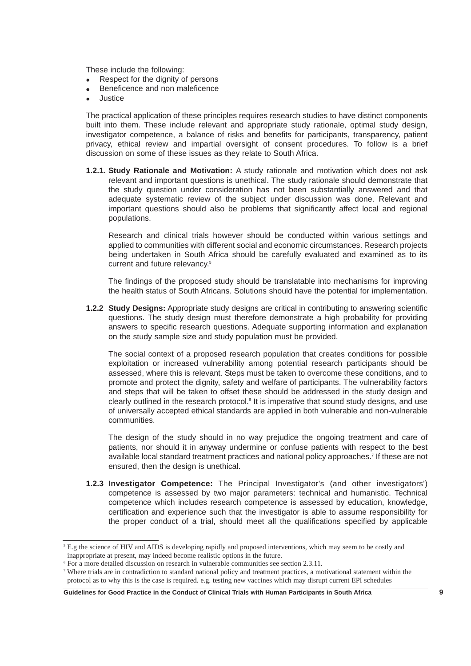These include the following:

- Respect for the dignity of persons
- Beneficence and non maleficence
- Justice

The practical application of these principles requires research studies to have distinct components built into them. These include relevant and appropriate study rationale, optimal study design, investigator competence, a balance of risks and benefits for participants, transparency, patient privacy, ethical review and impartial oversight of consent procedures. To follow is a brief discussion on some of these issues as they relate to South Africa.

**1.2.1. Study Rationale and Motivation:** A study rationale and motivation which does not ask relevant and important questions is unethical. The study rationale should demonstrate that the study question under consideration has not been substantially answered and that adequate systematic review of the subject under discussion was done. Relevant and important questions should also be problems that significantly affect local and regional populations.

Research and clinical trials however should be conducted within various settings and applied to communities with different social and economic circumstances. Research projects being undertaken in South Africa should be carefully evaluated and examined as to its current and future relevancy.<sup>5</sup>

The findings of the proposed study should be translatable into mechanisms for improving the health status of South Africans. Solutions should have the potential for implementation.

**1.2.2 Study Designs:** Appropriate study designs are critical in contributing to answering scientific questions. The study design must therefore demonstrate a high probability for providing answers to specific research questions. Adequate supporting information and explanation on the study sample size and study population must be provided.

The social context of a proposed research population that creates conditions for possible exploitation or increased vulnerability among potential research participants should be assessed, where this is relevant. Steps must be taken to overcome these conditions, and to promote and protect the dignity, safety and welfare of participants. The vulnerability factors and steps that will be taken to offset these should be addressed in the study design and clearly outlined in the research protocol.<sup>6</sup> It is imperative that sound study designs, and use of universally accepted ethical standards are applied in both vulnerable and non-vulnerable communities.

The design of the study should in no way prejudice the ongoing treatment and care of patients, nor should it in anyway undermine or confuse patients with respect to the best available local standard treatment practices and national policy approaches.<sup>7</sup> If these are not ensured, then the design is unethical.

**1.2.3 Investigator Competence:** The Principal Investigator's (and other investigators') competence is assessed by two major parameters: technical and humanistic. Technical competence which includes research competence is assessed by education, knowledge, certification and experience such that the investigator is able to assume responsibility for the proper conduct of a trial, should meet all the qualifications specified by applicable

**Guidelines for Good Practice in the Conduct of Clinical Trials with Human Participants in South Africa 9**

<sup>5</sup> E.g the science of HIV and AIDS is developing rapidly and proposed interventions, which may seem to be costly and inappropriate at present, may indeed become realistic options in the future.

<sup>6</sup> For a more detailed discussion on research in vulnerable communities see section 2.3.11.

<sup>7</sup> Where trials are in contradiction to standard national policy and treatment practices, a motivational statement within the protocol as to why this is the case is required. e.g. testing new vaccines which may disrupt current EPI schedules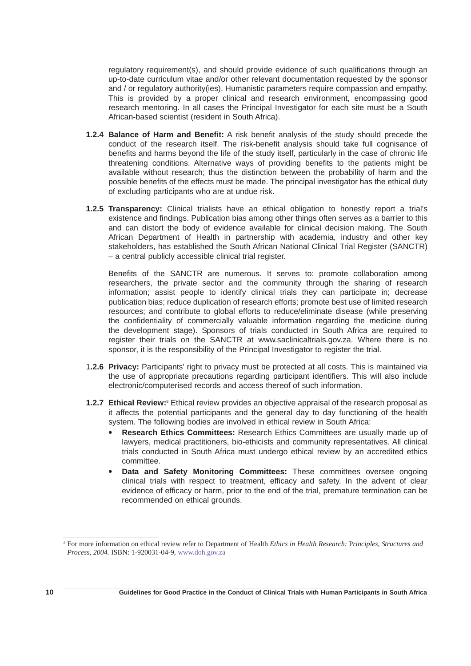regulatory requirement(s), and should provide evidence of such qualifications through an up-to-date curriculum vitae and/or other relevant documentation requested by the sponsor and / or regulatory authority(ies). Humanistic parameters require compassion and empathy. This is provided by a proper clinical and research environment, encompassing good research mentoring. In all cases the Principal Investigator for each site must be a South African-based scientist (resident in South Africa).

- **1.2.4 Balance of Harm and Benefit:** A risk benefit analysis of the study should precede the conduct of the research itself. The risk-benefit analysis should take full cognisance of benefits and harms beyond the life of the study itself, particularly in the case of chronic life threatening conditions. Alternative ways of providing benefits to the patients might be available without research; thus the distinction between the probability of harm and the possible benefits of the effects must be made. The principal investigator has the ethical duty of excluding participants who are at undue risk.
- **1.2.5 Transparency:** Clinical trialists have an ethical obligation to honestly report a trial's existence and findings. Publication bias among other things often serves as a barrier to this and can distort the body of evidence available for clinical decision making. The South African Department of Health in partnership with academia, industry and other key stakeholders, has established the South African National Clinical Trial Register (SANCTR) – a central publicly accessible clinical trial register.

Benefits of the SANCTR are numerous. It serves to: promote collaboration among researchers, the private sector and the community through the sharing of research information; assist people to identify clinical trials they can participate in; decrease publication bias; reduce duplication of research efforts; promote best use of limited research resources; and contribute to global efforts to reduce/eliminate disease (while preserving the confidentiality of commercially valuable information regarding the medicine during the development stage). Sponsors of trials conducted in South Africa are required to register their trials on the SANCTR at www.saclinicaltrials.gov.za. Where there is no sponsor, it is the responsibility of the Principal Investigator to register the trial.

- 1**.2.6 Privacy:** Participants' right to privacy must be protected at all costs. This is maintained via the use of appropriate precautions regarding participant identifiers. This will also include electronic/computerised records and access thereof of such information.
- **1.2.7 Ethical Review:**<sup>8</sup> Ethical review provides an objective appraisal of the research proposal as it affects the potential participants and the general day to day functioning of the health system. The following bodies are involved in ethical review in South Africa:
	- **Research Ethics Committees:** Research Ethics Committees are usually made up of lawyers, medical practitioners, bio-ethicists and community representatives. All clinical trials conducted in South Africa must undergo ethical review by an accredited ethics committee.
	- **Data and Safety Monitoring Committees:** These committees oversee ongoing clinical trials with respect to treatment, efficacy and safety. In the advent of clear evidence of efficacy or harm, prior to the end of the trial, premature termination can be recommended on ethical grounds.

<sup>8</sup> For more information on ethical review refer to Department of Health *Ethics in Health Research:* P*rinciples, Structures and Process, 2004.* ISBN: 1-920031-04-9, www.doh.gov.za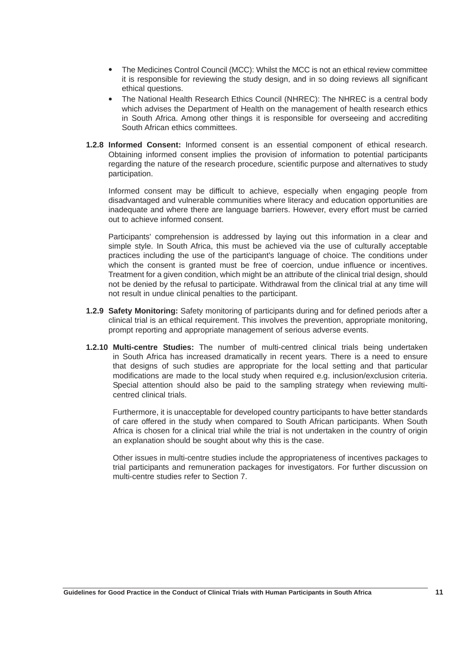- The Medicines Control Council (MCC): Whilst the MCC is not an ethical review committee it is responsible for reviewing the study design, and in so doing reviews all significant ethical questions.
- The National Health Research Ethics Council (NHREC): The NHREC is a central body which advises the Department of Health on the management of health research ethics in South Africa. Among other things it is responsible for overseeing and accrediting South African ethics committees.
- **1.2.8 Informed Consent:** Informed consent is an essential component of ethical research. Obtaining informed consent implies the provision of information to potential participants regarding the nature of the research procedure, scientific purpose and alternatives to study participation.

Informed consent may be difficult to achieve, especially when engaging people from disadvantaged and vulnerable communities where literacy and education opportunities are inadequate and where there are language barriers. However, every effort must be carried out to achieve informed consent.

Participants' comprehension is addressed by laying out this information in a clear and simple style. In South Africa, this must be achieved via the use of culturally acceptable practices including the use of the participant's language of choice. The conditions under which the consent is granted must be free of coercion, undue influence or incentives. Treatment for a given condition, which might be an attribute of the clinical trial design, should not be denied by the refusal to participate. Withdrawal from the clinical trial at any time will not result in undue clinical penalties to the participant.

- **1.2.9 Safety Monitoring:** Safety monitoring of participants during and for defined periods after a clinical trial is an ethical requirement. This involves the prevention, appropriate monitoring, prompt reporting and appropriate management of serious adverse events.
- **1.2.10 Multi-centre Studies:** The number of multi-centred clinical trials being undertaken in South Africa has increased dramatically in recent years. There is a need to ensure that designs of such studies are appropriate for the local setting and that particular modifications are made to the local study when required e.g. inclusion/exclusion criteria. Special attention should also be paid to the sampling strategy when reviewing multicentred clinical trials.

Furthermore, it is unacceptable for developed country participants to have better standards of care offered in the study when compared to South African participants. When South Africa is chosen for a clinical trial while the trial is not undertaken in the country of origin an explanation should be sought about why this is the case.

Other issues in multi-centre studies include the appropriateness of incentives packages to trial participants and remuneration packages for investigators. For further discussion on multi-centre studies refer to Section 7.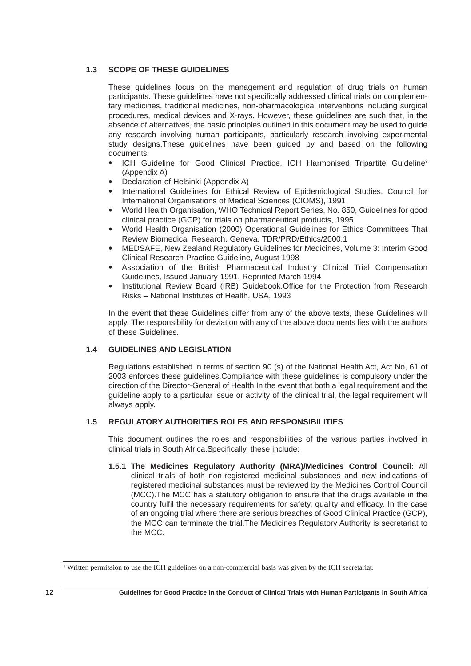# **1.3 SCOPE OF THESE GUIDELINES**

These guidelines focus on the management and regulation of drug trials on human participants. These guidelines have not specifically addressed clinical trials on complementary medicines, traditional medicines, non-pharmacological interventions including surgical procedures, medical devices and X-rays. However, these guidelines are such that, in the absence of alternatives, the basic principles outlined in this document may be used to guide any research involving human participants, particularly research involving experimental study designs.These guidelines have been guided by and based on the following documents:

- ICH Guideline for Good Clinical Practice, ICH Harmonised Tripartite Guideline<sup>9</sup> (Appendix A)
- Declaration of Helsinki (Appendix A)
- International Guidelines for Ethical Review of Epidemiological Studies, Council for International Organisations of Medical Sciences (CIOMS), 1991
- World Health Organisation, WHO Technical Report Series, No. 850, Guidelines for good clinical practice (GCP) for trials on pharmaceutical products, 1995
- World Health Organisation (2000) Operational Guidelines for Ethics Committees That Review Biomedical Research. Geneva. TDR/PRD/Ethics/2000.1
- MEDSAFE, New Zealand Regulatory Guidelines for Medicines, Volume 3: Interim Good Clinical Research Practice Guideline, August 1998
- Association of the British Pharmaceutical Industry Clinical Trial Compensation Guidelines, Issued January 1991, Reprinted March 1994
- Institutional Review Board (IRB) Guidebook.Office for the Protection from Research Risks – National Institutes of Health, USA, 1993

In the event that these Guidelines differ from any of the above texts, these Guidelines will apply. The responsibility for deviation with any of the above documents lies with the authors of these Guidelines.

# **1.4 GUIDELINES AND LEGISLATION**

Regulations established in terms of section 90 (s) of the National Health Act, Act No, 61 of 2003 enforces these guidelines.Compliance with these guidelines is compulsory under the direction of the Director-General of Health.In the event that both a legal requirement and the guideline apply to a particular issue or activity of the clinical trial, the legal requirement will always apply.

# **1.5 REGULATORY AUTHORITIES ROLES AND RESPONSIBILITIES**

This document outlines the roles and responsibilities of the various parties involved in clinical trials in South Africa.Specifically, these include:

**1.5.1 The Medicines Regulatory Authority (MRA)/Medicines Control Council:** All clinical trials of both non-registered medicinal substances and new indications of registered medicinal substances must be reviewed by the Medicines Control Council (MCC).The MCC has a statutory obligation to ensure that the drugs available in the country fulfil the necessary requirements for safety, quality and efficacy. In the case of an ongoing trial where there are serious breaches of Good Clinical Practice (GCP), the MCC can terminate the trial.The Medicines Regulatory Authority is secretariat to the MCC.

<sup>9</sup> Written permission to use the ICH guidelines on a non-commercial basis was given by the ICH secretariat.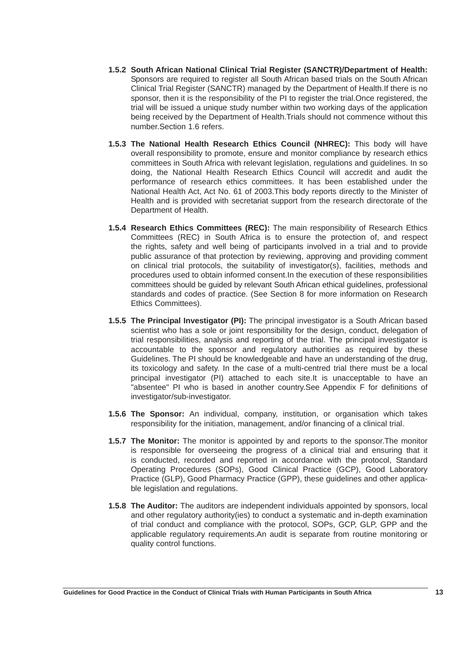- **1.5.2 South African National Clinical Trial Register (SANCTR)/Department of Health:** Sponsors are required to register all South African based trials on the South African Clinical Trial Register (SANCTR) managed by the Department of Health.If there is no sponsor, then it is the responsibility of the PI to register the trial.Once registered, the trial will be issued a unique study number within two working days of the application being received by the Department of Health.Trials should not commence without this number.Section 1.6 refers.
- **1.5.3 The National Health Research Ethics Council (NHREC):** This body will have overall responsibility to promote, ensure and monitor compliance by research ethics committees in South Africa with relevant legislation, regulations and guidelines. In so doing, the National Health Research Ethics Council will accredit and audit the performance of research ethics committees. It has been established under the National Health Act, Act No. 61 of 2003.This body reports directly to the Minister of Health and is provided with secretariat support from the research directorate of the Department of Health.
- **1.5.4 Research Ethics Committees (REC):** The main responsibility of Research Ethics Committees (REC) in South Africa is to ensure the protection of, and respect the rights, safety and well being of participants involved in a trial and to provide public assurance of that protection by reviewing, approving and providing comment on clinical trial protocols, the suitability of investigator(s), facilities, methods and procedures used to obtain informed consent.In the execution of these responsibilities committees should be guided by relevant South African ethical guidelines, professional standards and codes of practice. (See Section 8 for more information on Research Ethics Committees).
- **1.5.5 The Principal Investigator (PI):** The principal investigator is a South African based scientist who has a sole or joint responsibility for the design, conduct, delegation of trial responsibilities, analysis and reporting of the trial. The principal investigator is accountable to the sponsor and regulatory authorities as required by these Guidelines. The PI should be knowledgeable and have an understanding of the drug, its toxicology and safety. In the case of a multi-centred trial there must be a local principal investigator (PI) attached to each site.It is unacceptable to have an "absentee" PI who is based in another country.See Appendix F for definitions of investigator/sub-investigator.
- **1.5.6 The Sponsor:** An individual, company, institution, or organisation which takes responsibility for the initiation, management, and/or financing of a clinical trial.
- **1.5.7 The Monitor:** The monitor is appointed by and reports to the sponsor. The monitor is responsible for overseeing the progress of a clinical trial and ensuring that it is conducted, recorded and reported in accordance with the protocol, Standard Operating Procedures (SOPs), Good Clinical Practice (GCP), Good Laboratory Practice (GLP), Good Pharmacy Practice (GPP), these guidelines and other applicable legislation and regulations.
- **1.5.8 The Auditor:** The auditors are independent individuals appointed by sponsors, local and other regulatory authority(ies) to conduct a systematic and in-depth examination of trial conduct and compliance with the protocol, SOPs, GCP, GLP, GPP and the applicable regulatory requirements.An audit is separate from routine monitoring or quality control functions.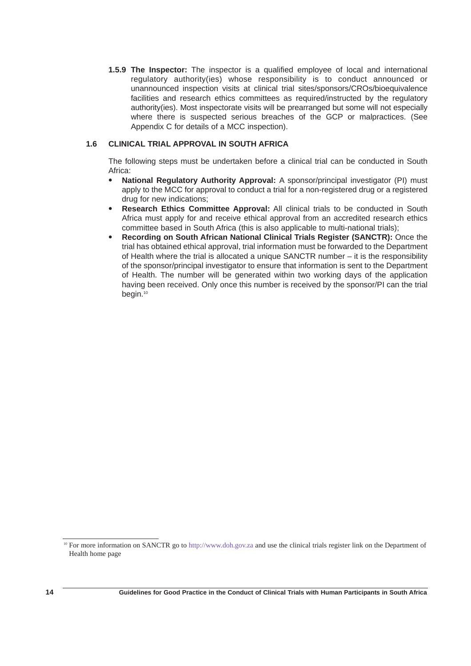**1.5.9 The Inspector:** The inspector is a qualified employee of local and international regulatory authority(ies) whose responsibility is to conduct announced or unannounced inspection visits at clinical trial sites/sponsors/CROs/bioequivalence facilities and research ethics committees as required/instructed by the regulatory authority(ies). Most inspectorate visits will be prearranged but some will not especially where there is suspected serious breaches of the GCP or malpractices. (See Appendix C for details of a MCC inspection).

# **1.6 CLINICAL TRIAL APPROVAL IN SOUTH AFRICA**

The following steps must be undertaken before a clinical trial can be conducted in South Africa:

- **National Regulatory Authority Approval:** A sponsor/principal investigator (PI) must apply to the MCC for approval to conduct a trial for a non-registered drug or a registered drug for new indications;
- **Research Ethics Committee Approval:** All clinical trials to be conducted in South Africa must apply for and receive ethical approval from an accredited research ethics committee based in South Africa (this is also applicable to multi-national trials);
- **Recording on South African National Clinical Trials Register (SANCTR):** Once the trial has obtained ethical approval, trial information must be forwarded to the Department of Health where the trial is allocated a unique SANCTR number – it is the responsibility of the sponsor/principal investigator to ensure that information is sent to the Department of Health. The number will be generated within two working days of the application having been received. Only once this number is received by the sponsor/PI can the trial begin.<sup>10</sup>

<sup>&</sup>lt;sup>10</sup> For more information on SANCTR go to http://www.doh.gov.za and use the clinical trials register link on the Department of Health home page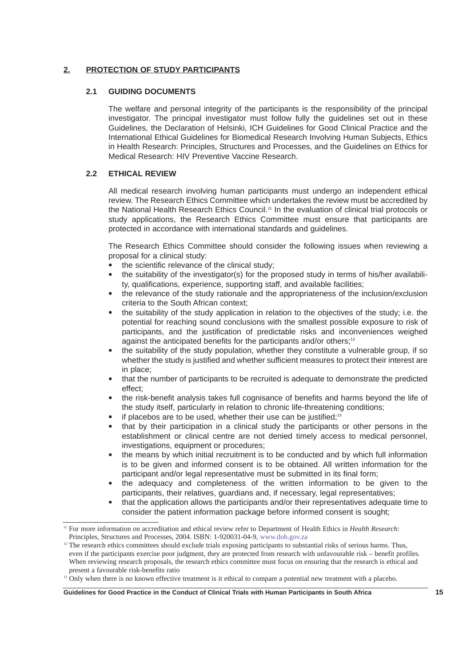# **2. PROTECTION OF STUDY PARTICIPANTS**

#### **2.1 GUIDING DOCUMENTS**

The welfare and personal integrity of the participants is the responsibility of the principal investigator. The principal investigator must follow fully the guidelines set out in these Guidelines, the Declaration of Helsinki, ICH Guidelines for Good Clinical Practice and the International Ethical Guidelines for Biomedical Research Involving Human Subjects, Ethics in Health Research: Principles, Structures and Processes, and the Guidelines on Ethics for Medical Research: HIV Preventive Vaccine Research.

# **2.2 ETHICAL REVIEW**

All medical research involving human participants must undergo an independent ethical review. The Research Ethics Committee which undertakes the review must be accredited by the National Health Research Ethics Council.<sup>11</sup> In the evaluation of clinical trial protocols or study applications, the Research Ethics Committee must ensure that participants are protected in accordance with international standards and guidelines.

The Research Ethics Committee should consider the following issues when reviewing a proposal for a clinical study:

- the scientific relevance of the clinical study;
- the suitability of the investigator(s) for the proposed study in terms of his/her availability, qualifications, experience, supporting staff, and available facilities;
- the relevance of the study rationale and the appropriateness of the inclusion/exclusion criteria to the South African context;
- the suitability of the study application in relation to the objectives of the study; i.e. the potential for reaching sound conclusions with the smallest possible exposure to risk of participants, and the justification of predictable risks and inconveniences weighed against the anticipated benefits for the participants and/or others;<sup>12</sup>
- the suitability of the study population, whether they constitute a vulnerable group, if so whether the study is justified and whether sufficient measures to protect their interest are in place;
- that the number of participants to be recruited is adequate to demonstrate the predicted effect;
- the risk-benefit analysis takes full cognisance of benefits and harms beyond the life of the study itself, particularly in relation to chronic life-threatening conditions;
- $\bullet$  if placebos are to be used, whether their use can be justified;<sup>13</sup>
- that by their participation in a clinical study the participants or other persons in the establishment or clinical centre are not denied timely access to medical personnel, investigations, equipment or procedures;
- the means by which initial recruitment is to be conducted and by which full information is to be given and informed consent is to be obtained. All written information for the participant and/or legal representative must be submitted in its final form;
- the adequacy and completeness of the written information to be given to the participants, their relatives, guardians and, if necessary, legal representatives;
- that the application allows the participants and/or their representatives adequate time to consider the patient information package before informed consent is sought;

<sup>11</sup> For more information on accreditation and ethical review refer to Department of Health Ethics in *Health Research:* Principles, Structures and Processes, 2004. ISBN: 1-920031-04-9, www.doh.gov.za

<sup>&</sup>lt;sup>12</sup> The research ethics committees should exclude trials exposing participants to substantial risks of serious harms. Thus, even if the participants exercise poor judgment, they are protected from research with unfavourable risk – benefit profiles. When reviewing research proposals, the research ethics committee must focus on ensuring that the research is ethical and present a favourable risk-benefits ratio

<sup>&</sup>lt;sup>13</sup> Only when there is no known effective treatment is it ethical to compare a potential new treatment with a placebo.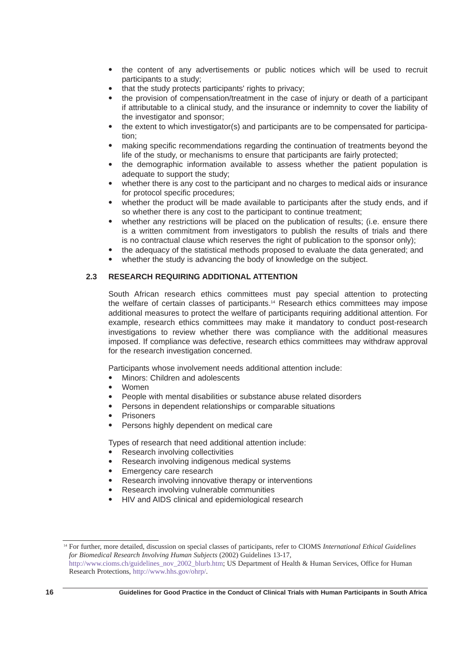- the content of any advertisements or public notices which will be used to recruit participants to a study;
- that the study protects participants' rights to privacy;
- the provision of compensation/treatment in the case of injury or death of a participant if attributable to a clinical study, and the insurance or indemnity to cover the liability of the investigator and sponsor;
- the extent to which investigator(s) and participants are to be compensated for participation;
- making specific recommendations regarding the continuation of treatments beyond the life of the study, or mechanisms to ensure that participants are fairly protected;
- the demographic information available to assess whether the patient population is adequate to support the study;
- whether there is any cost to the participant and no charges to medical aids or insurance for protocol specific procedures;
- whether the product will be made available to participants after the study ends, and if so whether there is any cost to the participant to continue treatment;
- whether any restrictions will be placed on the publication of results; (i.e. ensure there is a written commitment from investigators to publish the results of trials and there is no contractual clause which reserves the right of publication to the sponsor only);
- the adequacy of the statistical methods proposed to evaluate the data generated; and
- whether the study is advancing the body of knowledge on the subject.

#### **2.3 RESEARCH REQUIRING ADDITIONAL ATTENTION**

South African research ethics committees must pay special attention to protecting the welfare of certain classes of participants.<sup>14</sup> Research ethics committees may impose additional measures to protect the welfare of participants requiring additional attention. For example, research ethics committees may make it mandatory to conduct post-research investigations to review whether there was compliance with the additional measures imposed. If compliance was defective, research ethics committees may withdraw approval for the research investigation concerned.

Participants whose involvement needs additional attention include:

- Minors: Children and adolescents
- Women
- People with mental disabilities or substance abuse related disorders
- Persons in dependent relationships or comparable situations
- Prisoners
- Persons highly dependent on medical care

Types of research that need additional attention include:

- Research involving collectivities<br>• Research involving indigenous r
- Research involving indigenous medical systems
- **Emergency care research**
- Research involving innovative therapy or interventions
- Research involving vulnerable communities
- HIV and AIDS clinical and epidemiological research

<sup>14</sup> For further, more detailed, discussion on special classes of participants, refer to CIOMS *International Ethical Guidelines for Biomedical Research Involving Human Subjects* (2002) Guidelines 13-17, http://www.cioms.ch/guidelines\_nov\_2002\_blurb.htm; US Department of Health & Human Services, Office for Human Research Protections, http://www.hhs.gov/ohrp/.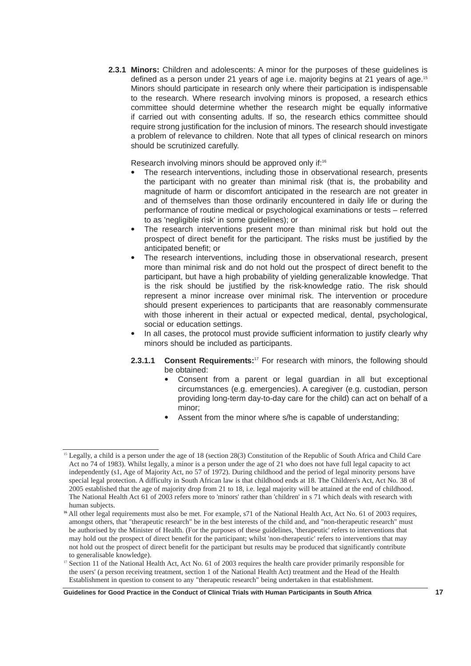**2.3.1 Minors:** Children and adolescents: A minor for the purposes of these guidelines is defined as a person under 21 years of age i.e. majority begins at 21 years of age.15 Minors should participate in research only where their participation is indispensable to the research. Where research involving minors is proposed, a research ethics committee should determine whether the research might be equally informative if carried out with consenting adults. If so, the research ethics committee should require strong justification for the inclusion of minors. The research should investigate a problem of relevance to children. Note that all types of clinical research on minors should be scrutinized carefully.

Research involving minors should be approved only if:<sup>16</sup>

- The research interventions, including those in observational research, presents the participant with no greater than minimal risk (that is, the probability and magnitude of harm or discomfort anticipated in the research are not greater in and of themselves than those ordinarily encountered in daily life or during the performance of routine medical or psychological examinations or tests – referred to as 'negligible risk' in some guidelines); or
- The research interventions present more than minimal risk but hold out the prospect of direct benefit for the participant. The risks must be justified by the anticipated benefit; or
- The research interventions, including those in observational research, present more than minimal risk and do not hold out the prospect of direct benefit to the participant, but have a high probability of yielding generalizable knowledge. That is the risk should be justified by the risk-knowledge ratio. The risk should represent a minor increase over minimal risk. The intervention or procedure should present experiences to participants that are reasonably commensurate with those inherent in their actual or expected medical, dental, psychological, social or education settings.
- In all cases, the protocol must provide sufficient information to justify clearly why minors should be included as participants.
- **2.3.1.1 Consent Requirements:**<sup>17</sup> For research with minors, the following should be obtained:
	- Consent from a parent or legal guardian in all but exceptional circumstances (e.g. emergencies). A caregiver (e.g. custodian, person providing long-term day-to-day care for the child) can act on behalf of a minor;
	- Assent from the minor where s/he is capable of understanding;

**Guidelines for Good Practice in the Conduct of Clinical Trials with Human Participants in South Africa 17**

<sup>&</sup>lt;sup>15</sup> Legally, a child is a person under the age of 18 (section 28(3) Constitution of the Republic of South Africa and Child Care Act no 74 of 1983). Whilst legally, a minor is a person under the age of 21 who does not have full legal capacity to act independently (s1, Age of Majority Act, no 57 of 1972). During childhood and the period of legal minority persons have special legal protection. A difficulty in South African law is that childhood ends at 18. The Children's Act, Act No. 38 of 2005 established that the age of majority drop from 21 to 18, i.e. legal majority will be attained at the end of childhood. The National Health Act 61 of 2003 refers more to 'minors' rather than 'children' in s 71 which deals with research with human subjects.

<sup>&</sup>lt;sup>16</sup> All other legal requirements must also be met. For example, s71 of the National Health Act, Act No. 61 of 2003 requires, amongst others, that "therapeutic research" be in the best interests of the child and, and "non-therapeutic research" must be authorised by the Minister of Health. (For the purposes of these guidelines, 'therapeutic' refers to interventions that may hold out the prospect of direct benefit for the participant; whilst 'non-therapeutic' refers to interventions that may not hold out the prospect of direct benefit for the participant but results may be produced that significantly contribute to generalisable knowledge).

<sup>&</sup>lt;sup>17</sup> Section 11 of the National Health Act, Act No. 61 of 2003 requires the health care provider primarily responsible for the users' (a person receiving treatment, section 1 of the National Health Act) treatment and the Head of the Health Establishment in question to consent to any "therapeutic research" being undertaken in that establishment.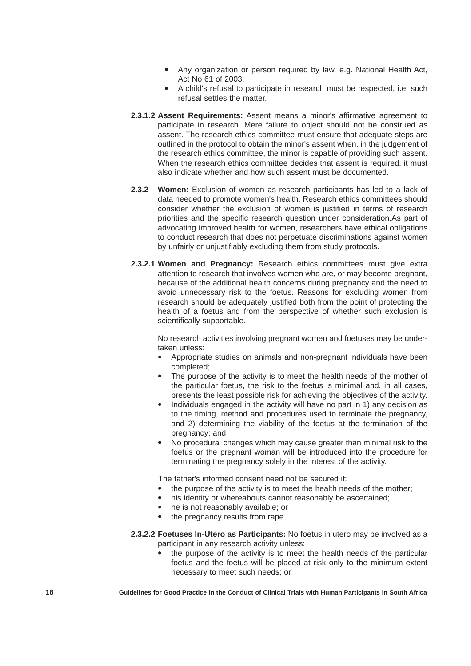- Any organization or person required by law, e.g. National Health Act, Act No 61 of 2003.
- A child's refusal to participate in research must be respected, i.e. such refusal settles the matter.
- **2.3.1.2 Assent Requirements:** Assent means a minor's affirmative agreement to participate in research. Mere failure to object should not be construed as assent. The research ethics committee must ensure that adequate steps are outlined in the protocol to obtain the minor's assent when, in the judgement of the research ethics committee, the minor is capable of providing such assent. When the research ethics committee decides that assent is required, it must also indicate whether and how such assent must be documented.
- **2.3.2 Women:** Exclusion of women as research participants has led to a lack of data needed to promote women's health. Research ethics committees should consider whether the exclusion of women is justified in terms of research priorities and the specific research question under consideration.As part of advocating improved health for women, researchers have ethical obligations to conduct research that does not perpetuate discriminations against women by unfairly or unjustifiably excluding them from study protocols.
- **2.3.2.1 Women and Pregnancy:** Research ethics committees must give extra attention to research that involves women who are, or may become pregnant, because of the additional health concerns during pregnancy and the need to avoid unnecessary risk to the foetus. Reasons for excluding women from research should be adequately justified both from the point of protecting the health of a foetus and from the perspective of whether such exclusion is scientifically supportable.

No research activities involving pregnant women and foetuses may be undertaken unless:

- Appropriate studies on animals and non-pregnant individuals have been completed;
- The purpose of the activity is to meet the health needs of the mother of the particular foetus, the risk to the foetus is minimal and, in all cases, presents the least possible risk for achieving the objectives of the activity.
- Individuals engaged in the activity will have no part in 1) any decision as to the timing, method and procedures used to terminate the pregnancy, and 2) determining the viability of the foetus at the termination of the pregnancy; and
- No procedural changes which may cause greater than minimal risk to the foetus or the pregnant woman will be introduced into the procedure for terminating the pregnancy solely in the interest of the activity.

The father's informed consent need not be secured if:

- the purpose of the activity is to meet the health needs of the mother;
- his identity or whereabouts cannot reasonably be ascertained;
- he is not reasonably available; or
- the pregnancy results from rape.

**2.3.2.2 Foetuses In-Utero as Participants:** No foetus in utero may be involved as a participant in any research activity unless:

 $\bullet$  the purpose of the activity is to meet the health needs of the particular foetus and the foetus will be placed at risk only to the minimum extent necessary to meet such needs; or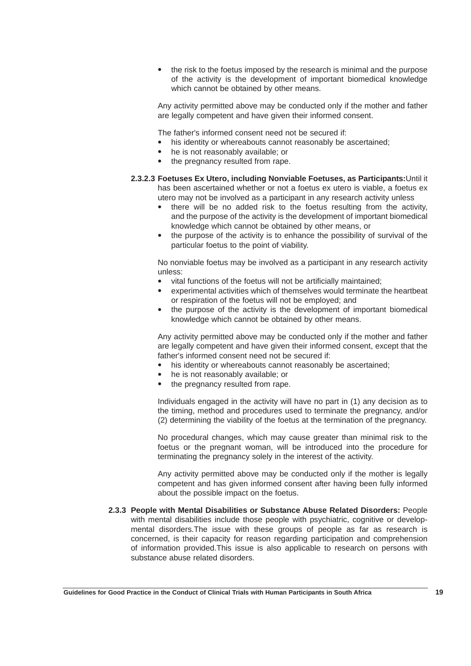the risk to the foetus imposed by the research is minimal and the purpose of the activity is the development of important biomedical knowledge which cannot be obtained by other means.

Any activity permitted above may be conducted only if the mother and father are legally competent and have given their informed consent.

The father's informed consent need not be secured if:

- his identity or whereabouts cannot reasonably be ascertained;
- he is not reasonably available; or
- the pregnancy resulted from rape.
- **2.3.2.3 Foetuses Ex Utero, including Nonviable Foetuses, as Participants:**Until it has been ascertained whether or not a foetus ex utero is viable, a foetus ex utero may not be involved as a participant in any research activity unless
	- there will be no added risk to the foetus resulting from the activity, and the purpose of the activity is the development of important biomedical knowledge which cannot be obtained by other means, or
	- the purpose of the activity is to enhance the possibility of survival of the particular foetus to the point of viability.

No nonviable foetus may be involved as a participant in any research activity unless:

- vital functions of the foetus will not be artificially maintained;
- experimental activities which of themselves would terminate the heartbeat or respiration of the foetus will not be employed; and
- the purpose of the activity is the development of important biomedical knowledge which cannot be obtained by other means.

Any activity permitted above may be conducted only if the mother and father are legally competent and have given their informed consent, except that the father's informed consent need not be secured if:

- his identity or whereabouts cannot reasonably be ascertained;
- he is not reasonably available; or
- the pregnancy resulted from rape.

Individuals engaged in the activity will have no part in (1) any decision as to the timing, method and procedures used to terminate the pregnancy, and/or (2) determining the viability of the foetus at the termination of the pregnancy.

No procedural changes, which may cause greater than minimal risk to the foetus or the pregnant woman, will be introduced into the procedure for terminating the pregnancy solely in the interest of the activity.

Any activity permitted above may be conducted only if the mother is legally competent and has given informed consent after having been fully informed about the possible impact on the foetus.

**2.3.3 People with Mental Disabilities or Substance Abuse Related Disorders:** People with mental disabilities include those people with psychiatric, cognitive or developmental disorders.The issue with these groups of people as far as research is concerned, is their capacity for reason regarding participation and comprehension of information provided.This issue is also applicable to research on persons with substance abuse related disorders.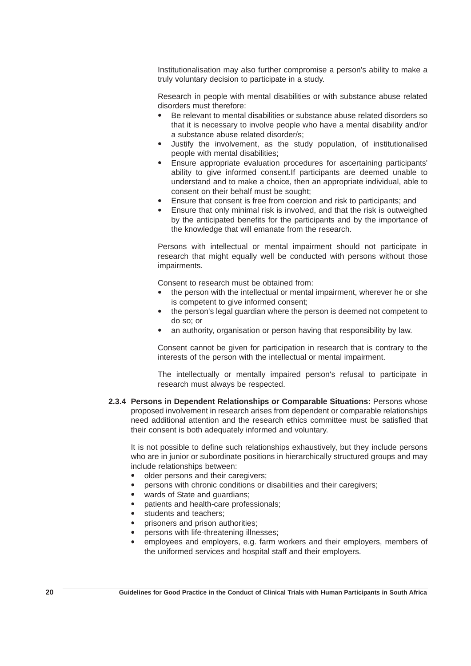Institutionalisation may also further compromise a person's ability to make a truly voluntary decision to participate in a study.

Research in people with mental disabilities or with substance abuse related disorders must therefore:

- Be relevant to mental disabilities or substance abuse related disorders so that it is necessary to involve people who have a mental disability and/or a substance abuse related disorder/s;
- Justify the involvement, as the study population, of institutionalised people with mental disabilities;
- Ensure appropriate evaluation procedures for ascertaining participants' ability to give informed consent.If participants are deemed unable to understand and to make a choice, then an appropriate individual, able to consent on their behalf must be sought;
- Ensure that consent is free from coercion and risk to participants; and
- Ensure that only minimal risk is involved, and that the risk is outweighed by the anticipated benefits for the participants and by the importance of the knowledge that will emanate from the research.

Persons with intellectual or mental impairment should not participate in research that might equally well be conducted with persons without those impairments.

Consent to research must be obtained from:

- the person with the intellectual or mental impairment, wherever he or she is competent to give informed consent;
- the person's legal guardian where the person is deemed not competent to do so; or
- an authority, organisation or person having that responsibility by law.

Consent cannot be given for participation in research that is contrary to the interests of the person with the intellectual or mental impairment.

The intellectually or mentally impaired person's refusal to participate in research must always be respected.

**2.3.4 Persons in Dependent Relationships or Comparable Situations:** Persons whose proposed involvement in research arises from dependent or comparable relationships need additional attention and the research ethics committee must be satisfied that their consent is both adequately informed and voluntary.

It is not possible to define such relationships exhaustively, but they include persons who are in junior or subordinate positions in hierarchically structured groups and may include relationships between:

- older persons and their caregivers;
- persons with chronic conditions or disabilities and their caregivers;
- wards of State and guardians;
- patients and health-care professionals;
- students and teachers;
- prisoners and prison authorities;
- persons with life-threatening illnesses;
- employees and employers, e.g. farm workers and their employers, members of the uniformed services and hospital staff and their employers.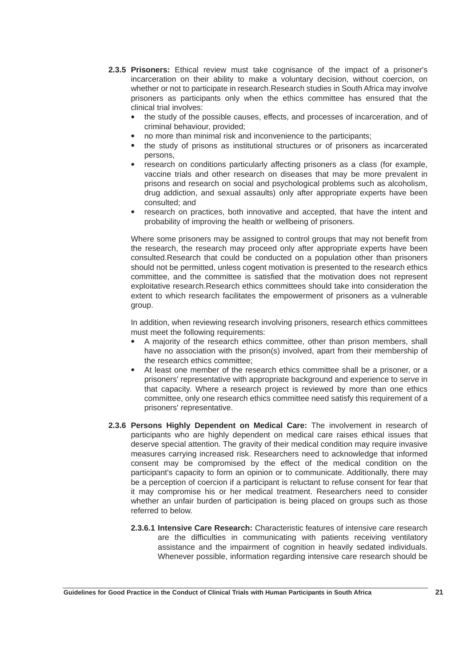- **2.3.5 Prisoners:** Ethical review must take cognisance of the impact of a prisoner's incarceration on their ability to make a voluntary decision, without coercion, on whether or not to participate in research.Research studies in South Africa may involve prisoners as participants only when the ethics committee has ensured that the clinical trial involves:
	- the study of the possible causes, effects, and processes of incarceration, and of criminal behaviour, provided;
	- no more than minimal risk and inconvenience to the participants;
	- the study of prisons as institutional structures or of prisoners as incarcerated persons,
	- research on conditions particularly affecting prisoners as a class (for example, vaccine trials and other research on diseases that may be more prevalent in prisons and research on social and psychological problems such as alcoholism, drug addiction, and sexual assaults) only after appropriate experts have been consulted; and
	- research on practices, both innovative and accepted, that have the intent and probability of improving the health or wellbeing of prisoners.

Where some prisoners may be assigned to control groups that may not benefit from the research, the research may proceed only after appropriate experts have been consulted.Research that could be conducted on a population other than prisoners should not be permitted, unless cogent motivation is presented to the research ethics committee, and the committee is satisfied that the motivation does not represent exploitative research.Research ethics committees should take into consideration the extent to which research facilitates the empowerment of prisoners as a vulnerable group.

In addition, when reviewing research involving prisoners, research ethics committees must meet the following requirements:

- A majority of the research ethics committee, other than prison members, shall have no association with the prison(s) involved, apart from their membership of the research ethics committee;
- At least one member of the research ethics committee shall be a prisoner, or a prisoners' representative with appropriate background and experience to serve in that capacity. Where a research project is reviewed by more than one ethics committee, only one research ethics committee need satisfy this requirement of a prisoners' representative.
- **2.3.6 Persons Highly Dependent on Medical Care:** The involvement in research of participants who are highly dependent on medical care raises ethical issues that deserve special attention. The gravity of their medical condition may require invasive measures carrying increased risk. Researchers need to acknowledge that informed consent may be compromised by the effect of the medical condition on the participant's capacity to form an opinion or to communicate. Additionally, there may be a perception of coercion if a participant is reluctant to refuse consent for fear that it may compromise his or her medical treatment. Researchers need to consider whether an unfair burden of participation is being placed on groups such as those referred to below.
	- **2.3.6.1 Intensive Care Research:** Characteristic features of intensive care research are the difficulties in communicating with patients receiving ventilatory assistance and the impairment of cognition in heavily sedated individuals. Whenever possible, information regarding intensive care research should be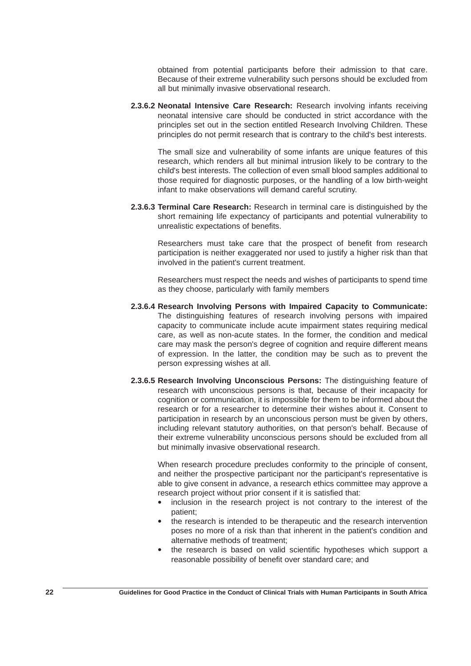obtained from potential participants before their admission to that care. Because of their extreme vulnerability such persons should be excluded from all but minimally invasive observational research.

**2.3.6.2 Neonatal Intensive Care Research:** Research involving infants receiving neonatal intensive care should be conducted in strict accordance with the principles set out in the section entitled Research Involving Children. These principles do not permit research that is contrary to the child's best interests.

The small size and vulnerability of some infants are unique features of this research, which renders all but minimal intrusion likely to be contrary to the child's best interests. The collection of even small blood samples additional to those required for diagnostic purposes, or the handling of a low birth-weight infant to make observations will demand careful scrutiny.

**2.3.6.3 Terminal Care Research:** Research in terminal care is distinguished by the short remaining life expectancy of participants and potential vulnerability to unrealistic expectations of benefits.

Researchers must take care that the prospect of benefit from research participation is neither exaggerated nor used to justify a higher risk than that involved in the patient's current treatment.

Researchers must respect the needs and wishes of participants to spend time as they choose, particularly with family members

- **2.3.6.4 Research Involving Persons with Impaired Capacity to Communicate:** The distinguishing features of research involving persons with impaired capacity to communicate include acute impairment states requiring medical care, as well as non-acute states. In the former, the condition and medical care may mask the person's degree of cognition and require different means of expression. In the latter, the condition may be such as to prevent the person expressing wishes at all.
- **2.3.6.5 Research Involving Unconscious Persons:** The distinguishing feature of research with unconscious persons is that, because of their incapacity for cognition or communication, it is impossible for them to be informed about the research or for a researcher to determine their wishes about it. Consent to participation in research by an unconscious person must be given by others, including relevant statutory authorities, on that person's behalf. Because of their extreme vulnerability unconscious persons should be excluded from all but minimally invasive observational research.

When research procedure precludes conformity to the principle of consent, and neither the prospective participant nor the participant's representative is able to give consent in advance, a research ethics committee may approve a research project without prior consent if it is satisfied that:

- inclusion in the research project is not contrary to the interest of the patient;
- the research is intended to be therapeutic and the research intervention poses no more of a risk than that inherent in the patient's condition and alternative methods of treatment;
- the research is based on valid scientific hypotheses which support a reasonable possibility of benefit over standard care; and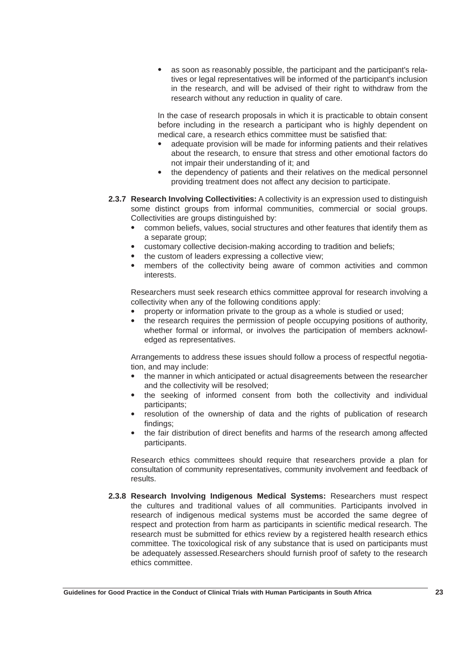as soon as reasonably possible, the participant and the participant's relatives or legal representatives will be informed of the participant's inclusion in the research, and will be advised of their right to withdraw from the research without any reduction in quality of care.

In the case of research proposals in which it is practicable to obtain consent before including in the research a participant who is highly dependent on medical care, a research ethics committee must be satisfied that:

- adequate provision will be made for informing patients and their relatives about the research, to ensure that stress and other emotional factors do not impair their understanding of it; and
- the dependency of patients and their relatives on the medical personnel providing treatment does not affect any decision to participate.
- **2.3.7 Research Involving Collectivities:** A collectivity is an expression used to distinguish some distinct groups from informal communities, commercial or social groups. Collectivities are groups distinguished by:
	- common beliefs, values, social structures and other features that identify them as a separate group;
	- customary collective decision-making according to tradition and beliefs;
	- the custom of leaders expressing a collective view;
	- members of the collectivity being aware of common activities and common interests.

Researchers must seek research ethics committee approval for research involving a collectivity when any of the following conditions apply:

- property or information private to the group as a whole is studied or used;
- the research requires the permission of people occupying positions of authority, whether formal or informal, or involves the participation of members acknowledged as representatives.

Arrangements to address these issues should follow a process of respectful negotiation, and may include:

- the manner in which anticipated or actual disagreements between the researcher and the collectivity will be resolved;
- the seeking of informed consent from both the collectivity and individual participants;
- resolution of the ownership of data and the rights of publication of research findings;
- the fair distribution of direct benefits and harms of the research among affected participants.

Research ethics committees should require that researchers provide a plan for consultation of community representatives, community involvement and feedback of results.

**2.3.8 Research Involving Indigenous Medical Systems:** Researchers must respect the cultures and traditional values of all communities. Participants involved in research of indigenous medical systems must be accorded the same degree of respect and protection from harm as participants in scientific medical research. The research must be submitted for ethics review by a registered health research ethics committee. The toxicological risk of any substance that is used on participants must be adequately assessed.Researchers should furnish proof of safety to the research ethics committee.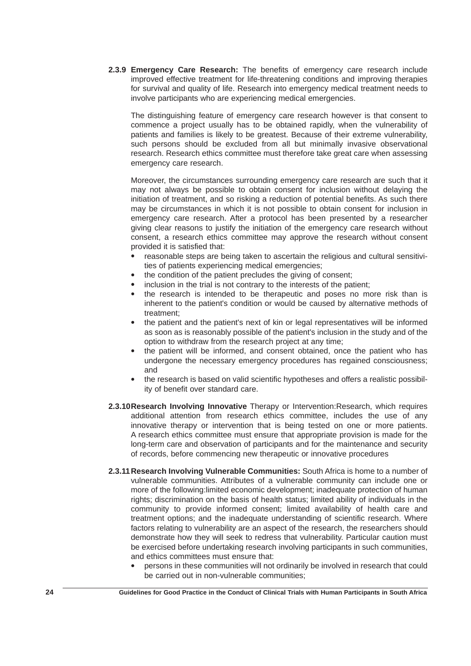**2.3.9 Emergency Care Research:** The benefits of emergency care research include improved effective treatment for life-threatening conditions and improving therapies for survival and quality of life. Research into emergency medical treatment needs to involve participants who are experiencing medical emergencies.

The distinguishing feature of emergency care research however is that consent to commence a project usually has to be obtained rapidly, when the vulnerability of patients and families is likely to be greatest. Because of their extreme vulnerability, such persons should be excluded from all but minimally invasive observational research. Research ethics committee must therefore take great care when assessing emergency care research.

Moreover, the circumstances surrounding emergency care research are such that it may not always be possible to obtain consent for inclusion without delaying the initiation of treatment, and so risking a reduction of potential benefits. As such there may be circumstances in which it is not possible to obtain consent for inclusion in emergency care research. After a protocol has been presented by a researcher giving clear reasons to justify the initiation of the emergency care research without consent, a research ethics committee may approve the research without consent provided it is satisfied that:

- reasonable steps are being taken to ascertain the religious and cultural sensitivities of patients experiencing medical emergencies;
- the condition of the patient precludes the giving of consent;
- inclusion in the trial is not contrary to the interests of the patient;
- the research is intended to be therapeutic and poses no more risk than is inherent to the patient's condition or would be caused by alternative methods of treatment;
- the patient and the patient's next of kin or legal representatives will be informed as soon as is reasonably possible of the patient's inclusion in the study and of the option to withdraw from the research project at any time;
- the patient will be informed, and consent obtained, once the patient who has undergone the necessary emergency procedures has regained consciousness; and
- the research is based on valid scientific hypotheses and offers a realistic possibility of benefit over standard care.
- **2.3.10Research Involving Innovative** Therapy or Intervention:Research, which requires additional attention from research ethics committee, includes the use of any innovative therapy or intervention that is being tested on one or more patients. A research ethics committee must ensure that appropriate provision is made for the long-term care and observation of participants and for the maintenance and security of records, before commencing new therapeutic or innovative procedures
- **2.3.11Research Involving Vulnerable Communities:** South Africa is home to a number of vulnerable communities. Attributes of a vulnerable community can include one or more of the following:limited economic development; inadequate protection of human rights; discrimination on the basis of health status; limited ability of individuals in the community to provide informed consent; limited availability of health care and treatment options; and the inadequate understanding of scientific research. Where factors relating to vulnerability are an aspect of the research, the researchers should demonstrate how they will seek to redress that vulnerability. Particular caution must be exercised before undertaking research involving participants in such communities, and ethics committees must ensure that:
	- persons in these communities will not ordinarily be involved in research that could be carried out in non-vulnerable communities;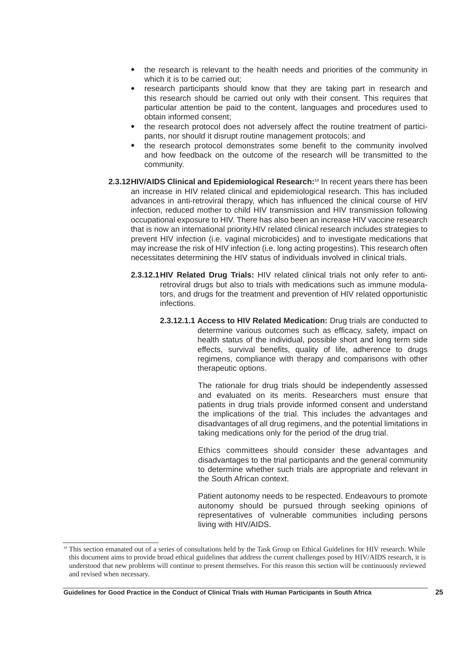- the research is relevant to the health needs and priorities of the community in which it is to be carried out;
- research participants should know that they are taking part in research and this research should be carried out only with their consent. This requires that particular attention be paid to the content, languages and procedures used to obtain informed consent;
- the research protocol does not adversely affect the routine treatment of participants, nor should it disrupt routine management protocols; and
- the research protocol demonstrates some benefit to the community involved and how feedback on the outcome of the research will be transmitted to the community.
- **2.3.12HIV/AIDS Clinical and Epidemiological Research:**<sup>18</sup> In recent years there has been an increase in HIV related clinical and epidemiological research. This has included advances in anti-retroviral therapy, which has influenced the clinical course of HIV infection, reduced mother to child HIV transmission and HIV transmission following occupational exposure to HIV. There has also been an increase HIV vaccine research that is now an international priority.HIV related clinical research includes strategies to prevent HIV infection (i.e. vaginal microbicides) and to investigate medications that may increase the risk of HIV infection (i.e. long acting progestins). This research often necessitates determining the HIV status of individuals involved in clinical trials.
	- **2.3.12.1HIV Related Drug Trials:** HIV related clinical trials not only refer to antiretroviral drugs but also to trials with medications such as immune modulators, and drugs for the treatment and prevention of HIV related opportunistic infections.
		- **2.3.12.1.1 Access to HIV Related Medication:** Drug trials are conducted to determine various outcomes such as efficacy, safety, impact on health status of the individual, possible short and long term side effects, survival benefits, quality of life, adherence to drugs regimens, compliance with therapy and comparisons with other therapeutic options.

The rationale for drug trials should be independently assessed and evaluated on its merits. Researchers must ensure that patients in drug trials provide informed consent and understand the implications of the trial. This includes the advantages and disadvantages of all drug regimens, and the potential limitations in taking medications only for the period of the drug trial.

Ethics committees should consider these advantages and disadvantages to the trial participants and the general community to determine whether such trials are appropriate and relevant in the South African context.

Patient autonomy needs to be respected. Endeavours to promote autonomy should be pursued through seeking opinions of representatives of vulnerable communities including persons living with HIV/AIDS.

<sup>&</sup>lt;sup>18</sup> This section emanated out of a series of consultations held by the Task Group on Ethical Guidelines for HIV research. While this document aims to provide broad ethical guidelines that address the current challenges posed by HIV/AIDS research, it is understood that new problems will continue to present themselves. For this reason this section will be continuously reviewed and revised when necessary.

**Guidelines for Good Practice in the Conduct of Clinical Trials with Human Participants in South Africa 25**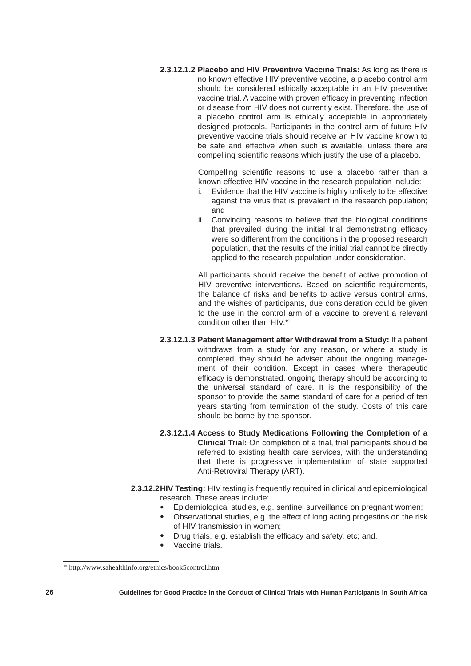**2.3.12.1.2 Placebo and HIV Preventive Vaccine Trials:** As long as there is no known effective HIV preventive vaccine, a placebo control arm should be considered ethically acceptable in an HIV preventive vaccine trial. A vaccine with proven efficacy in preventing infection or disease from HIV does not currently exist. Therefore, the use of a placebo control arm is ethically acceptable in appropriately designed protocols. Participants in the control arm of future HIV preventive vaccine trials should receive an HIV vaccine known to be safe and effective when such is available, unless there are compelling scientific reasons which justify the use of a placebo.

> Compelling scientific reasons to use a placebo rather than a known effective HIV vaccine in the research population include:

- i. Evidence that the HIV vaccine is highly unlikely to be effective against the virus that is prevalent in the research population; and
- ii. Convincing reasons to believe that the biological conditions that prevailed during the initial trial demonstrating efficacy were so different from the conditions in the proposed research population, that the results of the initial trial cannot be directly applied to the research population under consideration.

All participants should receive the benefit of active promotion of HIV preventive interventions. Based on scientific requirements, the balance of risks and benefits to active versus control arms, and the wishes of participants, due consideration could be given to the use in the control arm of a vaccine to prevent a relevant condition other than HIV.19

- **2.3.12.1.3 Patient Management after Withdrawal from a Study:** If a patient withdraws from a study for any reason, or where a study is completed, they should be advised about the ongoing management of their condition. Except in cases where therapeutic efficacy is demonstrated, ongoing therapy should be according to the universal standard of care. It is the responsibility of the sponsor to provide the same standard of care for a period of ten years starting from termination of the study. Costs of this care should be borne by the sponsor.
- **2.3.12.1.4 Access to Study Medications Following the Completion of a Clinical Trial:** On completion of a trial, trial participants should be referred to existing health care services, with the understanding that there is progressive implementation of state supported Anti-Retroviral Therapy (ART).
- **2.3.12.2HIV Testing:** HIV testing is frequently required in clinical and epidemiological research. These areas include:
	- Epidemiological studies, e.g. sentinel surveillance on pregnant women;<br>• Observational studies, e.g. the effect of long acting progestins on the risk
	- Observational studies, e.g. the effect of long acting progestins on the risk of HIV transmission in women;
	- Drug trials, e.g. establish the efficacy and safety, etc; and,
	- Vaccine trials

<sup>19</sup> http://www.sahealthinfo.org/ethics/book5control.htm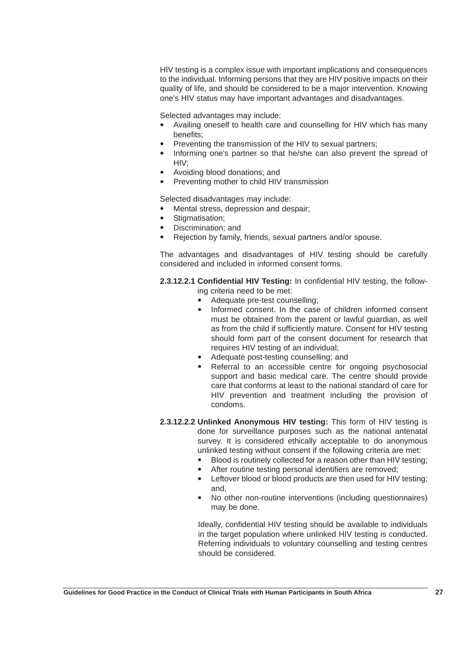HIV testing is a complex issue with important implications and consequences to the individual. Informing persons that they are HIV positive impacts on their quality of life, and should be considered to be a major intervention. Knowing one's HIV status may have important advantages and disadvantages.

Selected advantages may include:

- Availing oneself to health care and counselling for HIV which has many benefits;
- Preventing the transmission of the HIV to sexual partners:
- Informing one's partner so that he/she can also prevent the spread of  $HIV$
- Avoiding blood donations; and<br>• Preventing mother to child HIV
- Preventing mother to child HIV transmission

Selected disadvantages may include:

- Mental stress, depression and despair;
- Stigmatisation;
- Discrimination; and
- Rejection by family, friends, sexual partners and/or spouse.

The advantages and disadvantages of HIV testing should be carefully considered and included in informed consent forms.

**2.3.12.2.1 Confidential HIV Testing:** In confidential HIV testing, the following criteria need to be met:

- Adequate pre-test counselling:
- Informed consent. In the case of children informed consent must be obtained from the parent or lawful guardian, as well as from the child if sufficiently mature. Consent for HIV testing should form part of the consent document for research that requires HIV testing of an individual;
- Adequate post-testing counselling; and
- Referral to an accessible centre for ongoing psychosocial support and basic medical care. The centre should provide care that conforms at least to the national standard of care for HIV prevention and treatment including the provision of condoms.
- **2.3.12.2.2 Unlinked Anonymous HIV testing:** This form of HIV testing is done for surveillance purposes such as the national antenatal survey. It is considered ethically acceptable to do anonymous unlinked testing without consent if the following criteria are met:
	- Blood is routinely collected for a reason other than HIV testing;
	- After routine testing personal identifiers are removed;
	- Leftover blood or blood products are then used for HIV testing; and,
	- No other non-routine interventions (including questionnaires) may be done.

Ideally, confidential HIV testing should be available to individuals in the target population where unlinked HIV testing is conducted. Referring individuals to voluntary counselling and testing centres should be considered.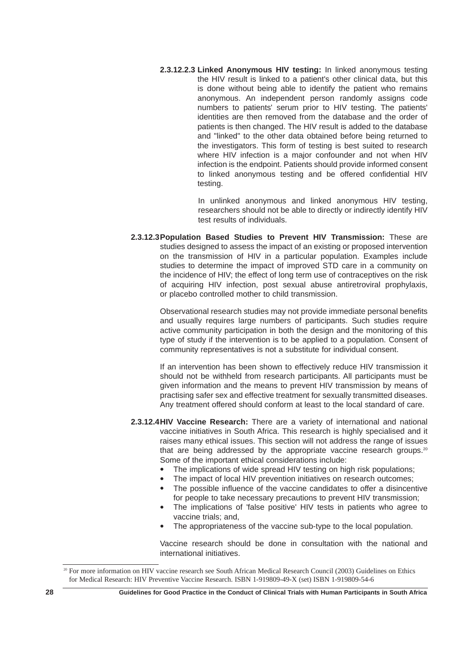**2.3.12.2.3 Linked Anonymous HIV testing:** In linked anonymous testing the HIV result is linked to a patient's other clinical data, but this is done without being able to identify the patient who remains anonymous. An independent person randomly assigns code numbers to patients' serum prior to HIV testing. The patients' identities are then removed from the database and the order of patients is then changed. The HIV result is added to the database and "linked" to the other data obtained before being returned to the investigators. This form of testing is best suited to research where HIV infection is a major confounder and not when HIV infection is the endpoint. Patients should provide informed consent to linked anonymous testing and be offered confidential HIV testing.

> In unlinked anonymous and linked anonymous HIV testing, researchers should not be able to directly or indirectly identify HIV test results of individuals.

**2.3.12.3Population Based Studies to Prevent HIV Transmission:** These are studies designed to assess the impact of an existing or proposed intervention on the transmission of HIV in a particular population. Examples include studies to determine the impact of improved STD care in a community on the incidence of HIV; the effect of long term use of contraceptives on the risk of acquiring HIV infection, post sexual abuse antiretroviral prophylaxis, or placebo controlled mother to child transmission.

Observational research studies may not provide immediate personal benefits and usually requires large numbers of participants. Such studies require active community participation in both the design and the monitoring of this type of study if the intervention is to be applied to a population. Consent of community representatives is not a substitute for individual consent.

If an intervention has been shown to effectively reduce HIV transmission it should not be withheld from research participants. All participants must be given information and the means to prevent HIV transmission by means of practising safer sex and effective treatment for sexually transmitted diseases. Any treatment offered should conform at least to the local standard of care.

- **2.3.12.4HIV Vaccine Research:** There are a variety of international and national vaccine initiatives in South Africa. This research is highly specialised and it raises many ethical issues. This section will not address the range of issues that are being addressed by the appropriate vaccine research groups. $20$ Some of the important ethical considerations include:
	- The implications of wide spread HIV testing on high risk populations;
	- The impact of local HIV prevention initiatives on research outcomes;
	- The possible influence of the vaccine candidates to offer a disincentive for people to take necessary precautions to prevent HIV transmission;
	- The implications of 'false positive' HIV tests in patients who agree to vaccine trials; and,
	- The appropriateness of the vaccine sub-type to the local population.

Vaccine research should be done in consultation with the national and international initiatives.

<sup>20</sup> For more information on HIV vaccine research see South African Medical Research Council (2003) Guidelines on Ethics for Medical Research: HIV Preventive Vaccine Research. ISBN 1-919809-49-X (set) ISBN 1-919809-54-6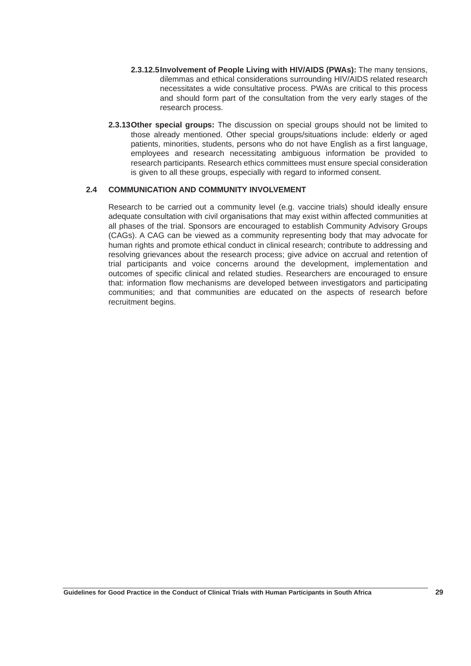- **2.3.12.5Involvement of People Living with HIV/AIDS (PWAs):** The many tensions, dilemmas and ethical considerations surrounding HIV/AIDS related research necessitates a wide consultative process. PWAs are critical to this process and should form part of the consultation from the very early stages of the research process.
- **2.3.13Other special groups:** The discussion on special groups should not be limited to those already mentioned. Other special groups/situations include: elderly or aged patients, minorities, students, persons who do not have English as a first language, employees and research necessitating ambiguous information be provided to research participants. Research ethics committees must ensure special consideration is given to all these groups, especially with regard to informed consent.

# **2.4 COMMUNICATION AND COMMUNITY INVOLVEMENT**

Research to be carried out a community level (e.g. vaccine trials) should ideally ensure adequate consultation with civil organisations that may exist within affected communities at all phases of the trial. Sponsors are encouraged to establish Community Advisory Groups (CAGs). A CAG can be viewed as a community representing body that may advocate for human rights and promote ethical conduct in clinical research; contribute to addressing and resolving grievances about the research process; give advice on accrual and retention of trial participants and voice concerns around the development, implementation and outcomes of specific clinical and related studies. Researchers are encouraged to ensure that: information flow mechanisms are developed between investigators and participating communities; and that communities are educated on the aspects of research before recruitment begins.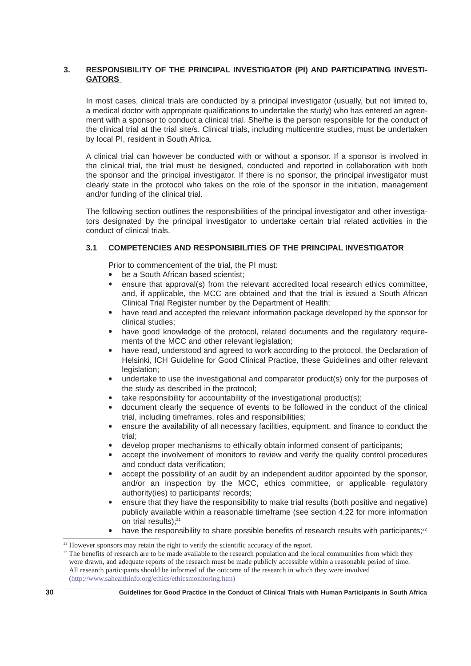# **3. RESPONSIBILITY OF THE PRINCIPAL INVESTIGATOR (PI) AND PARTICIPATING INVESTI-GATORS**

In most cases, clinical trials are conducted by a principal investigator (usually, but not limited to, a medical doctor with appropriate qualifications to undertake the study) who has entered an agreement with a sponsor to conduct a clinical trial. She/he is the person responsible for the conduct of the clinical trial at the trial site/s. Clinical trials, including multicentre studies, must be undertaken by local PI, resident in South Africa.

A clinical trial can however be conducted with or without a sponsor. If a sponsor is involved in the clinical trial, the trial must be designed, conducted and reported in collaboration with both the sponsor and the principal investigator. If there is no sponsor, the principal investigator must clearly state in the protocol who takes on the role of the sponsor in the initiation, management and/or funding of the clinical trial.

The following section outlines the responsibilities of the principal investigator and other investigators designated by the principal investigator to undertake certain trial related activities in the conduct of clinical trials.

# **3.1 COMPETENCIES AND RESPONSIBILITIES OF THE PRINCIPAL INVESTIGATOR**

Prior to commencement of the trial, the PI must:

- be a South African based scientist;
- ensure that approval(s) from the relevant accredited local research ethics committee, and, if applicable, the MCC are obtained and that the trial is issued a South African Clinical Trial Register number by the Department of Health;
- have read and accepted the relevant information package developed by the sponsor for clinical studies;
- have good knowledge of the protocol, related documents and the regulatory requirements of the MCC and other relevant legislation;
- have read, understood and agreed to work according to the protocol, the Declaration of Helsinki, ICH Guideline for Good Clinical Practice, these Guidelines and other relevant legislation:
- undertake to use the investigational and comparator product(s) only for the purposes of the study as described in the protocol;
- take responsibility for accountability of the investigational product(s);
- document clearly the sequence of events to be followed in the conduct of the clinical trial, including timeframes, roles and responsibilities;
- ensure the availability of all necessary facilities, equipment, and finance to conduct the trial;
- develop proper mechanisms to ethically obtain informed consent of participants;
- accept the involvement of monitors to review and verify the quality control procedures and conduct data verification;
- accept the possibility of an audit by an independent auditor appointed by the sponsor, and/or an inspection by the MCC, ethics committee, or applicable regulatory authority(ies) to participants' records;
- ensure that they have the responsibility to make trial results (both positive and negative) publicly available within a reasonable timeframe (see section 4.22 for more information on trial results);<sup>21</sup>
- have the responsibility to share possible benefits of research results with participants;<sup>22</sup>

<sup>&</sup>lt;sup>21</sup> However sponsors may retain the right to verify the scientific accuracy of the report.

 $22$  The benefits of research are to be made available to the research population and the local communities from which they were drawn, and adequate reports of the research must be made publicly accessible within a reasonable period of time. All research participants should be informed of the outcome of the research in which they were involved (http://www.sahealthinfo.org/ethics/ethicsmonitoring.htm)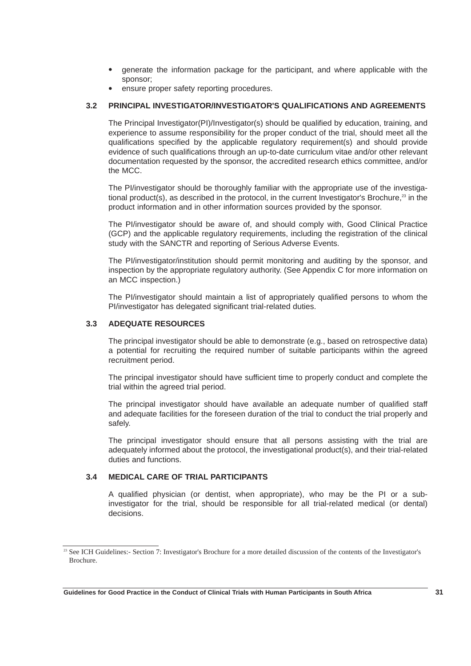- generate the information package for the participant, and where applicable with the sponsor;
- ensure proper safety reporting procedures.

## **3.2 PRINCIPAL INVESTIGATOR/INVESTIGATOR'S QUALIFICATIONS AND AGREEMENTS**

The Principal Investigator(PI)/Investigator(s) should be qualified by education, training, and experience to assume responsibility for the proper conduct of the trial, should meet all the qualifications specified by the applicable regulatory requirement(s) and should provide evidence of such qualifications through an up-to-date curriculum vitae and/or other relevant documentation requested by the sponsor, the accredited research ethics committee, and/or the MCC.

The PI/investigator should be thoroughly familiar with the appropriate use of the investigational product(s), as described in the protocol, in the current Investigator's Brochure.<sup>23</sup> in the product information and in other information sources provided by the sponsor.

The PI/investigator should be aware of, and should comply with, Good Clinical Practice (GCP) and the applicable regulatory requirements, including the registration of the clinical study with the SANCTR and reporting of Serious Adverse Events.

The PI/investigator/institution should permit monitoring and auditing by the sponsor, and inspection by the appropriate regulatory authority. (See Appendix C for more information on an MCC inspection.)

The PI/investigator should maintain a list of appropriately qualified persons to whom the PI/investigator has delegated significant trial-related duties.

#### **3.3 ADEQUATE RESOURCES**

The principal investigator should be able to demonstrate (e.g., based on retrospective data) a potential for recruiting the required number of suitable participants within the agreed recruitment period.

The principal investigator should have sufficient time to properly conduct and complete the trial within the agreed trial period.

The principal investigator should have available an adequate number of qualified staff and adequate facilities for the foreseen duration of the trial to conduct the trial properly and safely.

The principal investigator should ensure that all persons assisting with the trial are adequately informed about the protocol, the investigational product(s), and their trial-related duties and functions.

#### **3.4 MEDICAL CARE OF TRIAL PARTICIPANTS**

A qualified physician (or dentist, when appropriate), who may be the PI or a subinvestigator for the trial, should be responsible for all trial-related medical (or dental) decisions.

<sup>&</sup>lt;sup>23</sup> See ICH Guidelines:- Section 7: Investigator's Brochure for a more detailed discussion of the contents of the Investigator's Brochure.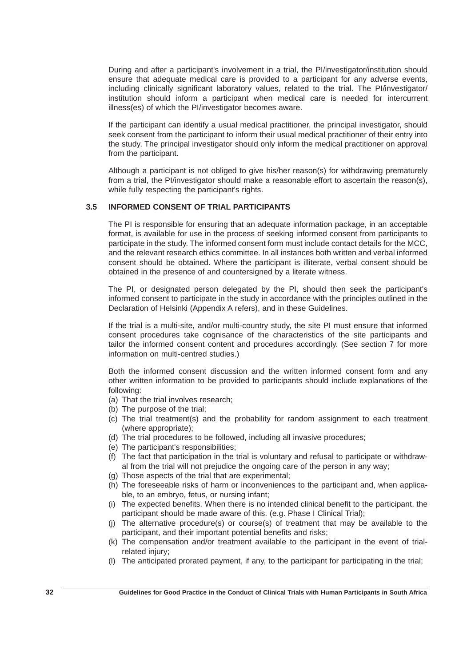During and after a participant's involvement in a trial, the PI/investigator/institution should ensure that adequate medical care is provided to a participant for any adverse events, including clinically significant laboratory values, related to the trial. The PI/investigator/ institution should inform a participant when medical care is needed for intercurrent illness(es) of which the PI/investigator becomes aware.

If the participant can identify a usual medical practitioner, the principal investigator, should seek consent from the participant to inform their usual medical practitioner of their entry into the study. The principal investigator should only inform the medical practitioner on approval from the participant.

Although a participant is not obliged to give his/her reason(s) for withdrawing prematurely from a trial, the PI/investigator should make a reasonable effort to ascertain the reason(s), while fully respecting the participant's rights.

#### **3.5 INFORMED CONSENT OF TRIAL PARTICIPANTS**

The PI is responsible for ensuring that an adequate information package, in an acceptable format, is available for use in the process of seeking informed consent from participants to participate in the study. The informed consent form must include contact details for the MCC, and the relevant research ethics committee. In all instances both written and verbal informed consent should be obtained. Where the participant is illiterate, verbal consent should be obtained in the presence of and countersigned by a literate witness.

The PI, or designated person delegated by the PI, should then seek the participant's informed consent to participate in the study in accordance with the principles outlined in the Declaration of Helsinki (Appendix A refers), and in these Guidelines.

If the trial is a multi-site, and/or multi-country study, the site PI must ensure that informed consent procedures take cognisance of the characteristics of the site participants and tailor the informed consent content and procedures accordingly. (See section 7 for more information on multi-centred studies.)

Both the informed consent discussion and the written informed consent form and any other written information to be provided to participants should include explanations of the following:

- (a) That the trial involves research;
- (b) The purpose of the trial;
- (c) The trial treatment(s) and the probability for random assignment to each treatment (where appropriate);
- (d) The trial procedures to be followed, including all invasive procedures;
- (e) The participant's responsibilities;
- (f) The fact that participation in the trial is voluntary and refusal to participate or withdrawal from the trial will not prejudice the ongoing care of the person in any way;
- (g) Those aspects of the trial that are experimental;
- (h) The foreseeable risks of harm or inconveniences to the participant and, when applicable, to an embryo, fetus, or nursing infant;
- (i) The expected benefits. When there is no intended clinical benefit to the participant, the participant should be made aware of this. (e.g. Phase I Clinical Trial);
- (j) The alternative procedure(s) or course(s) of treatment that may be available to the participant, and their important potential benefits and risks;
- (k) The compensation and/or treatment available to the participant in the event of trialrelated injury;
- (l) The anticipated prorated payment, if any, to the participant for participating in the trial;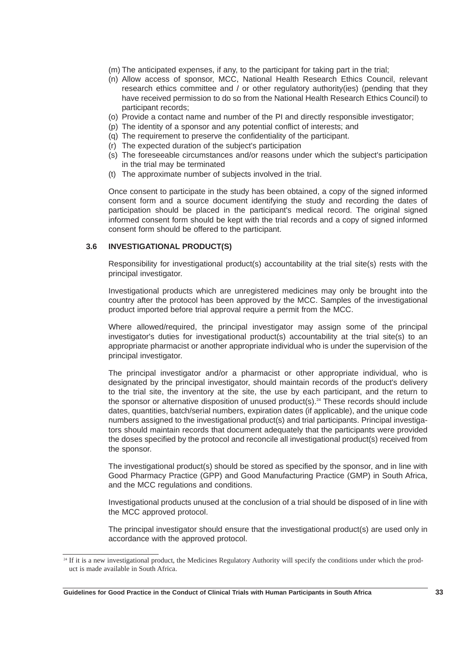- (m) The anticipated expenses, if any, to the participant for taking part in the trial;
- (n) Allow access of sponsor, MCC, National Health Research Ethics Council, relevant research ethics committee and / or other regulatory authority(ies) (pending that they have received permission to do so from the National Health Research Ethics Council) to participant records;
- (o) Provide a contact name and number of the PI and directly responsible investigator;
- (p) The identity of a sponsor and any potential conflict of interests; and
- (q) The requirement to preserve the confidentiality of the participant.
- (r) The expected duration of the subject's participation
- (s) The foreseeable circumstances and/or reasons under which the subject's participation in the trial may be terminated
- (t) The approximate number of subjects involved in the trial.

Once consent to participate in the study has been obtained, a copy of the signed informed consent form and a source document identifying the study and recording the dates of participation should be placed in the participant's medical record. The original signed informed consent form should be kept with the trial records and a copy of signed informed consent form should be offered to the participant.

#### **3.6 INVESTIGATIONAL PRODUCT(S)**

Responsibility for investigational product(s) accountability at the trial site(s) rests with the principal investigator.

Investigational products which are unregistered medicines may only be brought into the country after the protocol has been approved by the MCC. Samples of the investigational product imported before trial approval require a permit from the MCC.

Where allowed/required, the principal investigator may assign some of the principal investigator's duties for investigational product(s) accountability at the trial site(s) to an appropriate pharmacist or another appropriate individual who is under the supervision of the principal investigator.

The principal investigator and/or a pharmacist or other appropriate individual, who is designated by the principal investigator, should maintain records of the product's delivery to the trial site, the inventory at the site, the use by each participant, and the return to the sponsor or alternative disposition of unused product(s).<sup>24</sup> These records should include dates, quantities, batch/serial numbers, expiration dates (if applicable), and the unique code numbers assigned to the investigational product(s) and trial participants. Principal investigators should maintain records that document adequately that the participants were provided the doses specified by the protocol and reconcile all investigational product(s) received from the sponsor.

The investigational product(s) should be stored as specified by the sponsor, and in line with Good Pharmacy Practice (GPP) and Good Manufacturing Practice (GMP) in South Africa, and the MCC regulations and conditions.

Investigational products unused at the conclusion of a trial should be disposed of in line with the MCC approved protocol.

The principal investigator should ensure that the investigational product(s) are used only in accordance with the approved protocol.

**Guidelines for Good Practice in the Conduct of Clinical Trials with Human Participants in South Africa 33**

<sup>&</sup>lt;sup>24</sup> If it is a new investigational product, the Medicines Regulatory Authority will specify the conditions under which the product is made available in South Africa.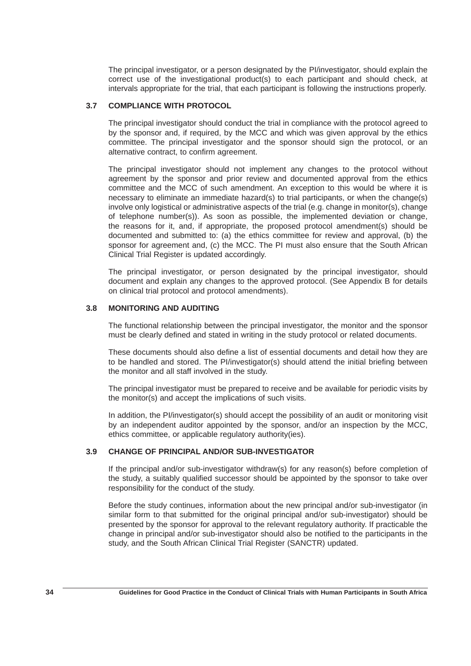The principal investigator, or a person designated by the PI/investigator, should explain the correct use of the investigational product(s) to each participant and should check, at intervals appropriate for the trial, that each participant is following the instructions properly.

#### **3.7 COMPLIANCE WITH PROTOCOL**

The principal investigator should conduct the trial in compliance with the protocol agreed to by the sponsor and, if required, by the MCC and which was given approval by the ethics committee. The principal investigator and the sponsor should sign the protocol, or an alternative contract, to confirm agreement.

The principal investigator should not implement any changes to the protocol without agreement by the sponsor and prior review and documented approval from the ethics committee and the MCC of such amendment. An exception to this would be where it is necessary to eliminate an immediate hazard(s) to trial participants, or when the change(s) involve only logistical or administrative aspects of the trial (e.g. change in monitor(s), change of telephone number(s)). As soon as possible, the implemented deviation or change, the reasons for it, and, if appropriate, the proposed protocol amendment(s) should be documented and submitted to: (a) the ethics committee for review and approval, (b) the sponsor for agreement and, (c) the MCC. The PI must also ensure that the South African Clinical Trial Register is updated accordingly.

The principal investigator, or person designated by the principal investigator, should document and explain any changes to the approved protocol. (See Appendix B for details on clinical trial protocol and protocol amendments).

#### **3.8 MONITORING AND AUDITING**

The functional relationship between the principal investigator, the monitor and the sponsor must be clearly defined and stated in writing in the study protocol or related documents.

These documents should also define a list of essential documents and detail how they are to be handled and stored. The PI/investigator(s) should attend the initial briefing between the monitor and all staff involved in the study.

The principal investigator must be prepared to receive and be available for periodic visits by the monitor(s) and accept the implications of such visits.

In addition, the PI/investigator(s) should accept the possibility of an audit or monitoring visit by an independent auditor appointed by the sponsor, and/or an inspection by the MCC, ethics committee, or applicable regulatory authority(ies).

#### **3.9 CHANGE OF PRINCIPAL AND/OR SUB-INVESTIGATOR**

If the principal and/or sub-investigator withdraw(s) for any reason(s) before completion of the study, a suitably qualified successor should be appointed by the sponsor to take over responsibility for the conduct of the study.

Before the study continues, information about the new principal and/or sub-investigator (in similar form to that submitted for the original principal and/or sub-investigator) should be presented by the sponsor for approval to the relevant regulatory authority. If practicable the change in principal and/or sub-investigator should also be notified to the participants in the study, and the South African Clinical Trial Register (SANCTR) updated.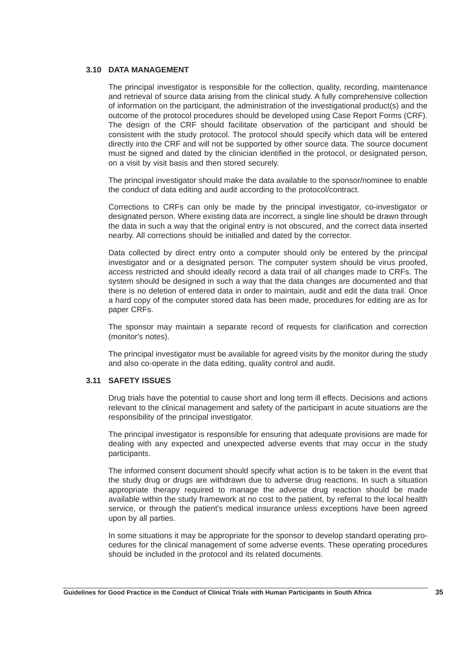#### **3.10 DATA MANAGEMENT**

The principal investigator is responsible for the collection, quality, recording, maintenance and retrieval of source data arising from the clinical study. A fully comprehensive collection of information on the participant, the administration of the investigational product(s) and the outcome of the protocol procedures should be developed using Case Report Forms (CRF). The design of the CRF should facilitate observation of the participant and should be consistent with the study protocol. The protocol should specify which data will be entered directly into the CRF and will not be supported by other source data. The source document must be signed and dated by the clinician identified in the protocol, or designated person, on a visit by visit basis and then stored securely.

The principal investigator should make the data available to the sponsor/nominee to enable the conduct of data editing and audit according to the protocol/contract.

Corrections to CRFs can only be made by the principal investigator, co-investigator or designated person. Where existing data are incorrect, a single line should be drawn through the data in such a way that the original entry is not obscured, and the correct data inserted nearby. All corrections should be initialled and dated by the corrector.

Data collected by direct entry onto a computer should only be entered by the principal investigator and or a designated person. The computer system should be virus proofed, access restricted and should ideally record a data trail of all changes made to CRFs. The system should be designed in such a way that the data changes are documented and that there is no deletion of entered data in order to maintain, audit and edit the data trail. Once a hard copy of the computer stored data has been made, procedures for editing are as for paper CRFs.

The sponsor may maintain a separate record of requests for clarification and correction (monitor's notes).

The principal investigator must be available for agreed visits by the monitor during the study and also co-operate in the data editing, quality control and audit.

# **3.11 SAFETY ISSUES**

Drug trials have the potential to cause short and long term ill effects. Decisions and actions relevant to the clinical management and safety of the participant in acute situations are the responsibility of the principal investigator.

The principal investigator is responsible for ensuring that adequate provisions are made for dealing with any expected and unexpected adverse events that may occur in the study participants.

The informed consent document should specify what action is to be taken in the event that the study drug or drugs are withdrawn due to adverse drug reactions. In such a situation appropriate therapy required to manage the adverse drug reaction should be made available within the study framework at no cost to the patient, by referral to the local health service, or through the patient's medical insurance unless exceptions have been agreed upon by all parties.

In some situations it may be appropriate for the sponsor to develop standard operating procedures for the clinical management of some adverse events. These operating procedures should be included in the protocol and its related documents.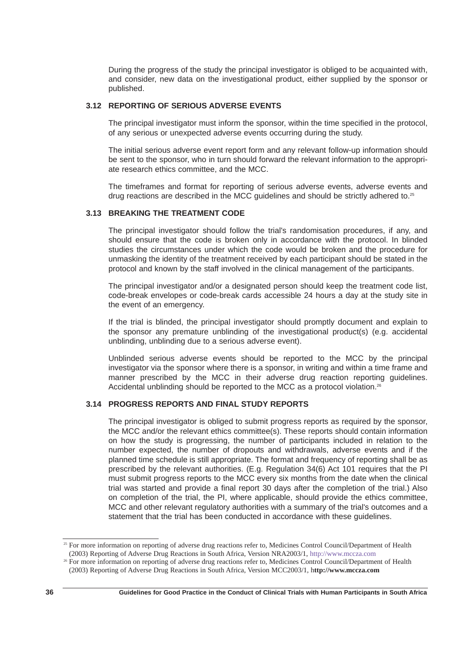During the progress of the study the principal investigator is obliged to be acquainted with, and consider, new data on the investigational product, either supplied by the sponsor or published.

#### **3.12 REPORTING OF SERIOUS ADVERSE EVENTS**

The principal investigator must inform the sponsor, within the time specified in the protocol, of any serious or unexpected adverse events occurring during the study.

The initial serious adverse event report form and any relevant follow-up information should be sent to the sponsor, who in turn should forward the relevant information to the appropriate research ethics committee, and the MCC.

The timeframes and format for reporting of serious adverse events, adverse events and drug reactions are described in the MCC guidelines and should be strictly adhered to.<sup>25</sup>

# **3.13 BREAKING THE TREATMENT CODE**

The principal investigator should follow the trial's randomisation procedures, if any, and should ensure that the code is broken only in accordance with the protocol. In blinded studies the circumstances under which the code would be broken and the procedure for unmasking the identity of the treatment received by each participant should be stated in the protocol and known by the staff involved in the clinical management of the participants.

The principal investigator and/or a designated person should keep the treatment code list, code-break envelopes or code-break cards accessible 24 hours a day at the study site in the event of an emergency.

If the trial is blinded, the principal investigator should promptly document and explain to the sponsor any premature unblinding of the investigational product(s) (e.g. accidental unblinding, unblinding due to a serious adverse event).

Unblinded serious adverse events should be reported to the MCC by the principal investigator via the sponsor where there is a sponsor, in writing and within a time frame and manner prescribed by the MCC in their adverse drug reaction reporting guidelines. Accidental unblinding should be reported to the MCC as a protocol violation.<sup>26</sup>

#### **3.14 PROGRESS REPORTS AND FINAL STUDY REPORTS**

The principal investigator is obliged to submit progress reports as required by the sponsor, the MCC and/or the relevant ethics committee(s). These reports should contain information on how the study is progressing, the number of participants included in relation to the number expected, the number of dropouts and withdrawals, adverse events and if the planned time schedule is still appropriate. The format and frequency of reporting shall be as prescribed by the relevant authorities. (E.g. Regulation 34(6) Act 101 requires that the PI must submit progress reports to the MCC every six months from the date when the clinical trial was started and provide a final report 30 days after the completion of the trial.) Also on completion of the trial, the PI, where applicable, should provide the ethics committee, MCC and other relevant regulatory authorities with a summary of the trial's outcomes and a statement that the trial has been conducted in accordance with these guidelines.

<sup>&</sup>lt;sup>25</sup> For more information on reporting of adverse drug reactions refer to, Medicines Control Council/Department of Health (2003) Reporting of Adverse Drug Reactions in South Africa, Version NRA2003/1, http://www.mccza.com

<sup>&</sup>lt;sup>26</sup> For more information on reporting of adverse drug reactions refer to, Medicines Control Council/Department of Health (2003) Reporting of Adverse Drug Reactions in South Africa, Version MCC2003/1, h**ttp://www.mccza.com**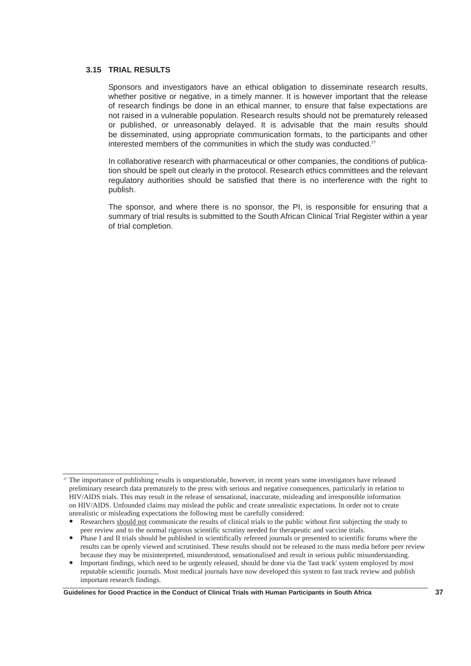#### **3.15 TRIAL RESULTS**

Sponsors and investigators have an ethical obligation to disseminate research results, whether positive or negative, in a timely manner. It is however important that the release of research findings be done in an ethical manner, to ensure that false expectations are not raised in a vulnerable population. Research results should not be prematurely released or published, or unreasonably delayed. It is advisable that the main results should be disseminated, using appropriate communication formats, to the participants and other interested members of the communities in which the study was conducted. $27$ 

In collaborative research with pharmaceutical or other companies, the conditions of publication should be spelt out clearly in the protocol. Research ethics committees and the relevant regulatory authorities should be satisfied that there is no interference with the right to publish.

The sponsor, and where there is no sponsor, the PI, is responsible for ensuring that a summary of trial results is submitted to the South African Clinical Trial Register within a year of trial completion.

<sup>&</sup>lt;sup>27</sup> The importance of publishing results is unquestionable, however, in recent years some investigators have released preliminary research data prematurely to the press with serious and negative consequences, particularly in relation to HIV/AIDS trials. This may result in the release of sensational, inaccurate, misleading and irresponsible information on HIV/AIDS. Unfounded claims may mislead the public and create unrealistic expectations. In order not to create unrealistic or misleading expectations the following must be carefully considered:

Researchers should not communicate the results of clinical trials to the public without first subjecting the study to peer review and to the normal rigorous scientific scrutiny needed for therapeutic and vaccine trials.

Phase I and II trials should be published in scientifically refereed journals or presented to scientific forums where the results can be openly viewed and scrutinised. These results should not be released to the mass media before peer review because they may be misinterpreted, misunderstood, sensationalised and result in serious public misunderstanding.

Important findings, which need to be urgently released, should be done via the 'fast track' system employed by most reputable scientific journals. Most medical journals have now developed this system to fast track review and publish important research findings.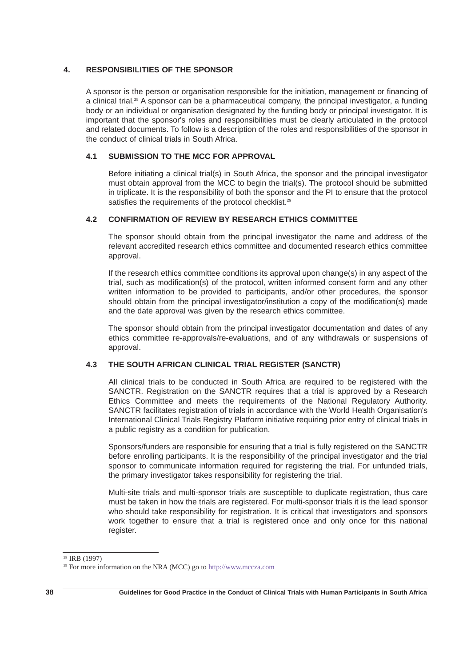## **4. RESPONSIBILITIES OF THE SPONSOR**

A sponsor is the person or organisation responsible for the initiation, management or financing of a clinical trial.28 A sponsor can be a pharmaceutical company, the principal investigator, a funding body or an individual or organisation designated by the funding body or principal investigator. It is important that the sponsor's roles and responsibilities must be clearly articulated in the protocol and related documents. To follow is a description of the roles and responsibilities of the sponsor in the conduct of clinical trials in South Africa.

## **4.1 SUBMISSION TO THE MCC FOR APPROVAL**

Before initiating a clinical trial(s) in South Africa, the sponsor and the principal investigator must obtain approval from the MCC to begin the trial(s). The protocol should be submitted in triplicate. It is the responsibility of both the sponsor and the PI to ensure that the protocol satisfies the requirements of the protocol checklist.<sup>29</sup>

## **4.2 CONFIRMATION OF REVIEW BY RESEARCH ETHICS COMMITTEE**

The sponsor should obtain from the principal investigator the name and address of the relevant accredited research ethics committee and documented research ethics committee approval.

If the research ethics committee conditions its approval upon change(s) in any aspect of the trial, such as modification(s) of the protocol, written informed consent form and any other written information to be provided to participants, and/or other procedures, the sponsor should obtain from the principal investigator/institution a copy of the modification(s) made and the date approval was given by the research ethics committee.

The sponsor should obtain from the principal investigator documentation and dates of any ethics committee re-approvals/re-evaluations, and of any withdrawals or suspensions of approval.

## **4.3 THE SOUTH AFRICAN CLINICAL TRIAL REGISTER (SANCTR)**

All clinical trials to be conducted in South Africa are required to be registered with the SANCTR. Registration on the SANCTR requires that a trial is approved by a Research Ethics Committee and meets the requirements of the National Regulatory Authority. SANCTR facilitates registration of trials in accordance with the World Health Organisation's International Clinical Trials Registry Platform initiative requiring prior entry of clinical trials in a public registry as a condition for publication.

Sponsors/funders are responsible for ensuring that a trial is fully registered on the SANCTR before enrolling participants. It is the responsibility of the principal investigator and the trial sponsor to communicate information required for registering the trial. For unfunded trials, the primary investigator takes responsibility for registering the trial.

Multi-site trials and multi-sponsor trials are susceptible to duplicate registration, thus care must be taken in how the trials are registered. For multi-sponsor trials it is the lead sponsor who should take responsibility for registration. It is critical that investigators and sponsors work together to ensure that a trial is registered once and only once for this national register.

<sup>28</sup> IRB (1997)

<sup>29</sup> For more information on the NRA (MCC) go to http://www.mccza.com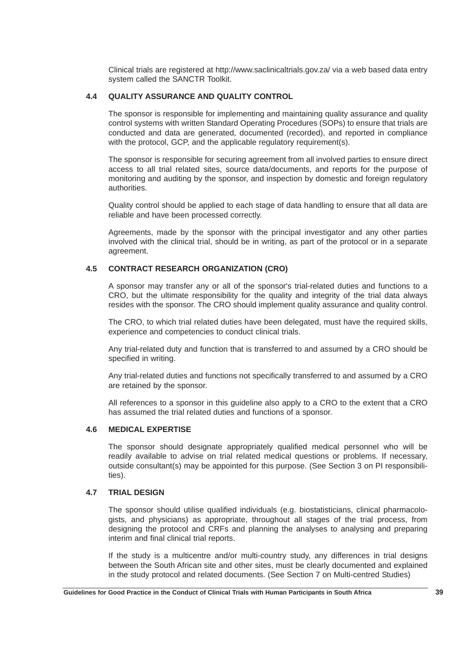Clinical trials are registered at http://www.saclinicaltrials.gov.za/ via a web based data entry system called the SANCTR Toolkit.

## **4.4 QUALITY ASSURANCE AND QUALITY CONTROL**

The sponsor is responsible for implementing and maintaining quality assurance and quality control systems with written Standard Operating Procedures (SOPs) to ensure that trials are conducted and data are generated, documented (recorded), and reported in compliance with the protocol, GCP, and the applicable regulatory requirement(s).

The sponsor is responsible for securing agreement from all involved parties to ensure direct access to all trial related sites, source data/documents, and reports for the purpose of monitoring and auditing by the sponsor, and inspection by domestic and foreign regulatory authorities.

Quality control should be applied to each stage of data handling to ensure that all data are reliable and have been processed correctly.

Agreements, made by the sponsor with the principal investigator and any other parties involved with the clinical trial, should be in writing, as part of the protocol or in a separate agreement.

#### **4.5 CONTRACT RESEARCH ORGANIZATION (CRO)**

A sponsor may transfer any or all of the sponsor's trial-related duties and functions to a CRO, but the ultimate responsibility for the quality and integrity of the trial data always resides with the sponsor. The CRO should implement quality assurance and quality control.

The CRO, to which trial related duties have been delegated, must have the required skills, experience and competencies to conduct clinical trials.

Any trial-related duty and function that is transferred to and assumed by a CRO should be specified in writing.

Any trial-related duties and functions not specifically transferred to and assumed by a CRO are retained by the sponsor.

All references to a sponsor in this guideline also apply to a CRO to the extent that a CRO has assumed the trial related duties and functions of a sponsor.

## **4.6 MEDICAL EXPERTISE**

The sponsor should designate appropriately qualified medical personnel who will be readily available to advise on trial related medical questions or problems. If necessary, outside consultant(s) may be appointed for this purpose. (See Section 3 on PI responsibilities).

#### **4.7 TRIAL DESIGN**

The sponsor should utilise qualified individuals (e.g. biostatisticians, clinical pharmacologists, and physicians) as appropriate, throughout all stages of the trial process, from designing the protocol and CRFs and planning the analyses to analysing and preparing interim and final clinical trial reports.

If the study is a multicentre and/or multi-country study, any differences in trial designs between the South African site and other sites, must be clearly documented and explained in the study protocol and related documents. (See Section 7 on Multi-centred Studies)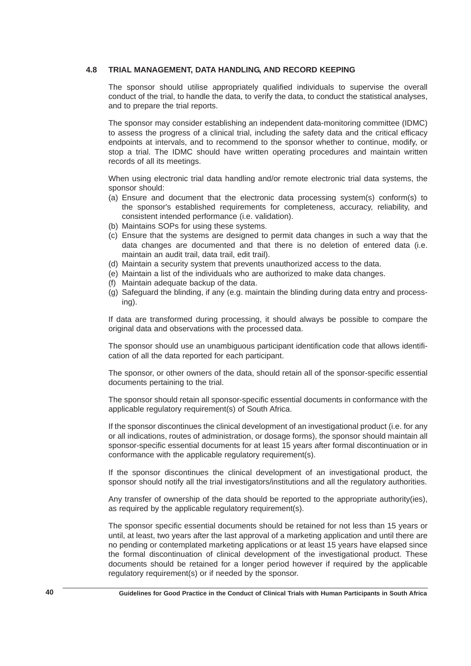#### **4.8 TRIAL MANAGEMENT, DATA HANDLING, AND RECORD KEEPING**

The sponsor should utilise appropriately qualified individuals to supervise the overall conduct of the trial, to handle the data, to verify the data, to conduct the statistical analyses, and to prepare the trial reports.

The sponsor may consider establishing an independent data-monitoring committee (IDMC) to assess the progress of a clinical trial, including the safety data and the critical efficacy endpoints at intervals, and to recommend to the sponsor whether to continue, modify, or stop a trial. The IDMC should have written operating procedures and maintain written records of all its meetings.

When using electronic trial data handling and/or remote electronic trial data systems, the sponsor should:

- (a) Ensure and document that the electronic data processing system(s) conform(s) to the sponsor's established requirements for completeness, accuracy, reliability, and consistent intended performance (i.e. validation).
- (b) Maintains SOPs for using these systems.
- (c) Ensure that the systems are designed to permit data changes in such a way that the data changes are documented and that there is no deletion of entered data (i.e. maintain an audit trail, data trail, edit trail).
- (d) Maintain a security system that prevents unauthorized access to the data.
- (e) Maintain a list of the individuals who are authorized to make data changes.
- (f) Maintain adequate backup of the data.
- (g) Safeguard the blinding, if any (e.g. maintain the blinding during data entry and processing).

If data are transformed during processing, it should always be possible to compare the original data and observations with the processed data.

The sponsor should use an unambiguous participant identification code that allows identification of all the data reported for each participant.

The sponsor, or other owners of the data, should retain all of the sponsor-specific essential documents pertaining to the trial.

The sponsor should retain all sponsor-specific essential documents in conformance with the applicable regulatory requirement(s) of South Africa.

If the sponsor discontinues the clinical development of an investigational product (i.e. for any or all indications, routes of administration, or dosage forms), the sponsor should maintain all sponsor-specific essential documents for at least 15 years after formal discontinuation or in conformance with the applicable regulatory requirement(s).

If the sponsor discontinues the clinical development of an investigational product, the sponsor should notify all the trial investigators/institutions and all the regulatory authorities.

Any transfer of ownership of the data should be reported to the appropriate authority(ies), as required by the applicable requited requirement(s).

The sponsor specific essential documents should be retained for not less than 15 years or until, at least, two years after the last approval of a marketing application and until there are no pending or contemplated marketing applications or at least 15 years have elapsed since the formal discontinuation of clinical development of the investigational product. These documents should be retained for a longer period however if required by the applicable regulatory requirement(s) or if needed by the sponsor.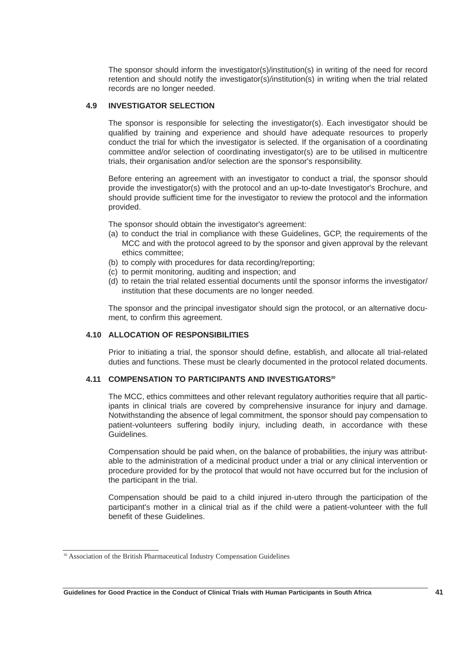The sponsor should inform the investigator(s)/institution(s) in writing of the need for record retention and should notify the investigator(s)/institution(s) in writing when the trial related records are no longer needed.

#### **4.9 INVESTIGATOR SELECTION**

The sponsor is responsible for selecting the investigator(s). Each investigator should be qualified by training and experience and should have adequate resources to properly conduct the trial for which the investigator is selected. If the organisation of a coordinating committee and/or selection of coordinating investigator(s) are to be utilised in multicentre trials, their organisation and/or selection are the sponsor's responsibility.

Before entering an agreement with an investigator to conduct a trial, the sponsor should provide the investigator(s) with the protocol and an up-to-date Investigator's Brochure, and should provide sufficient time for the investigator to review the protocol and the information provided.

The sponsor should obtain the investigator's agreement:

- (a) to conduct the trial in compliance with these Guidelines, GCP, the requirements of the MCC and with the protocol agreed to by the sponsor and given approval by the relevant ethics committee;
- (b) to comply with procedures for data recording/reporting;
- (c) to permit monitoring, auditing and inspection; and
- (d) to retain the trial related essential documents until the sponsor informs the investigator/ institution that these documents are no longer needed.

The sponsor and the principal investigator should sign the protocol, or an alternative document, to confirm this agreement.

#### **4.10 ALLOCATION OF RESPONSIBILITIES**

Prior to initiating a trial, the sponsor should define, establish, and allocate all trial-related duties and functions. These must be clearly documented in the protocol related documents.

## **4.11 COMPENSATION TO PARTICIPANTS AND INVESTIGATORS<sup>30</sup>**

The MCC, ethics committees and other relevant regulatory authorities require that all participants in clinical trials are covered by comprehensive insurance for injury and damage. Notwithstanding the absence of legal commitment, the sponsor should pay compensation to patient-volunteers suffering bodily injury, including death, in accordance with these Guidelines.

Compensation should be paid when, on the balance of probabilities, the injury was attributable to the administration of a medicinal product under a trial or any clinical intervention or procedure provided for by the protocol that would not have occurred but for the inclusion of the participant in the trial.

Compensation should be paid to a child injured in-utero through the participation of the participant's mother in a clinical trial as if the child were a patient-volunteer with the full benefit of these Guidelines.

<sup>&</sup>lt;sup>30</sup> Association of the British Pharmaceutical Industry Compensation Guidelines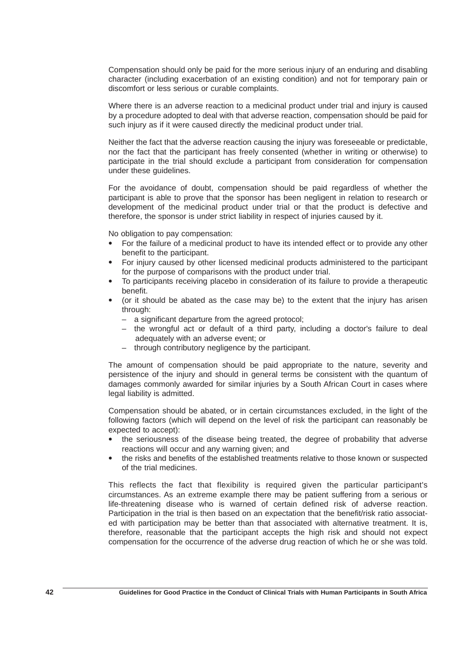Compensation should only be paid for the more serious injury of an enduring and disabling character (including exacerbation of an existing condition) and not for temporary pain or discomfort or less serious or curable complaints.

Where there is an adverse reaction to a medicinal product under trial and injury is caused by a procedure adopted to deal with that adverse reaction, compensation should be paid for such injury as if it were caused directly the medicinal product under trial.

Neither the fact that the adverse reaction causing the injury was foreseeable or predictable, nor the fact that the participant has freely consented (whether in writing or otherwise) to participate in the trial should exclude a participant from consideration for compensation under these guidelines.

For the avoidance of doubt, compensation should be paid regardless of whether the participant is able to prove that the sponsor has been negligent in relation to research or development of the medicinal product under trial or that the product is defective and therefore, the sponsor is under strict liability in respect of injuries caused by it.

No obligation to pay compensation:

- For the failure of a medicinal product to have its intended effect or to provide any other benefit to the participant.
- For injury caused by other licensed medicinal products administered to the participant for the purpose of comparisons with the product under trial.
- To participants receiving placebo in consideration of its failure to provide a therapeutic benefit.
- (or it should be abated as the case may be) to the extent that the injury has arisen through:
	- a significant departure from the agreed protocol;
	- the wrongful act or default of a third party, including a doctor's failure to deal adequately with an adverse event; or
	- through contributory negligence by the participant.

The amount of compensation should be paid appropriate to the nature, severity and persistence of the injury and should in general terms be consistent with the quantum of damages commonly awarded for similar injuries by a South African Court in cases where legal liability is admitted.

Compensation should be abated, or in certain circumstances excluded, in the light of the following factors (which will depend on the level of risk the participant can reasonably be expected to accept):

- the seriousness of the disease being treated, the degree of probability that adverse reactions will occur and any warning given; and
- the risks and benefits of the established treatments relative to those known or suspected of the trial medicines.

This reflects the fact that flexibility is required given the particular participant's circumstances. As an extreme example there may be patient suffering from a serious or life-threatening disease who is warned of certain defined risk of adverse reaction. Participation in the trial is then based on an expectation that the benefit/risk ratio associated with participation may be better than that associated with alternative treatment. It is, therefore, reasonable that the participant accepts the high risk and should not expect compensation for the occurrence of the adverse drug reaction of which he or she was told.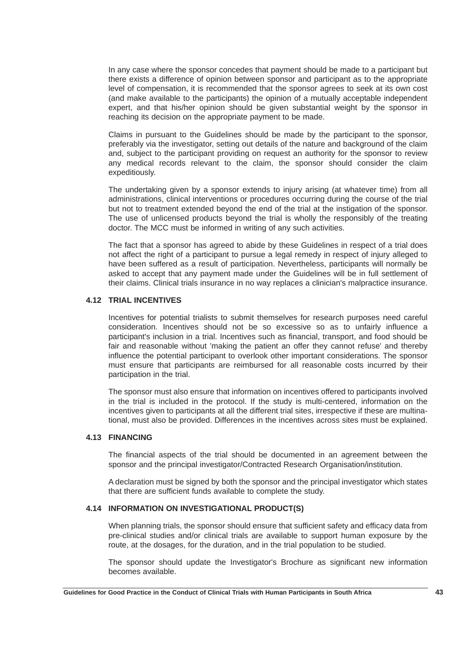In any case where the sponsor concedes that payment should be made to a participant but there exists a difference of opinion between sponsor and participant as to the appropriate level of compensation, it is recommended that the sponsor agrees to seek at its own cost (and make available to the participants) the opinion of a mutually acceptable independent expert, and that his/her opinion should be given substantial weight by the sponsor in reaching its decision on the appropriate payment to be made.

Claims in pursuant to the Guidelines should be made by the participant to the sponsor, preferably via the investigator, setting out details of the nature and background of the claim and, subject to the participant providing on request an authority for the sponsor to review any medical records relevant to the claim, the sponsor should consider the claim expeditiously.

The undertaking given by a sponsor extends to injury arising (at whatever time) from all administrations, clinical interventions or procedures occurring during the course of the trial but not to treatment extended beyond the end of the trial at the instigation of the sponsor. The use of unlicensed products beyond the trial is wholly the responsibly of the treating doctor. The MCC must be informed in writing of any such activities.

The fact that a sponsor has agreed to abide by these Guidelines in respect of a trial does not affect the right of a participant to pursue a legal remedy in respect of injury alleged to have been suffered as a result of participation. Nevertheless, participants will normally be asked to accept that any payment made under the Guidelines will be in full settlement of their claims. Clinical trials insurance in no way replaces a clinician's malpractice insurance.

#### **4.12 TRIAL INCENTIVES**

Incentives for potential trialists to submit themselves for research purposes need careful consideration. Incentives should not be so excessive so as to unfairly influence a participant's inclusion in a trial. Incentives such as financial, transport, and food should be fair and reasonable without 'making the patient an offer they cannot refuse' and thereby influence the potential participant to overlook other important considerations. The sponsor must ensure that participants are reimbursed for all reasonable costs incurred by their participation in the trial.

The sponsor must also ensure that information on incentives offered to participants involved in the trial is included in the protocol. If the study is multi-centered, information on the incentives given to participants at all the different trial sites, irrespective if these are multinational, must also be provided. Differences in the incentives across sites must be explained.

#### **4.13 FINANCING**

The financial aspects of the trial should be documented in an agreement between the sponsor and the principal investigator/Contracted Research Organisation/institution.

A declaration must be signed by both the sponsor and the principal investigator which states that there are sufficient funds available to complete the study.

#### **4.14 INFORMATION ON INVESTIGATIONAL PRODUCT(S)**

When planning trials, the sponsor should ensure that sufficient safety and efficacy data from pre-clinical studies and/or clinical trials are available to support human exposure by the route, at the dosages, for the duration, and in the trial population to be studied.

The sponsor should update the Investigator's Brochure as significant new information becomes available.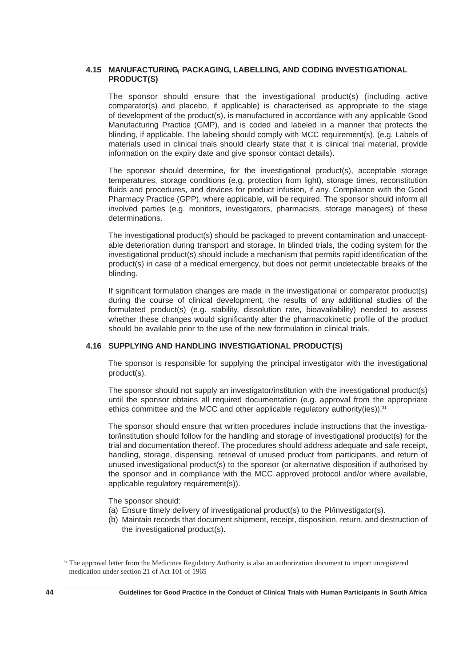## **4.15 MANUFACTURING, PACKAGING, LABELLING, AND CODING INVESTIGATIONAL PRODUCT(S)**

The sponsor should ensure that the investigational product(s) (including active comparator(s) and placebo, if applicable) is characterised as appropriate to the stage of development of the product(s), is manufactured in accordance with any applicable Good Manufacturing Practice (GMP), and is coded and labeled in a manner that protects the blinding, if applicable. The labeling should comply with MCC requirement(s). (e.g. Labels of materials used in clinical trials should clearly state that it is clinical trial material, provide information on the expiry date and give sponsor contact details).

The sponsor should determine, for the investigational product(s), acceptable storage temperatures, storage conditions (e.g. protection from light), storage times, reconstitution fluids and procedures, and devices for product infusion, if any. Compliance with the Good Pharmacy Practice (GPP), where applicable, will be required. The sponsor should inform all involved parties (e.g. monitors, investigators, pharmacists, storage managers) of these determinations.

The investigational product(s) should be packaged to prevent contamination and unacceptable deterioration during transport and storage. In blinded trials, the coding system for the investigational product(s) should include a mechanism that permits rapid identification of the product(s) in case of a medical emergency, but does not permit undetectable breaks of the blinding.

If significant formulation changes are made in the investigational or comparator product(s) during the course of clinical development, the results of any additional studies of the formulated product(s) (e.g. stability, dissolution rate, bioavailability) needed to assess whether these changes would significantly alter the pharmacokinetic profile of the product should be available prior to the use of the new formulation in clinical trials.

## **4.16 SUPPLYING AND HANDLING INVESTIGATIONAL PRODUCT(S)**

The sponsor is responsible for supplying the principal investigator with the investigational product(s).

The sponsor should not supply an investigator/institution with the investigational product(s) until the sponsor obtains all required documentation (e.g. approval from the appropriate ethics committee and the MCC and other applicable regulatory authority(ies)).<sup>31</sup>

The sponsor should ensure that written procedures include instructions that the investigator/institution should follow for the handling and storage of investigational product(s) for the trial and documentation thereof. The procedures should address adequate and safe receipt, handling, storage, dispensing, retrieval of unused product from participants, and return of unused investigational product(s) to the sponsor (or alternative disposition if authorised by the sponsor and in compliance with the MCC approved protocol and/or where available, applicable regulatory requirement(s)).

The sponsor should:

- (a) Ensure timely delivery of investigational product(s) to the PI/investigator(s).
- (b) Maintain records that document shipment, receipt, disposition, return, and destruction of the investigational product(s).

<sup>&</sup>lt;sup>31</sup> The approval letter from the Medicines Regulatory Authority is also an authorization document to import unregistered medication under section 21 of Act 101 of 1965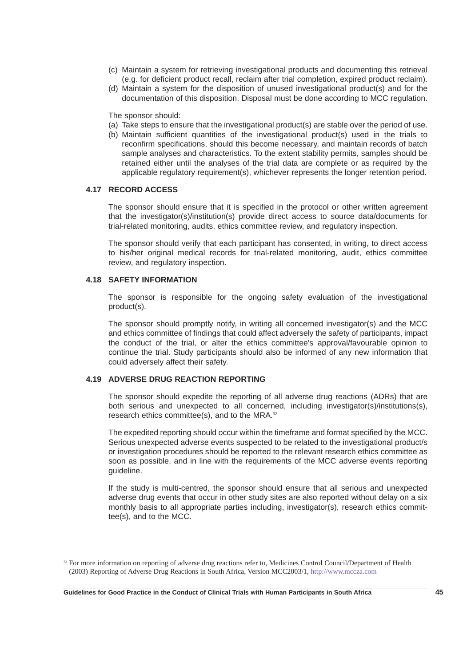- (c) Maintain a system for retrieving investigational products and documenting this retrieval (e.g. for deficient product recall, reclaim after trial completion, expired product reclaim).
- (d) Maintain a system for the disposition of unused investigational product(s) and for the documentation of this disposition. Disposal must be done according to MCC regulation.

The sponsor should:

- (a) Take steps to ensure that the investigational product(s) are stable over the period of use.
- (b) Maintain sufficient quantities of the investigational product(s) used in the trials to reconfirm specifications, should this become necessary, and maintain records of batch sample analyses and characteristics. To the extent stability permits, samples should be retained either until the analyses of the trial data are complete or as required by the applicable regulatory requirement(s), whichever represents the longer retention period.

#### **4.17 RECORD ACCESS**

The sponsor should ensure that it is specified in the protocol or other written agreement that the investigator(s)/institution(s) provide direct access to source data/documents for trial-related monitoring, audits, ethics committee review, and regulatory inspection.

The sponsor should verify that each participant has consented, in writing, to direct access to his/her original medical records for trial-related monitoring, audit, ethics committee review, and regulatory inspection.

#### **4.18 SAFETY INFORMATION**

The sponsor is responsible for the ongoing safety evaluation of the investigational product(s).

The sponsor should promptly notify, in writing all concerned investigator(s) and the MCC and ethics committee of findings that could affect adversely the safety of participants, impact the conduct of the trial, or alter the ethics committee's approval/favourable opinion to continue the trial. Study participants should also be informed of any new information that could adversely affect their safety.

## **4.19 ADVERSE DRUG REACTION REPORTING**

The sponsor should expedite the reporting of all adverse drug reactions (ADRs) that are both serious and unexpected to all concerned, including investigator(s)/institutions(s), research ethics committee(s), and to the MRA.32

The expedited reporting should occur within the timeframe and format specified by the MCC. Serious unexpected adverse events suspected to be related to the investigational product/s or investigation procedures should be reported to the relevant research ethics committee as soon as possible, and in line with the requirements of the MCC adverse events reporting guideline.

If the study is multi-centred, the sponsor should ensure that all serious and unexpected adverse drug events that occur in other study sites are also reported without delay on a six monthly basis to all appropriate parties including, investigator(s), research ethics committee(s), and to the MCC.

<sup>&</sup>lt;sup>32</sup> For more information on reporting of adverse drug reactions refer to, Medicines Control Council/Department of Health (2003) Reporting of Adverse Drug Reactions in South Africa, Version MCC2003/1, http://www.mccza.com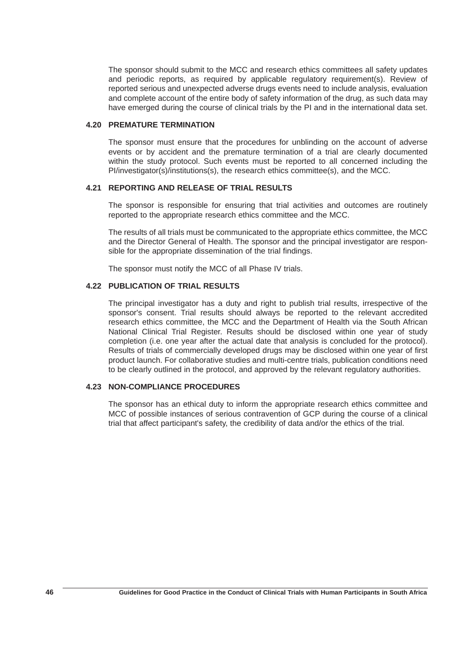The sponsor should submit to the MCC and research ethics committees all safety updates and periodic reports, as required by applicable regulatory requirement(s). Review of reported serious and unexpected adverse drugs events need to include analysis, evaluation and complete account of the entire body of safety information of the drug, as such data may have emerged during the course of clinical trials by the PI and in the international data set.

#### **4.20 PREMATURE TERMINATION**

The sponsor must ensure that the procedures for unblinding on the account of adverse events or by accident and the premature termination of a trial are clearly documented within the study protocol. Such events must be reported to all concerned including the PI/investigator(s)/institutions(s), the research ethics committee(s), and the MCC.

#### **4.21 REPORTING AND RELEASE OF TRIAL RESULTS**

The sponsor is responsible for ensuring that trial activities and outcomes are routinely reported to the appropriate research ethics committee and the MCC.

The results of all trials must be communicated to the appropriate ethics committee, the MCC and the Director General of Health. The sponsor and the principal investigator are responsible for the appropriate dissemination of the trial findings.

The sponsor must notify the MCC of all Phase IV trials.

#### **4.22 PUBLICATION OF TRIAL RESULTS**

The principal investigator has a duty and right to publish trial results, irrespective of the sponsor's consent. Trial results should always be reported to the relevant accredited research ethics committee, the MCC and the Department of Health via the South African National Clinical Trial Register. Results should be disclosed within one year of study completion (i.e. one year after the actual date that analysis is concluded for the protocol). Results of trials of commercially developed drugs may be disclosed within one year of first product launch. For collaborative studies and multi-centre trials, publication conditions need to be clearly outlined in the protocol, and approved by the relevant regulatory authorities.

#### **4.23 NON-COMPLIANCE PROCEDURES**

The sponsor has an ethical duty to inform the appropriate research ethics committee and MCC of possible instances of serious contravention of GCP during the course of a clinical trial that affect participant's safety, the credibility of data and/or the ethics of the trial.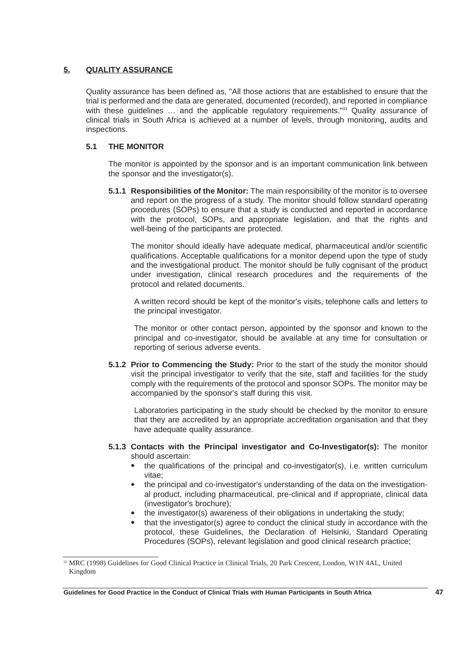## **5. QUALITY ASSURANCE**

Quality assurance has been defined as, "All those actions that are established to ensure that the trial is performed and the data are generated, documented (recorded), and reported in compliance with these quidelines ... and the applicable regulatory requirements."<sup>33</sup> Quality assurance of clinical trials in South Africa is achieved at a number of levels, through monitoring, audits and inspections.

## **5.1 THE MONITOR**

The monitor is appointed by the sponsor and is an important communication link between the sponsor and the investigator(s).

**5.1.1 Responsibilities of the Monitor:** The main responsibility of the monitor is to oversee and report on the progress of a study. The monitor should follow standard operating procedures (SOPs) to ensure that a study is conducted and reported in accordance with the protocol, SOPs, and appropriate legislation, and that the rights and well-being of the participants are protected.

The monitor should ideally have adequate medical, pharmaceutical and/or scientific qualifications. Acceptable qualifications for a monitor depend upon the type of study and the investigational product. The monitor should be fully cognisant of the product under investigation, clinical research procedures and the requirements of the protocol and related documents.

A written record should be kept of the monitor's visits, telephone calls and letters to the principal investigator.

The monitor or other contact person, appointed by the sponsor and known to the principal and co-investigator, should be available at any time for consultation or reporting of serious adverse events.

**5.1.2 Prior to Commencing the Study:** Prior to the start of the study the monitor should visit the principal investigator to verify that the site, staff and facilities for the study comply with the requirements of the protocol and sponsor SOPs. The monitor may be accompanied by the sponsor's staff during this visit.

Laboratories participating in the study should be checked by the monitor to ensure that they are accredited by an appropriate accreditation organisation and that they have adequate quality assurance.

- **5.1.3 Contacts with the Principal investigator and Co-Investigator(s):** The monitor should ascertain:
	- the qualifications of the principal and co-investigator(s), i.e. written curriculum vitae;
	- the principal and co-investigator's understanding of the data on the investigational product, including pharmaceutical, pre-clinical and if appropriate, clinical data (investigator's brochure);
	- the investigator(s) awareness of their obligations in undertaking the study;
	- that the investigator(s) agree to conduct the clinical study in accordance with the protocol, these Guidelines, the Declaration of Helsinki, Standard Operating Procedures (SOPs), relevant legislation and good clinical research practice;

<sup>33</sup> MRC (1998) Guidelines for Good Clinical Practice in Clinical Trials, 20 Park Crescent, London, W1N 4AL, United Kingdom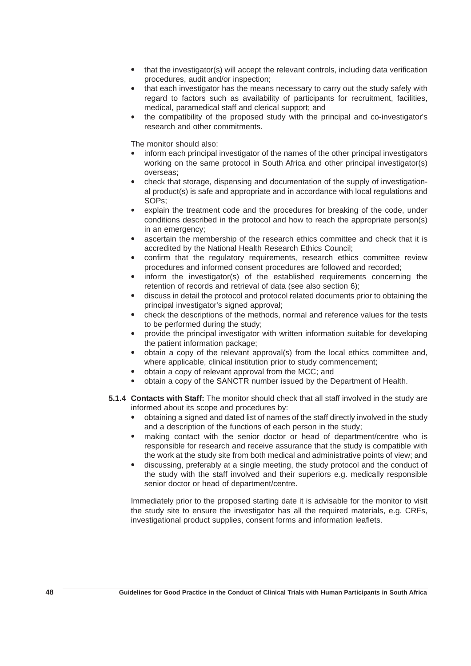- that the investigator(s) will accept the relevant controls, including data verification procedures, audit and/or inspection;
- that each investigator has the means necessary to carry out the study safely with regard to factors such as availability of participants for recruitment, facilities, medical, paramedical staff and clerical support; and
- the compatibility of the proposed study with the principal and co-investigator's research and other commitments.

The monitor should also:

- inform each principal investigator of the names of the other principal investigators working on the same protocol in South Africa and other principal investigator(s) overseas;
- check that storage, dispensing and documentation of the supply of investigational product(s) is safe and appropriate and in accordance with local regulations and SOPs;
- explain the treatment code and the procedures for breaking of the code, under conditions described in the protocol and how to reach the appropriate person(s) in an emergency;
- ascertain the membership of the research ethics committee and check that it is accredited by the National Health Research Ethics Council;
- confirm that the regulatory requirements, research ethics committee review procedures and informed consent procedures are followed and recorded;
- inform the investigator(s) of the established requirements concerning the retention of records and retrieval of data (see also section 6);
- discuss in detail the protocol and protocol related documents prior to obtaining the principal investigator's signed approval;
- check the descriptions of the methods, normal and reference values for the tests to be performed during the study;
- provide the principal investigator with written information suitable for developing the patient information package;
- obtain a copy of the relevant approval(s) from the local ethics committee and, where applicable, clinical institution prior to study commencement;
- obtain a copy of relevant approval from the MCC; and
- obtain a copy of the SANCTR number issued by the Department of Health.
- **5.1.4 Contacts with Staff:** The monitor should check that all staff involved in the study are informed about its scope and procedures by:
	- obtaining a signed and dated list of names of the staff directly involved in the study and a description of the functions of each person in the study;
	- making contact with the senior doctor or head of department/centre who is responsible for research and receive assurance that the study is compatible with the work at the study site from both medical and administrative points of view; and
	- discussing, preferably at a single meeting, the study protocol and the conduct of the study with the staff involved and their superiors e.g. medically responsible senior doctor or head of department/centre.

Immediately prior to the proposed starting date it is advisable for the monitor to visit the study site to ensure the investigator has all the required materials, e.g. CRFs, investigational product supplies, consent forms and information leaflets.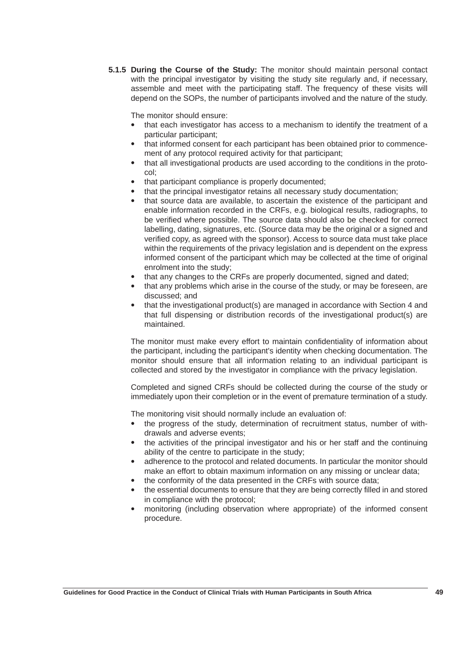**5.1.5 During the Course of the Study:** The monitor should maintain personal contact with the principal investigator by visiting the study site regularly and, if necessary, assemble and meet with the participating staff. The frequency of these visits will depend on the SOPs, the number of participants involved and the nature of the study.

The monitor should ensure:

- that each investigator has access to a mechanism to identify the treatment of a particular participant:
- that informed consent for each participant has been obtained prior to commencement of any protocol required activity for that participant:
- that all investigational products are used according to the conditions in the protocol;
- that participant compliance is properly documented;
- that the principal investigator retains all necessary study documentation;
- that source data are available, to ascertain the existence of the participant and enable information recorded in the CRFs, e.g. biological results, radiographs, to be verified where possible. The source data should also be checked for correct labelling, dating, signatures, etc. (Source data may be the original or a signed and verified copy, as agreed with the sponsor). Access to source data must take place within the requirements of the privacy legislation and is dependent on the express informed consent of the participant which may be collected at the time of original enrolment into the study;
- that any changes to the CRFs are properly documented, signed and dated;
- that any problems which arise in the course of the study, or may be foreseen, are discussed; and
- that the investigational product(s) are managed in accordance with Section 4 and that full dispensing or distribution records of the investigational product(s) are maintained.

The monitor must make every effort to maintain confidentiality of information about the participant, including the participant's identity when checking documentation. The monitor should ensure that all information relating to an individual participant is collected and stored by the investigator in compliance with the privacy legislation.

Completed and signed CRFs should be collected during the course of the study or immediately upon their completion or in the event of premature termination of a study.

The monitoring visit should normally include an evaluation of:

- the progress of the study, determination of recruitment status, number of withdrawals and adverse events;
- the activities of the principal investigator and his or her staff and the continuing ability of the centre to participate in the study;
- adherence to the protocol and related documents. In particular the monitor should make an effort to obtain maximum information on any missing or unclear data;
- the conformity of the data presented in the CRFs with source data;
- the essential documents to ensure that they are being correctly filled in and stored in compliance with the protocol;
- monitoring (including observation where appropriate) of the informed consent procedure.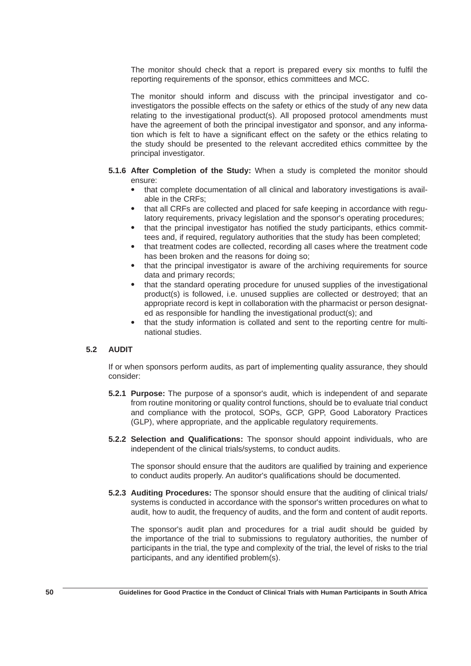The monitor should check that a report is prepared every six months to fulfil the reporting requirements of the sponsor, ethics committees and MCC.

The monitor should inform and discuss with the principal investigator and coinvestigators the possible effects on the safety or ethics of the study of any new data relating to the investigational product(s). All proposed protocol amendments must have the agreement of both the principal investigator and sponsor, and any information which is felt to have a significant effect on the safety or the ethics relating to the study should be presented to the relevant accredited ethics committee by the principal investigator.

- **5.1.6 After Completion of the Study:** When a study is completed the monitor should ensure:
	- that complete documentation of all clinical and laboratory investigations is available in the CRFs;
	- that all CRFs are collected and placed for safe keeping in accordance with regulatory requirements, privacy legislation and the sponsor's operating procedures;
	- that the principal investigator has notified the study participants, ethics committees and, if required, regulatory authorities that the study has been completed;
	- that treatment codes are collected, recording all cases where the treatment code has been broken and the reasons for doing so;
	- that the principal investigator is aware of the archiving requirements for source data and primary records;
	- that the standard operating procedure for unused supplies of the investigational product(s) is followed, i.e. unused supplies are collected or destroyed; that an appropriate record is kept in collaboration with the pharmacist or person designated as responsible for handling the investigational product(s); and
	- that the study information is collated and sent to the reporting centre for multinational studies.

## **5.2 AUDIT**

If or when sponsors perform audits, as part of implementing quality assurance, they should consider:

- **5.2.1 Purpose:** The purpose of a sponsor's audit, which is independent of and separate from routine monitoring or quality control functions, should be to evaluate trial conduct and compliance with the protocol, SOPs, GCP, GPP, Good Laboratory Practices (GLP), where appropriate, and the applicable regulatory requirements.
- **5.2.2 Selection and Qualifications:** The sponsor should appoint individuals, who are independent of the clinical trials/systems, to conduct audits.

The sponsor should ensure that the auditors are qualified by training and experience to conduct audits properly. An auditor's qualifications should be documented.

**5.2.3 Auditing Procedures:** The sponsor should ensure that the auditing of clinical trials/ systems is conducted in accordance with the sponsor's written procedures on what to audit, how to audit, the frequency of audits, and the form and content of audit reports.

The sponsor's audit plan and procedures for a trial audit should be guided by the importance of the trial to submissions to regulatory authorities, the number of participants in the trial, the type and complexity of the trial, the level of risks to the trial participants, and any identified problem(s).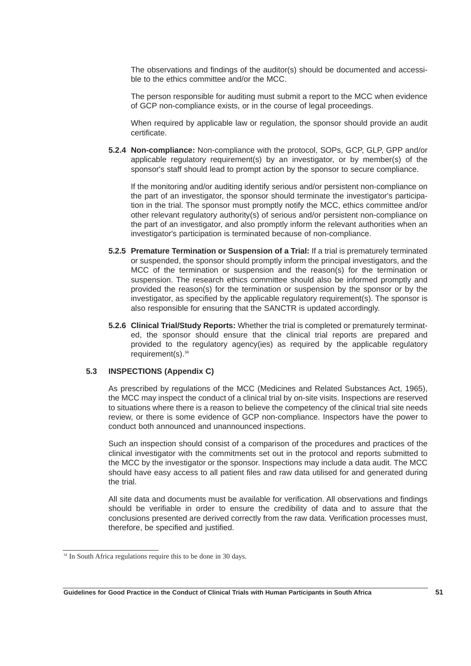The observations and findings of the auditor(s) should be documented and accessible to the ethics committee and/or the MCC.

The person responsible for auditing must submit a report to the MCC when evidence of GCP non-compliance exists, or in the course of legal proceedings.

When required by applicable law or regulation, the sponsor should provide an audit certificate.

**5.2.4 Non-compliance:** Non-compliance with the protocol, SOPs, GCP, GLP, GPP and/or applicable regulatory requirement(s) by an investigator, or by member(s) of the sponsor's staff should lead to prompt action by the sponsor to secure compliance.

If the monitoring and/or auditing identify serious and/or persistent non-compliance on the part of an investigator, the sponsor should terminate the investigator's participation in the trial. The sponsor must promptly notify the MCC, ethics committee and/or other relevant regulatory authority(s) of serious and/or persistent non-compliance on the part of an investigator, and also promptly inform the relevant authorities when an investigator's participation is terminated because of non-compliance.

- **5.2.5 Premature Termination or Suspension of a Trial:** If a trial is prematurely terminated or suspended, the sponsor should promptly inform the principal investigators, and the MCC of the termination or suspension and the reason(s) for the termination or suspension. The research ethics committee should also be informed promptly and provided the reason(s) for the termination or suspension by the sponsor or by the investigator, as specified by the applicable regulatory requirement(s). The sponsor is also responsible for ensuring that the SANCTR is updated accordingly.
- **5.2.6 Clinical Trial/Study Reports:** Whether the trial is completed or prematurely terminated, the sponsor should ensure that the clinical trial reports are prepared and provided to the regulatory agency(ies) as required by the applicable regulatory requirement(s).<sup>34</sup>

## **5.3 INSPECTIONS (Appendix C)**

As prescribed by regulations of the MCC (Medicines and Related Substances Act, 1965), the MCC may inspect the conduct of a clinical trial by on-site visits. Inspections are reserved to situations where there is a reason to believe the competency of the clinical trial site needs review, or there is some evidence of GCP non-compliance. Inspectors have the power to conduct both announced and unannounced inspections.

Such an inspection should consist of a comparison of the procedures and practices of the clinical investigator with the commitments set out in the protocol and reports submitted to the MCC by the investigator or the sponsor. Inspections may include a data audit. The MCC should have easy access to all patient files and raw data utilised for and generated during the trial.

All site data and documents must be available for verification. All observations and findings should be verifiable in order to ensure the credibility of data and to assure that the conclusions presented are derived correctly from the raw data. Verification processes must, therefore, be specified and justified.

<sup>&</sup>lt;sup>34</sup> In South Africa regulations require this to be done in 30 days.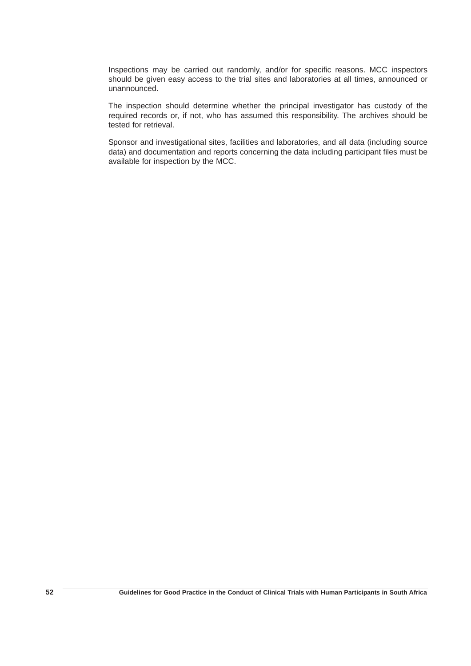Inspections may be carried out randomly, and/or for specific reasons. MCC inspectors should be given easy access to the trial sites and laboratories at all times, announced or unannounced.

The inspection should determine whether the principal investigator has custody of the required records or, if not, who has assumed this responsibility. The archives should be tested for retrieval.

Sponsor and investigational sites, facilities and laboratories, and all data (including source data) and documentation and reports concerning the data including participant files must be available for inspection by the MCC.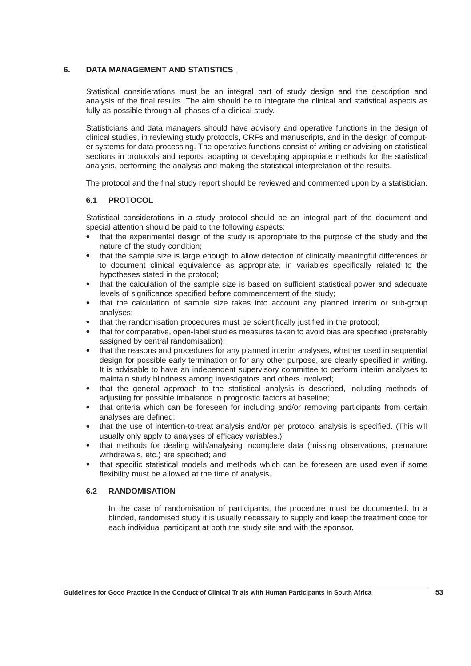## **6. DATA MANAGEMENT AND STATISTICS**

Statistical considerations must be an integral part of study design and the description and analysis of the final results. The aim should be to integrate the clinical and statistical aspects as fully as possible through all phases of a clinical study.

Statisticians and data managers should have advisory and operative functions in the design of clinical studies, in reviewing study protocols, CRFs and manuscripts, and in the design of computer systems for data processing. The operative functions consist of writing or advising on statistical sections in protocols and reports, adapting or developing appropriate methods for the statistical analysis, performing the analysis and making the statistical interpretation of the results.

The protocol and the final study report should be reviewed and commented upon by a statistician.

## **6.1 PROTOCOL**

Statistical considerations in a study protocol should be an integral part of the document and special attention should be paid to the following aspects:

- that the experimental design of the study is appropriate to the purpose of the study and the nature of the study condition;
- that the sample size is large enough to allow detection of clinically meaningful differences or to document clinical equivalence as appropriate, in variables specifically related to the hypotheses stated in the protocol;
- that the calculation of the sample size is based on sufficient statistical power and adequate levels of significance specified before commencement of the study;
- that the calculation of sample size takes into account any planned interim or sub-group analyses;
- that the randomisation procedures must be scientifically justified in the protocol;
- that for comparative, open-label studies measures taken to avoid bias are specified (preferably assigned by central randomisation);
- that the reasons and procedures for any planned interim analyses, whether used in sequential design for possible early termination or for any other purpose, are clearly specified in writing. It is advisable to have an independent supervisory committee to perform interim analyses to maintain study blindness among investigators and others involved;
- that the general approach to the statistical analysis is described, including methods of adjusting for possible imbalance in prognostic factors at baseline;
- that criteria which can be foreseen for including and/or removing participants from certain analyses are defined;
- that the use of intention-to-treat analysis and/or per protocol analysis is specified. (This will usually only apply to analyses of efficacy variables.);
- that methods for dealing with/analysing incomplete data (missing observations, premature withdrawals, etc.) are specified; and
- that specific statistical models and methods which can be foreseen are used even if some flexibility must be allowed at the time of analysis.

## **6.2 RANDOMISATION**

In the case of randomisation of participants, the procedure must be documented. In a blinded, randomised study it is usually necessary to supply and keep the treatment code for each individual participant at both the study site and with the sponsor.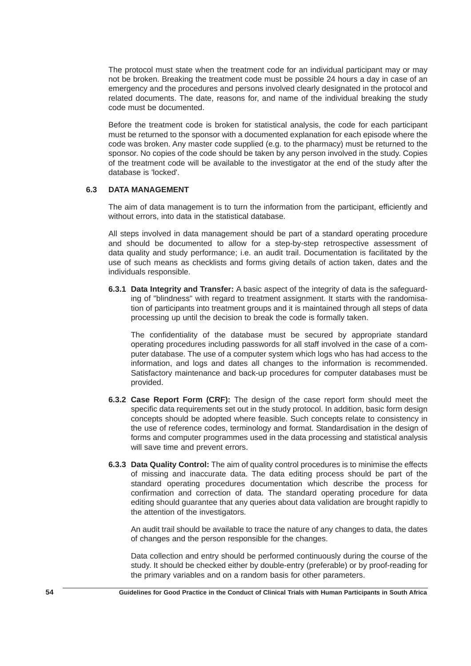The protocol must state when the treatment code for an individual participant may or may not be broken. Breaking the treatment code must be possible 24 hours a day in case of an emergency and the procedures and persons involved clearly designated in the protocol and related documents. The date, reasons for, and name of the individual breaking the study code must be documented.

Before the treatment code is broken for statistical analysis, the code for each participant must be returned to the sponsor with a documented explanation for each episode where the code was broken. Any master code supplied (e.g. to the pharmacy) must be returned to the sponsor. No copies of the code should be taken by any person involved in the study. Copies of the treatment code will be available to the investigator at the end of the study after the database is 'locked'.

## **6.3 DATA MANAGEMENT**

The aim of data management is to turn the information from the participant, efficiently and without errors, into data in the statistical database.

All steps involved in data management should be part of a standard operating procedure and should be documented to allow for a step-by-step retrospective assessment of data quality and study performance; i.e. an audit trail. Documentation is facilitated by the use of such means as checklists and forms giving details of action taken, dates and the individuals responsible.

**6.3.1 Data Integrity and Transfer:** A basic aspect of the integrity of data is the safeguarding of "blindness" with regard to treatment assignment. It starts with the randomisation of participants into treatment groups and it is maintained through all steps of data processing up until the decision to break the code is formally taken.

The confidentiality of the database must be secured by appropriate standard operating procedures including passwords for all staff involved in the case of a computer database. The use of a computer system which logs who has had access to the information, and logs and dates all changes to the information is recommended. Satisfactory maintenance and back-up procedures for computer databases must be provided.

- **6.3.2 Case Report Form (CRF):** The design of the case report form should meet the specific data requirements set out in the study protocol. In addition, basic form design concepts should be adopted where feasible. Such concepts relate to consistency in the use of reference codes, terminology and format. Standardisation in the design of forms and computer programmes used in the data processing and statistical analysis will save time and prevent errors.
- **6.3.3 Data Quality Control:** The aim of quality control procedures is to minimise the effects of missing and inaccurate data. The data editing process should be part of the standard operating procedures documentation which describe the process for confirmation and correction of data. The standard operating procedure for data editing should guarantee that any queries about data validation are brought rapidly to the attention of the investigators.

An audit trail should be available to trace the nature of any changes to data, the dates of changes and the person responsible for the changes.

Data collection and entry should be performed continuously during the course of the study. It should be checked either by double-entry (preferable) or by proof-reading for the primary variables and on a random basis for other parameters.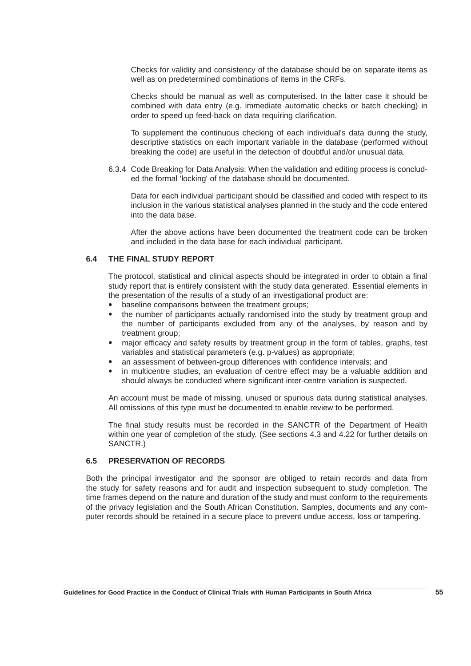Checks for validity and consistency of the database should be on separate items as well as on predetermined combinations of items in the CRFs.

Checks should be manual as well as computerised. In the latter case it should be combined with data entry (e.g. immediate automatic checks or batch checking) in order to speed up feed-back on data requiring clarification.

To supplement the continuous checking of each individual's data during the study, descriptive statistics on each important variable in the database (performed without breaking the code) are useful in the detection of doubtful and/or unusual data.

6.3.4 Code Breaking for Data Analysis: When the validation and editing process is concluded the formal 'locking' of the database should be documented.

Data for each individual participant should be classified and coded with respect to its inclusion in the various statistical analyses planned in the study and the code entered into the data base.

After the above actions have been documented the treatment code can be broken and included in the data base for each individual participant.

## **6.4 THE FINAL STUDY REPORT**

The protocol, statistical and clinical aspects should be integrated in order to obtain a final study report that is entirely consistent with the study data generated. Essential elements in the presentation of the results of a study of an investigational product are:

- baseline comparisons between the treatment groups;
- the number of participants actually randomised into the study by treatment group and the number of participants excluded from any of the analyses, by reason and by treatment group;
- major efficacy and safety results by treatment group in the form of tables, graphs, test variables and statistical parameters (e.g. p-values) as appropriate;
- an assessment of between-group differences with confidence intervals; and
- in multicentre studies, an evaluation of centre effect may be a valuable addition and should always be conducted where significant inter-centre variation is suspected.

An account must be made of missing, unused or spurious data during statistical analyses. All omissions of this type must be documented to enable review to be performed.

The final study results must be recorded in the SANCTR of the Department of Health within one year of completion of the study. (See sections 4.3 and 4.22 for further details on SANCTR.)

#### **6.5 PRESERVATION OF RECORDS**

Both the principal investigator and the sponsor are obliged to retain records and data from the study for safety reasons and for audit and inspection subsequent to study completion. The time frames depend on the nature and duration of the study and must conform to the requirements of the privacy legislation and the South African Constitution. Samples, documents and any computer records should be retained in a secure place to prevent undue access, loss or tampering.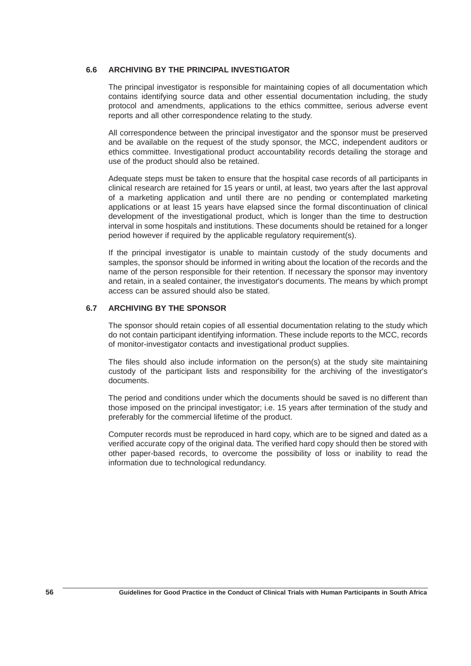#### **6.6 ARCHIVING BY THE PRINCIPAL INVESTIGATOR**

The principal investigator is responsible for maintaining copies of all documentation which contains identifying source data and other essential documentation including, the study protocol and amendments, applications to the ethics committee, serious adverse event reports and all other correspondence relating to the study.

All correspondence between the principal investigator and the sponsor must be preserved and be available on the request of the study sponsor, the MCC, independent auditors or ethics committee. Investigational product accountability records detailing the storage and use of the product should also be retained.

Adequate steps must be taken to ensure that the hospital case records of all participants in clinical research are retained for 15 years or until, at least, two years after the last approval of a marketing application and until there are no pending or contemplated marketing applications or at least 15 years have elapsed since the formal discontinuation of clinical development of the investigational product, which is longer than the time to destruction interval in some hospitals and institutions. These documents should be retained for a longer period however if required by the applicable regulatory requirement(s).

If the principal investigator is unable to maintain custody of the study documents and samples, the sponsor should be informed in writing about the location of the records and the name of the person responsible for their retention. If necessary the sponsor may inventory and retain, in a sealed container, the investigator's documents. The means by which prompt access can be assured should also be stated.

## **6.7 ARCHIVING BY THE SPONSOR**

The sponsor should retain copies of all essential documentation relating to the study which do not contain participant identifying information. These include reports to the MCC, records of monitor-investigator contacts and investigational product supplies.

The files should also include information on the person(s) at the study site maintaining custody of the participant lists and responsibility for the archiving of the investigator's documents.

The period and conditions under which the documents should be saved is no different than those imposed on the principal investigator; i.e. 15 years after termination of the study and preferably for the commercial lifetime of the product.

Computer records must be reproduced in hard copy, which are to be signed and dated as a verified accurate copy of the original data. The verified hard copy should then be stored with other paper-based records, to overcome the possibility of loss or inability to read the information due to technological redundancy.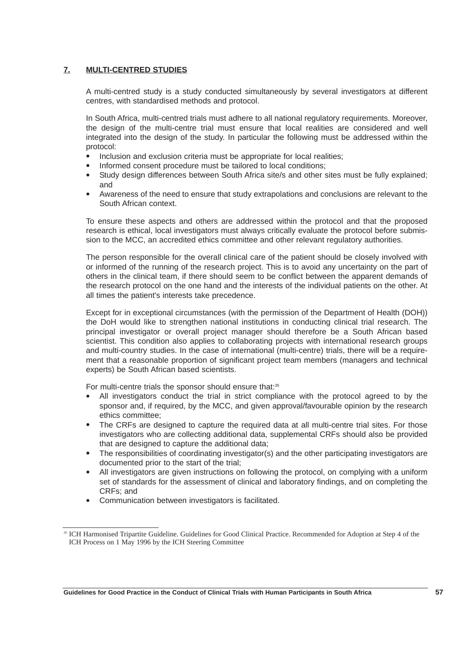## **7. MULTI-CENTRED STUDIES**

A multi-centred study is a study conducted simultaneously by several investigators at different centres, with standardised methods and protocol.

In South Africa, multi-centred trials must adhere to all national regulatory requirements. Moreover, the design of the multi-centre trial must ensure that local realities are considered and well integrated into the design of the study. In particular the following must be addressed within the protocol:

- Inclusion and exclusion criteria must be appropriate for local realities;
- Informed consent procedure must be tailored to local conditions;
- Study design differences between South Africa site/s and other sites must be fully explained; and
- Awareness of the need to ensure that study extrapolations and conclusions are relevant to the South African context.

To ensure these aspects and others are addressed within the protocol and that the proposed research is ethical, local investigators must always critically evaluate the protocol before submission to the MCC, an accredited ethics committee and other relevant regulatory authorities.

The person responsible for the overall clinical care of the patient should be closely involved with or informed of the running of the research project. This is to avoid any uncertainty on the part of others in the clinical team, if there should seem to be conflict between the apparent demands of the research protocol on the one hand and the interests of the individual patients on the other. At all times the patient's interests take precedence.

Except for in exceptional circumstances (with the permission of the Department of Health (DOH)) the DoH would like to strengthen national institutions in conducting clinical trial research. The principal investigator or overall project manager should therefore be a South African based scientist. This condition also applies to collaborating projects with international research groups and multi-country studies. In the case of international (multi-centre) trials, there will be a requirement that a reasonable proportion of significant project team members (managers and technical experts) be South African based scientists.

For multi-centre trials the sponsor should ensure that:<sup>35</sup>

- All investigators conduct the trial in strict compliance with the protocol agreed to by the sponsor and, if required, by the MCC, and given approval/favourable opinion by the research ethics committee;
- The CRFs are designed to capture the required data at all multi-centre trial sites. For those investigators who are collecting additional data, supplemental CRFs should also be provided that are designed to capture the additional data;
- The responsibilities of coordinating investigator(s) and the other participating investigators are documented prior to the start of the trial;
- All investigators are given instructions on following the protocol, on complying with a uniform set of standards for the assessment of clinical and laboratory findings, and on completing the CRFs; and
- Communication between investigators is facilitated.

<sup>35</sup> ICH Harmonised Tripartite Guideline. Guidelines for Good Clinical Practice. Recommended for Adoption at Step 4 of the ICH Process on 1 May 1996 by the ICH Steering Committee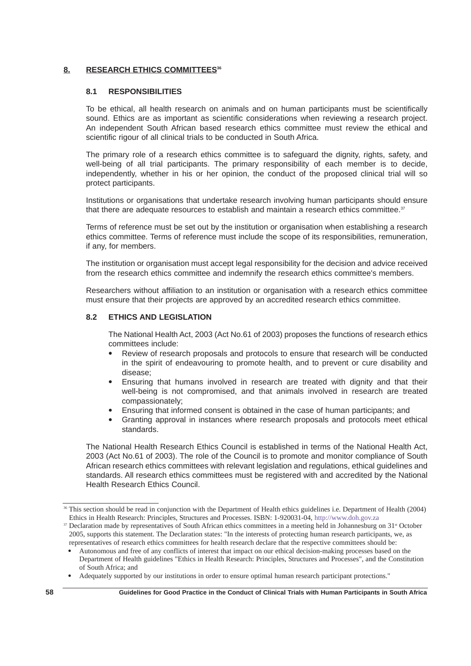## **8. RESEARCH ETHICS COMMITTEES**<sup>36</sup>

## **8.1 RESPONSIBILITIES**

To be ethical, all health research on animals and on human participants must be scientifically sound. Ethics are as important as scientific considerations when reviewing a research project. An independent South African based research ethics committee must review the ethical and scientific rigour of all clinical trials to be conducted in South Africa.

The primary role of a research ethics committee is to safeguard the dignity, rights, safety, and well-being of all trial participants. The primary responsibility of each member is to decide, independently, whether in his or her opinion, the conduct of the proposed clinical trial will so protect participants.

Institutions or organisations that undertake research involving human participants should ensure that there are adequate resources to establish and maintain a research ethics committee.<sup>37</sup>

Terms of reference must be set out by the institution or organisation when establishing a research ethics committee. Terms of reference must include the scope of its responsibilities, remuneration, if any, for members.

The institution or organisation must accept legal responsibility for the decision and advice received from the research ethics committee and indemnify the research ethics committee's members.

Researchers without affiliation to an institution or organisation with a research ethics committee must ensure that their projects are approved by an accredited research ethics committee.

## **8.2 ETHICS AND LEGISLATION**

The National Health Act, 2003 (Act No.61 of 2003) proposes the functions of research ethics committees include:

- Review of research proposals and protocols to ensure that research will be conducted in the spirit of endeavouring to promote health, and to prevent or cure disability and disease;
- Ensuring that humans involved in research are treated with dignity and that their well-being is not compromised, and that animals involved in research are treated compassionately;
- Ensuring that informed consent is obtained in the case of human participants; and
- Granting approval in instances where research proposals and protocols meet ethical standards.

The National Health Research Ethics Council is established in terms of the National Health Act, 2003 (Act No.61 of 2003). The role of the Council is to promote and monitor compliance of South African research ethics committees with relevant legislation and regulations, ethical guidelines and standards. All research ethics committees must be registered with and accredited by the National Health Research Ethics Council.

<sup>&</sup>lt;sup>36</sup> This section should be read in conjunction with the Department of Health ethics guidelines i.e. Department of Health (2004) Ethics in Health Research: Principles, Structures and Processes. ISBN: 1-920031-04, http://www.doh.gov.za

<sup>&</sup>lt;sup>37</sup> Declaration made by representatives of South African ethics committees in a meeting held in Johannesburg on 31<sup>st</sup> October 2005, supports this statement. The Declaration states: "In the interests of protecting human research participants, we, as representatives of research ethics committees for health research declare that the respective committees should be:

Autonomous and free of any conflicts of interest that impact on our ethical decision-making processes based on the Department of Health guidelines "Ethics in Health Research: Principles, Structures and Processes", and the Constitution of South Africa; and

Adequately supported by our institutions in order to ensure optimal human research participant protections."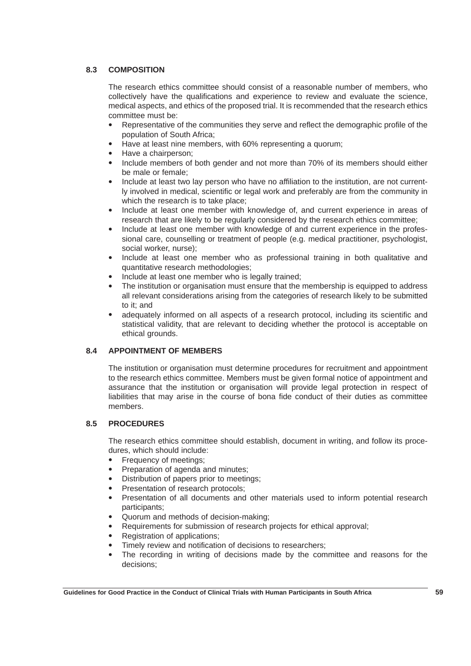## **8.3 COMPOSITION**

The research ethics committee should consist of a reasonable number of members, who collectively have the qualifications and experience to review and evaluate the science, medical aspects, and ethics of the proposed trial. It is recommended that the research ethics committee must be:

- Representative of the communities they serve and reflect the demographic profile of the population of South Africa;
- Have at least nine members, with 60% representing a quorum;
- Have a chairperson:
- Include members of both gender and not more than 70% of its members should either be male or female;
- Include at least two lay person who have no affiliation to the institution, are not currently involved in medical, scientific or legal work and preferably are from the community in which the research is to take place;
- Include at least one member with knowledge of, and current experience in areas of research that are likely to be regularly considered by the research ethics committee;
- Include at least one member with knowledge of and current experience in the professional care, counselling or treatment of people (e.g. medical practitioner, psychologist, social worker, nurse);
- Include at least one member who as professional training in both qualitative and quantitative research methodologies;
- Include at least one member who is legally trained:
- The institution or organisation must ensure that the membership is equipped to address all relevant considerations arising from the categories of research likely to be submitted to it; and
- adequately informed on all aspects of a research protocol, including its scientific and statistical validity, that are relevant to deciding whether the protocol is acceptable on ethical grounds.

## **8.4 APPOINTMENT OF MEMBERS**

The institution or organisation must determine procedures for recruitment and appointment to the research ethics committee. Members must be given formal notice of appointment and assurance that the institution or organisation will provide legal protection in respect of liabilities that may arise in the course of bona fide conduct of their duties as committee members.

## **8.5 PROCEDURES**

The research ethics committee should establish, document in writing, and follow its procedures, which should include:

- Frequency of meetings;
- Preparation of agenda and minutes;
- Distribution of papers prior to meetings;
- Presentation of research protocols;
- Presentation of all documents and other materials used to inform potential research participants;
- Quorum and methods of decision-making;
- Requirements for submission of research projects for ethical approval;
- Registration of applications;
- Timely review and notification of decisions to researchers;<br>• The recording in writing of decisions made by the com
- The recording in writing of decisions made by the committee and reasons for the decisions;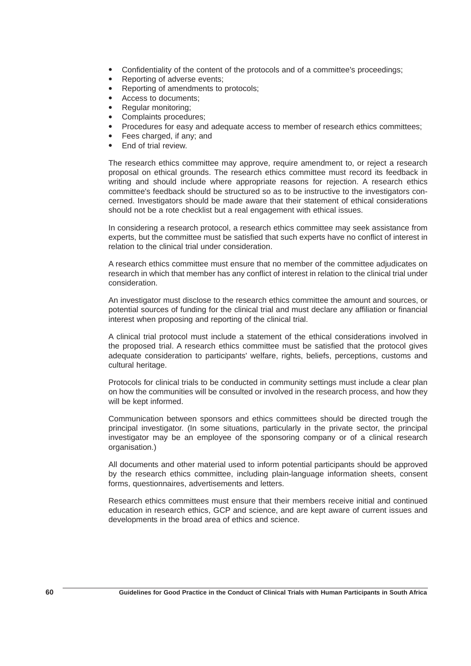- Confidentiality of the content of the protocols and of a committee's proceedings;
- Reporting of adverse events;
- Reporting of amendments to protocols;
- Access to documents;
- Regular monitoring;
- Complaints procedures;
- Procedures for easy and adequate access to member of research ethics committees;
- Fees charged, if any; and
- Fnd of trial review

The research ethics committee may approve, require amendment to, or reject a research proposal on ethical grounds. The research ethics committee must record its feedback in writing and should include where appropriate reasons for rejection. A research ethics committee's feedback should be structured so as to be instructive to the investigators concerned. Investigators should be made aware that their statement of ethical considerations should not be a rote checklist but a real engagement with ethical issues.

In considering a research protocol, a research ethics committee may seek assistance from experts, but the committee must be satisfied that such experts have no conflict of interest in relation to the clinical trial under consideration.

A research ethics committee must ensure that no member of the committee adjudicates on research in which that member has any conflict of interest in relation to the clinical trial under consideration.

An investigator must disclose to the research ethics committee the amount and sources, or potential sources of funding for the clinical trial and must declare any affiliation or financial interest when proposing and reporting of the clinical trial.

A clinical trial protocol must include a statement of the ethical considerations involved in the proposed trial. A research ethics committee must be satisfied that the protocol gives adequate consideration to participants' welfare, rights, beliefs, perceptions, customs and cultural heritage.

Protocols for clinical trials to be conducted in community settings must include a clear plan on how the communities will be consulted or involved in the research process, and how they will be kept informed.

Communication between sponsors and ethics committees should be directed trough the principal investigator. (In some situations, particularly in the private sector, the principal investigator may be an employee of the sponsoring company or of a clinical research organisation.)

All documents and other material used to inform potential participants should be approved by the research ethics committee, including plain-language information sheets, consent forms, questionnaires, advertisements and letters.

Research ethics committees must ensure that their members receive initial and continued education in research ethics, GCP and science, and are kept aware of current issues and developments in the broad area of ethics and science.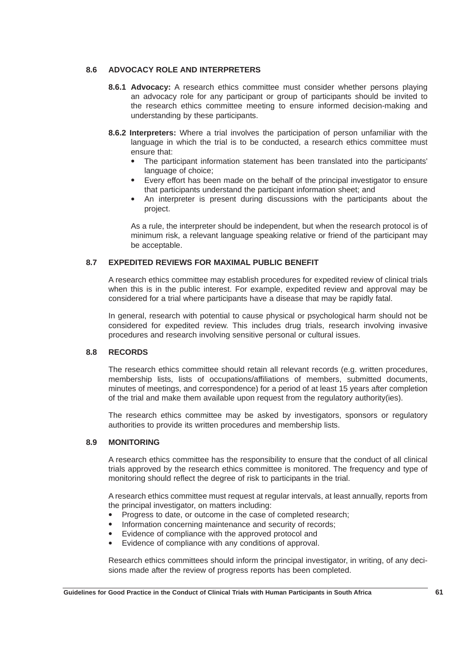#### **8.6 ADVOCACY ROLE AND INTERPRETERS**

- **8.6.1 Advocacy:** A research ethics committee must consider whether persons playing an advocacy role for any participant or group of participants should be invited to the research ethics committee meeting to ensure informed decision-making and understanding by these participants.
- **8.6.2 Interpreters:** Where a trial involves the participation of person unfamiliar with the language in which the trial is to be conducted, a research ethics committee must ensure that:
	- The participant information statement has been translated into the participants' language of choice;
	- Every effort has been made on the behalf of the principal investigator to ensure that participants understand the participant information sheet; and
	- An interpreter is present during discussions with the participants about the project.

As a rule, the interpreter should be independent, but when the research protocol is of minimum risk, a relevant language speaking relative or friend of the participant may be acceptable.

## **8.7 EXPEDITED REVIEWS FOR MAXIMAL PUBLIC BENEFIT**

A research ethics committee may establish procedures for expedited review of clinical trials when this is in the public interest. For example, expedited review and approval may be considered for a trial where participants have a disease that may be rapidly fatal.

In general, research with potential to cause physical or psychological harm should not be considered for expedited review. This includes drug trials, research involving invasive procedures and research involving sensitive personal or cultural issues.

## **8.8 RECORDS**

The research ethics committee should retain all relevant records (e.g. written procedures, membership lists, lists of occupations/affiliations of members, submitted documents, minutes of meetings, and correspondence) for a period of at least 15 years after completion of the trial and make them available upon request from the regulatory authority(ies).

The research ethics committee may be asked by investigators, sponsors or regulatory authorities to provide its written procedures and membership lists.

## **8.9 MONITORING**

A research ethics committee has the responsibility to ensure that the conduct of all clinical trials approved by the research ethics committee is monitored. The frequency and type of monitoring should reflect the degree of risk to participants in the trial.

A research ethics committee must request at regular intervals, at least annually, reports from the principal investigator, on matters including:

- Progress to date, or outcome in the case of completed research;
- Information concerning maintenance and security of records;
- Evidence of compliance with the approved protocol and
- Evidence of compliance with any conditions of approval.

Research ethics committees should inform the principal investigator, in writing, of any decisions made after the review of progress reports has been completed.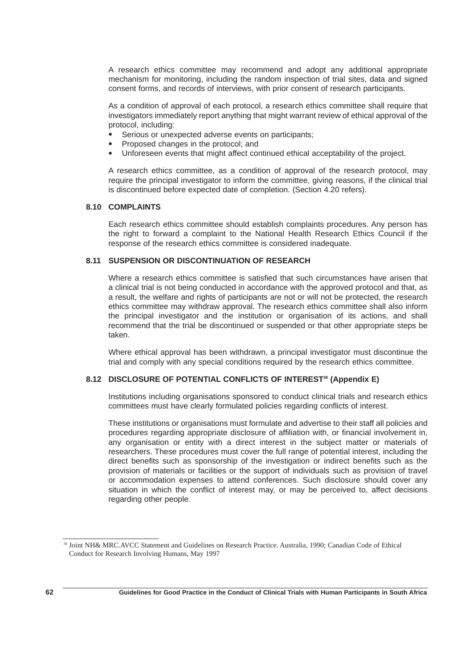A research ethics committee may recommend and adopt any additional appropriate mechanism for monitoring, including the random inspection of trial sites, data and signed consent forms, and records of interviews, with prior consent of research participants.

As a condition of approval of each protocol, a research ethics committee shall require that investigators immediately report anything that might warrant review of ethical approval of the protocol, including:

- Serious or unexpected adverse events on participants;
- Proposed changes in the protocol: and
- Unforeseen events that might affect continued ethical acceptability of the project.

A research ethics committee, as a condition of approval of the research protocol, may require the principal investigator to inform the committee, giving reasons, if the clinical trial is discontinued before expected date of completion. (Section 4.20 refers).

#### **8.10 COMPLAINTS**

Each research ethics committee should establish complaints procedures. Any person has the right to forward a complaint to the National Health Research Ethics Council if the response of the research ethics committee is considered inadequate.

## **8.11 SUSPENSION OR DISCONTINUATION OF RESEARCH**

Where a research ethics committee is satisfied that such circumstances have arisen that a clinical trial is not being conducted in accordance with the approved protocol and that, as a result, the welfare and rights of participants are not or will not be protected, the research ethics committee may withdraw approval. The research ethics committee shall also inform the principal investigator and the institution or organisation of its actions, and shall recommend that the trial be discontinued or suspended or that other appropriate steps be taken.

Where ethical approval has been withdrawn, a principal investigator must discontinue the trial and comply with any special conditions required by the research ethics committee.

#### **8.12 DISCLOSURE OF POTENTIAL CONFLICTS OF INTEREST38 (Appendix E)**

Institutions including organisations sponsored to conduct clinical trials and research ethics committees must have clearly formulated policies regarding conflicts of interest.

These institutions or organisations must formulate and advertise to their staff all policies and procedures regarding appropriate disclosure of affiliation with, or financial involvement in, any organisation or entity with a direct interest in the subject matter or materials of researchers. These procedures must cover the full range of potential interest, including the direct benefits such as sponsorship of the investigation or indirect benefits such as the provision of materials or facilities or the support of individuals such as provision of travel or accommodation expenses to attend conferences. Such disclosure should cover any situation in which the conflict of interest may, or may be perceived to, affect decisions regarding other people.

<sup>38</sup> Joint NH& MRC.AVCC Statement and Guidelines on Research Practice. Australia, 1990; Canadian Code of Ethical Conduct for Research Involving Humans, May 1997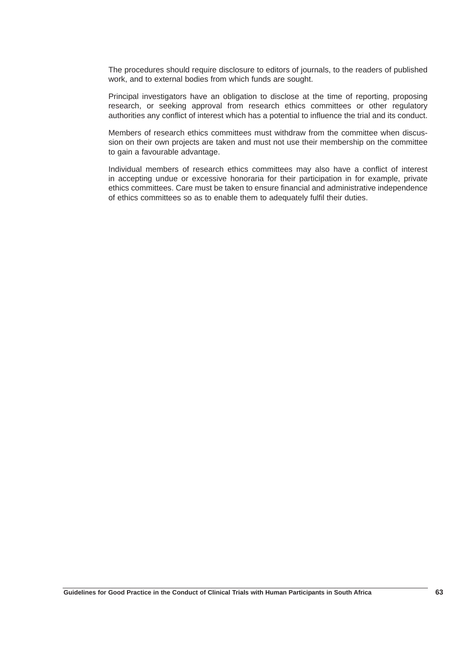The procedures should require disclosure to editors of journals, to the readers of published work, and to external bodies from which funds are sought.

Principal investigators have an obligation to disclose at the time of reporting, proposing research, or seeking approval from research ethics committees or other regulatory authorities any conflict of interest which has a potential to influence the trial and its conduct.

Members of research ethics committees must withdraw from the committee when discussion on their own projects are taken and must not use their membership on the committee to gain a favourable advantage.

Individual members of research ethics committees may also have a conflict of interest in accepting undue or excessive honoraria for their participation in for example, private ethics committees. Care must be taken to ensure financial and administrative independence of ethics committees so as to enable them to adequately fulfil their duties.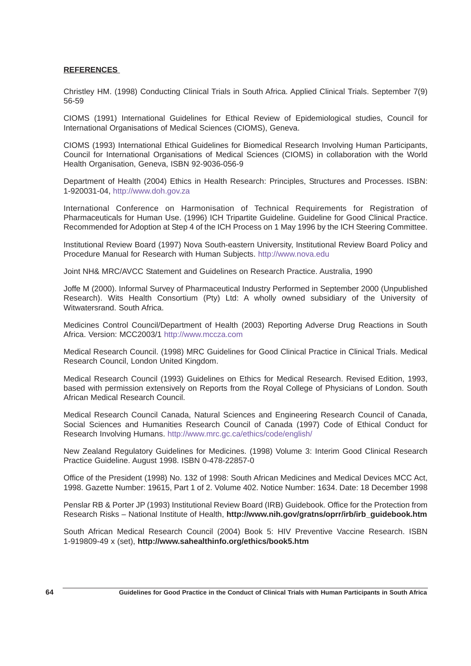#### **REFERENCES**

Christley HM. (1998) Conducting Clinical Trials in South Africa. Applied Clinical Trials. September 7(9) 56-59

CIOMS (1991) International Guidelines for Ethical Review of Epidemiological studies, Council for International Organisations of Medical Sciences (CIOMS), Geneva.

CIOMS (1993) International Ethical Guidelines for Biomedical Research Involving Human Participants, Council for International Organisations of Medical Sciences (CIOMS) in collaboration with the World Health Organisation, Geneva, ISBN 92-9036-056-9

Department of Health (2004) Ethics in Health Research: Principles, Structures and Processes. ISBN: 1-920031-04, http://www.doh.gov.za

International Conference on Harmonisation of Technical Requirements for Registration of Pharmaceuticals for Human Use. (1996) ICH Tripartite Guideline. Guideline for Good Clinical Practice. Recommended for Adoption at Step 4 of the ICH Process on 1 May 1996 by the ICH Steering Committee.

Institutional Review Board (1997) Nova South-eastern University, Institutional Review Board Policy and Procedure Manual for Research with Human Subjects. http://www.nova.edu

Joint NH& MRC/AVCC Statement and Guidelines on Research Practice. Australia, 1990

Joffe M (2000). Informal Survey of Pharmaceutical Industry Performed in September 2000 (Unpublished Research). Wits Health Consortium (Pty) Ltd: A wholly owned subsidiary of the University of Witwatersrand. South Africa.

Medicines Control Council/Department of Health (2003) Reporting Adverse Drug Reactions in South Africa. Version: MCC2003/1 http://www.mccza.com

Medical Research Council. (1998) MRC Guidelines for Good Clinical Practice in Clinical Trials. Medical Research Council, London United Kingdom.

Medical Research Council (1993) Guidelines on Ethics for Medical Research. Revised Edition, 1993, based with permission extensively on Reports from the Royal College of Physicians of London. South African Medical Research Council.

Medical Research Council Canada, Natural Sciences and Engineering Research Council of Canada, Social Sciences and Humanities Research Council of Canada (1997) Code of Ethical Conduct for Research Involving Humans. http://www.mrc.gc.ca/ethics/code/english/

New Zealand Regulatory Guidelines for Medicines. (1998) Volume 3: Interim Good Clinical Research Practice Guideline. August 1998. ISBN 0-478-22857-0

Office of the President (1998) No. 132 of 1998: South African Medicines and Medical Devices MCC Act, 1998. Gazette Number: 19615, Part 1 of 2. Volume 402. Notice Number: 1634. Date: 18 December 1998

Penslar RB & Porter JP (1993) Institutional Review Board (IRB) Guidebook. Office for the Protection from Research Risks – National Institute of Health, **http://www.nih.gov/gratns/oprr/irb/irb\_guidebook.htm**

South African Medical Research Council (2004) Book 5: HIV Preventive Vaccine Research. ISBN 1-919809-49 x (set), **http://www.sahealthinfo.org/ethics/book5.htm**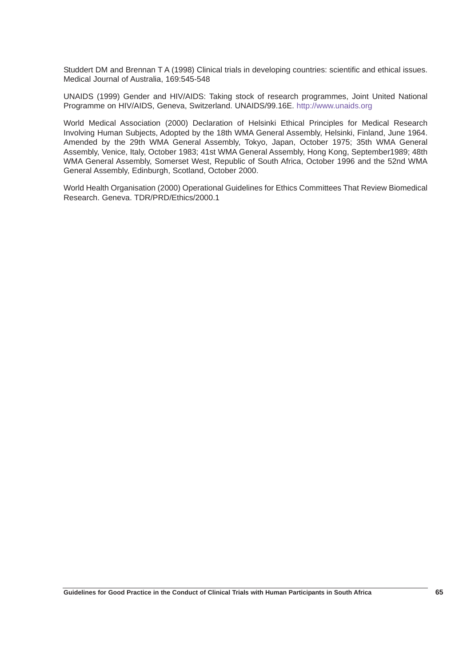Studdert DM and Brennan T A (1998) Clinical trials in developing countries: scientific and ethical issues. Medical Journal of Australia, 169:545-548

UNAIDS (1999) Gender and HIV/AIDS: Taking stock of research programmes, Joint United National Programme on HIV/AIDS, Geneva, Switzerland. UNAIDS/99.16E. http://www.unaids.org

World Medical Association (2000) Declaration of Helsinki Ethical Principles for Medical Research Involving Human Subjects, Adopted by the 18th WMA General Assembly, Helsinki, Finland, June 1964. Amended by the 29th WMA General Assembly, Tokyo, Japan, October 1975; 35th WMA General Assembly, Venice, Italy, October 1983; 41st WMA General Assembly, Hong Kong, September1989; 48th WMA General Assembly, Somerset West, Republic of South Africa, October 1996 and the 52nd WMA General Assembly, Edinburgh, Scotland, October 2000.

World Health Organisation (2000) Operational Guidelines for Ethics Committees That Review Biomedical Research. Geneva. TDR/PRD/Ethics/2000.1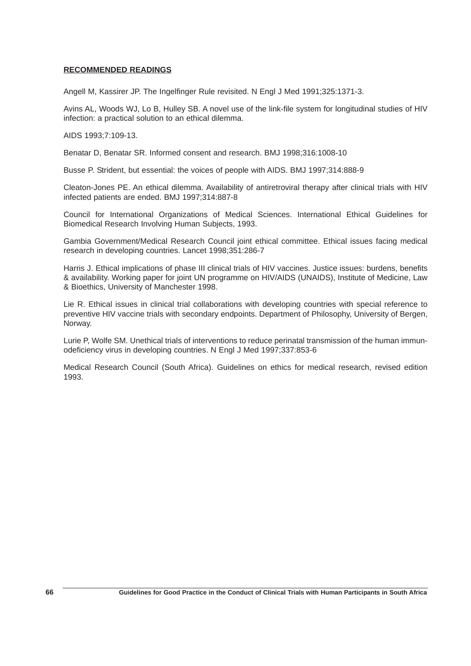#### **RECOMMENDED READINGS**

Angell M, Kassirer JP. The Ingelfinger Rule revisited. N Engl J Med 1991;325:1371-3.

Avins AL, Woods WJ, Lo B, Hulley SB. A novel use of the link-file system for longitudinal studies of HIV infection: a practical solution to an ethical dilemma.

AIDS 1993;7:109-13.

Benatar D, Benatar SR. Informed consent and research. BMJ 1998;316:1008-10

Busse P. Strident, but essential: the voices of people with AIDS. BMJ 1997;314:888-9

Cleaton-Jones PE. An ethical dilemma. Availability of antiretroviral therapy after clinical trials with HIV infected patients are ended. BMJ 1997;314:887-8

Council for International Organizations of Medical Sciences. International Ethical Guidelines for Biomedical Research Involving Human Subjects, 1993.

Gambia Government/Medical Research Council joint ethical committee. Ethical issues facing medical research in developing countries. Lancet 1998;351:286-7

Harris J. Ethical implications of phase III clinical trials of HIV vaccines. Justice issues: burdens, benefits & availability. Working paper for joint UN programme on HIV/AIDS (UNAIDS), Institute of Medicine, Law & Bioethics, University of Manchester 1998.

Lie R. Ethical issues in clinical trial collaborations with developing countries with special reference to preventive HIV vaccine trials with secondary endpoints. Department of Philosophy, University of Bergen, Norway.

Lurie P, Wolfe SM. Unethical trials of interventions to reduce perinatal transmission of the human immunodeficiency virus in developing countries. N Engl J Med 1997;337:853-6

Medical Research Council (South Africa). Guidelines on ethics for medical research, revised edition 1993.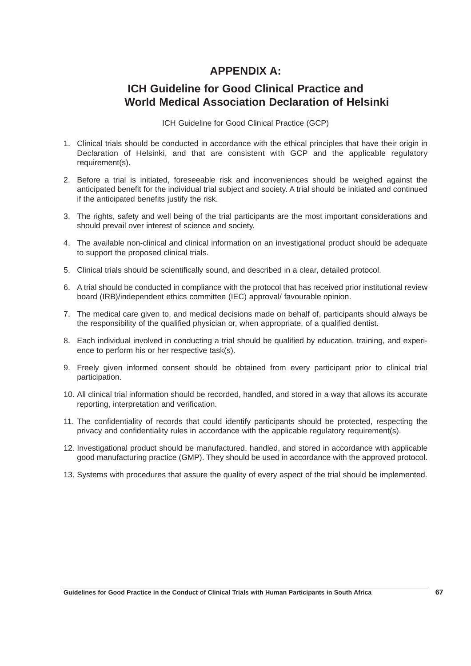## **APPENDIX A:**

# **ICH Guideline for Good Clinical Practice and World Medical Association Declaration of Helsinki**

ICH Guideline for Good Clinical Practice (GCP)

- 1. Clinical trials should be conducted in accordance with the ethical principles that have their origin in Declaration of Helsinki, and that are consistent with GCP and the applicable regulatory requirement(s).
- 2. Before a trial is initiated, foreseeable risk and inconveniences should be weighed against the anticipated benefit for the individual trial subject and society. A trial should be initiated and continued if the anticipated benefits justify the risk.
- 3. The rights, safety and well being of the trial participants are the most important considerations and should prevail over interest of science and society.
- 4. The available non-clinical and clinical information on an investigational product should be adequate to support the proposed clinical trials.
- 5. Clinical trials should be scientifically sound, and described in a clear, detailed protocol.
- 6. A trial should be conducted in compliance with the protocol that has received prior institutional review board (IRB)/independent ethics committee (IEC) approval/ favourable opinion.
- 7. The medical care given to, and medical decisions made on behalf of, participants should always be the responsibility of the qualified physician or, when appropriate, of a qualified dentist.
- 8. Each individual involved in conducting a trial should be qualified by education, training, and experience to perform his or her respective task(s).
- 9. Freely given informed consent should be obtained from every participant prior to clinical trial participation.
- 10. All clinical trial information should be recorded, handled, and stored in a way that allows its accurate reporting, interpretation and verification.
- 11. The confidentiality of records that could identify participants should be protected, respecting the privacy and confidentiality rules in accordance with the applicable regulatory requirement(s).
- 12. Investigational product should be manufactured, handled, and stored in accordance with applicable good manufacturing practice (GMP). They should be used in accordance with the approved protocol.
- 13. Systems with procedures that assure the quality of every aspect of the trial should be implemented.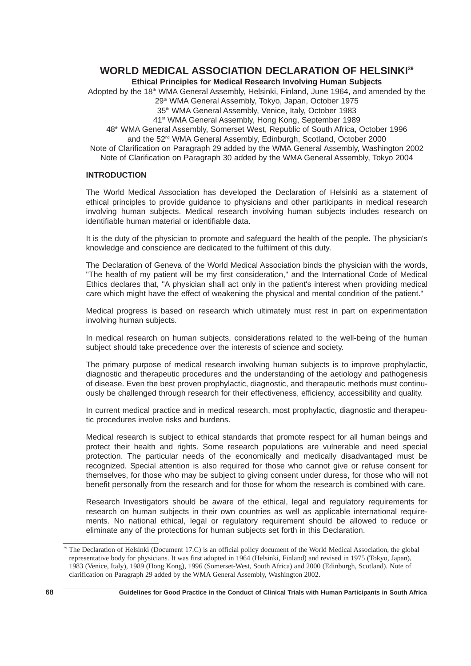## **WORLD MEDICAL ASSOCIATION DECLARATION OF HELSINKI39**

**Ethical Principles for Medical Research Involving Human Subjects**

Adopted by the 18th WMA General Assembly, Helsinki, Finland, June 1964, and amended by the

29<sup>th</sup> WMA General Assembly, Tokyo, Japan, October 1975

35<sup>th</sup> WMA General Assembly, Venice, Italy, October 1983

41st WMA General Assembly, Hong Kong, September 1989

48th WMA General Assembly, Somerset West, Republic of South Africa, October 1996 and the 52<sup>nd</sup> WMA General Assembly, Edinburgh, Scotland, October 2000

Note of Clarification on Paragraph 29 added by the WMA General Assembly, Washington 2002 Note of Clarification on Paragraph 30 added by the WMA General Assembly, Tokyo 2004

#### **INTRODUCTION**

The World Medical Association has developed the Declaration of Helsinki as a statement of ethical principles to provide guidance to physicians and other participants in medical research involving human subjects. Medical research involving human subjects includes research on identifiable human material or identifiable data.

It is the duty of the physician to promote and safeguard the health of the people. The physician's knowledge and conscience are dedicated to the fulfilment of this duty.

The Declaration of Geneva of the World Medical Association binds the physician with the words, "The health of my patient will be my first consideration," and the International Code of Medical Ethics declares that, "A physician shall act only in the patient's interest when providing medical care which might have the effect of weakening the physical and mental condition of the patient."

Medical progress is based on research which ultimately must rest in part on experimentation involving human subjects.

In medical research on human subjects, considerations related to the well-being of the human subject should take precedence over the interests of science and society.

The primary purpose of medical research involving human subjects is to improve prophylactic, diagnostic and therapeutic procedures and the understanding of the aetiology and pathogenesis of disease. Even the best proven prophylactic, diagnostic, and therapeutic methods must continuously be challenged through research for their effectiveness, efficiency, accessibility and quality.

In current medical practice and in medical research, most prophylactic, diagnostic and therapeutic procedures involve risks and burdens.

Medical research is subject to ethical standards that promote respect for all human beings and protect their health and rights. Some research populations are vulnerable and need special protection. The particular needs of the economically and medically disadvantaged must be recognized. Special attention is also required for those who cannot give or refuse consent for themselves, for those who may be subject to giving consent under duress, for those who will not benefit personally from the research and for those for whom the research is combined with care.

Research Investigators should be aware of the ethical, legal and regulatory requirements for research on human subjects in their own countries as well as applicable international requirements. No national ethical, legal or regulatory requirement should be allowed to reduce or eliminate any of the protections for human subjects set forth in this Declaration.

<sup>&</sup>lt;sup>39</sup> The Declaration of Helsinki (Document 17.C) is an official policy document of the World Medical Association, the global representative body for physicians. It was first adopted in 1964 (Helsinki, Finland) and revised in 1975 (Tokyo, Japan), 1983 (Venice, Italy), 1989 (Hong Kong), 1996 (Somerset-West, South Africa) and 2000 (Edinburgh, Scotland). Note of clarification on Paragraph 29 added by the WMA General Assembly, Washington 2002.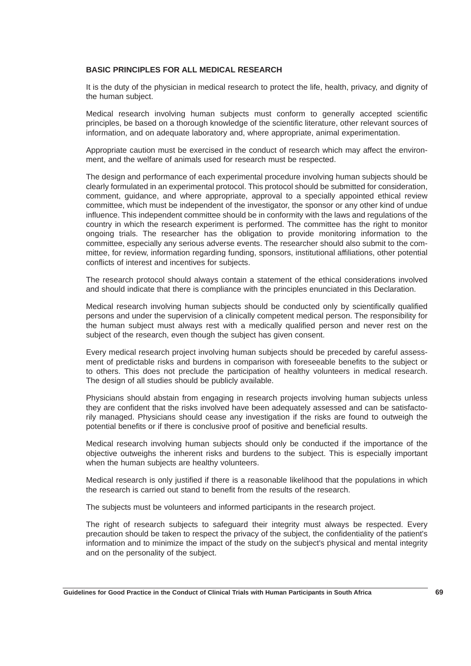#### **BASIC PRINCIPLES FOR ALL MEDICAL RESEARCH**

It is the duty of the physician in medical research to protect the life, health, privacy, and dignity of the human subject.

Medical research involving human subjects must conform to generally accepted scientific principles, be based on a thorough knowledge of the scientific literature, other relevant sources of information, and on adequate laboratory and, where appropriate, animal experimentation.

Appropriate caution must be exercised in the conduct of research which may affect the environment, and the welfare of animals used for research must be respected.

The design and performance of each experimental procedure involving human subjects should be clearly formulated in an experimental protocol. This protocol should be submitted for consideration, comment, guidance, and where appropriate, approval to a specially appointed ethical review committee, which must be independent of the investigator, the sponsor or any other kind of undue influence. This independent committee should be in conformity with the laws and regulations of the country in which the research experiment is performed. The committee has the right to monitor ongoing trials. The researcher has the obligation to provide monitoring information to the committee, especially any serious adverse events. The researcher should also submit to the committee, for review, information regarding funding, sponsors, institutional affiliations, other potential conflicts of interest and incentives for subjects.

The research protocol should always contain a statement of the ethical considerations involved and should indicate that there is compliance with the principles enunciated in this Declaration.

Medical research involving human subjects should be conducted only by scientifically qualified persons and under the supervision of a clinically competent medical person. The responsibility for the human subject must always rest with a medically qualified person and never rest on the subject of the research, even though the subject has given consent.

Every medical research project involving human subjects should be preceded by careful assessment of predictable risks and burdens in comparison with foreseeable benefits to the subject or to others. This does not preclude the participation of healthy volunteers in medical research. The design of all studies should be publicly available.

Physicians should abstain from engaging in research projects involving human subjects unless they are confident that the risks involved have been adequately assessed and can be satisfactorily managed. Physicians should cease any investigation if the risks are found to outweigh the potential benefits or if there is conclusive proof of positive and beneficial results.

Medical research involving human subjects should only be conducted if the importance of the objective outweighs the inherent risks and burdens to the subject. This is especially important when the human subjects are healthy volunteers.

Medical research is only justified if there is a reasonable likelihood that the populations in which the research is carried out stand to benefit from the results of the research.

The subjects must be volunteers and informed participants in the research project.

The right of research subjects to safeguard their integrity must always be respected. Every precaution should be taken to respect the privacy of the subject, the confidentiality of the patient's information and to minimize the impact of the study on the subject's physical and mental integrity and on the personality of the subject.

**Guidelines for Good Practice in the Conduct of Clinical Trials with Human Participants in South Africa 69**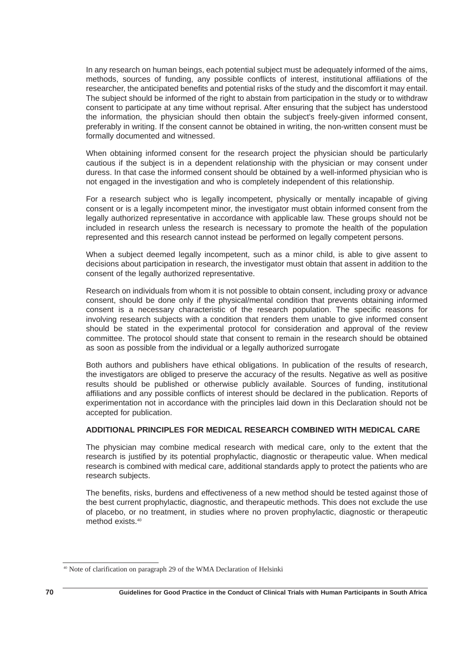In any research on human beings, each potential subject must be adequately informed of the aims, methods, sources of funding, any possible conflicts of interest, institutional affiliations of the researcher, the anticipated benefits and potential risks of the study and the discomfort it may entail. The subject should be informed of the right to abstain from participation in the study or to withdraw consent to participate at any time without reprisal. After ensuring that the subject has understood the information, the physician should then obtain the subject's freely-given informed consent, preferably in writing. If the consent cannot be obtained in writing, the non-written consent must be formally documented and witnessed.

When obtaining informed consent for the research project the physician should be particularly cautious if the subject is in a dependent relationship with the physician or may consent under duress. In that case the informed consent should be obtained by a well-informed physician who is not engaged in the investigation and who is completely independent of this relationship.

For a research subject who is legally incompetent, physically or mentally incapable of giving consent or is a legally incompetent minor, the investigator must obtain informed consent from the legally authorized representative in accordance with applicable law. These groups should not be included in research unless the research is necessary to promote the health of the population represented and this research cannot instead be performed on legally competent persons.

When a subject deemed legally incompetent, such as a minor child, is able to give assent to decisions about participation in research, the investigator must obtain that assent in addition to the consent of the legally authorized representative.

Research on individuals from whom it is not possible to obtain consent, including proxy or advance consent, should be done only if the physical/mental condition that prevents obtaining informed consent is a necessary characteristic of the research population. The specific reasons for involving research subjects with a condition that renders them unable to give informed consent should be stated in the experimental protocol for consideration and approval of the review committee. The protocol should state that consent to remain in the research should be obtained as soon as possible from the individual or a legally authorized surrogate

Both authors and publishers have ethical obligations. In publication of the results of research, the investigators are obliged to preserve the accuracy of the results. Negative as well as positive results should be published or otherwise publicly available. Sources of funding, institutional affiliations and any possible conflicts of interest should be declared in the publication. Reports of experimentation not in accordance with the principles laid down in this Declaration should not be accepted for publication.

## **ADDITIONAL PRINCIPLES FOR MEDICAL RESEARCH COMBINED WITH MEDICAL CARE**

The physician may combine medical research with medical care, only to the extent that the research is justified by its potential prophylactic, diagnostic or therapeutic value. When medical research is combined with medical care, additional standards apply to protect the patients who are research subjects.

The benefits, risks, burdens and effectiveness of a new method should be tested against those of the best current prophylactic, diagnostic, and therapeutic methods. This does not exclude the use of placebo, or no treatment, in studies where no proven prophylactic, diagnostic or therapeutic method exists.40

<sup>40</sup> Note of clarification on paragraph 29 of the WMA Declaration of Helsinki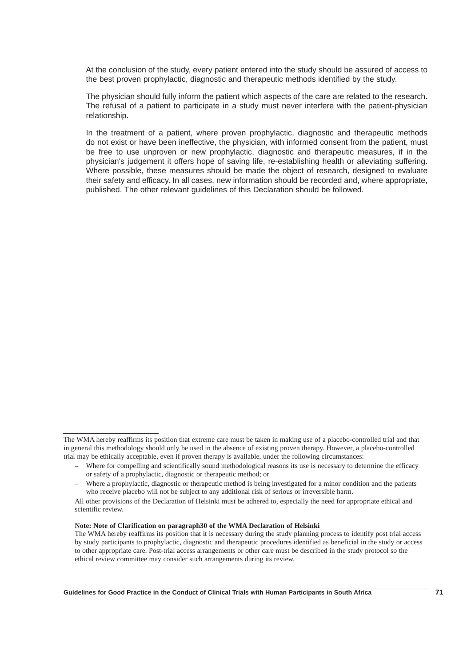At the conclusion of the study, every patient entered into the study should be assured of access to the best proven prophylactic, diagnostic and therapeutic methods identified by the study.

The physician should fully inform the patient which aspects of the care are related to the research. The refusal of a patient to participate in a study must never interfere with the patient-physician relationship.

In the treatment of a patient, where proven prophylactic, diagnostic and therapeutic methods do not exist or have been ineffective, the physician, with informed consent from the patient, must be free to use unproven or new prophylactic, diagnostic and therapeutic measures, if in the physician's judgement it offers hope of saving life, re-establishing health or alleviating suffering. Where possible, these measures should be made the object of research, designed to evaluate their safety and efficacy. In all cases, new information should be recorded and, where appropriate, published. The other relevant guidelines of this Declaration should be followed.

#### **Note: Note of Clarification on paragraph30 of the WMA Declaration of Helsinki**

The WMA hereby reaffirms its position that extreme care must be taken in making use of a placebo-controlled trial and that in general this methodology should only be used in the absence of existing proven therapy. However, a placebo-controlled trial may be ethically acceptable, even if proven therapy is available, under the following circumstances:

<sup>–</sup> Where for compelling and scientifically sound methodological reasons its use is necessary to determine the efficacy or safety of a prophylactic, diagnostic or therapeutic method; or

<sup>–</sup> Where a prophylactic, diagnostic or therapeutic method is being investigated for a minor condition and the patients who receive placebo will not be subject to any additional risk of serious or irreversible harm.

All other provisions of the Declaration of Helsinki must be adhered to, especially the need for appropriate ethical and scientific review.

The WMA hereby reaffirms its position that it is necessary during the study planning process to identify post trial access by study participants to prophylactic, diagnostic and therapeutic procedures identified as beneficial in the study or access to other appropriate care. Post-trial access arrangements or other care must be described in the study protocol so the ethical review committee may consider such arrangements during its review.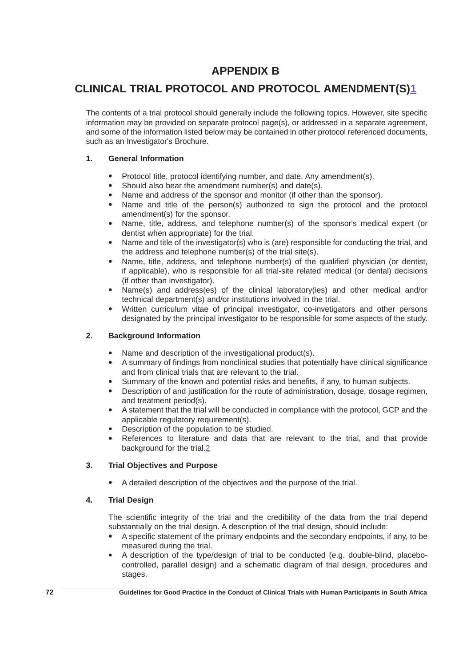# **APPENDIX B**

# **CLINICAL TRIAL PROTOCOL AND PROTOCOL AMENDMENT(S)1**

The contents of a trial protocol should generally include the following topics. However, site specific information may be provided on separate protocol page(s), or addressed in a separate agreement, and some of the information listed below may be contained in other protocol referenced documents, such as an Investigator's Brochure.

## **1. General Information**

- Protocol title, protocol identifying number, and date. Any amendment(s).
- Should also bear the amendment number(s) and date(s).
- Name and address of the sponsor and monitor (if other than the sponsor).
- Name and title of the person(s) authorized to sign the protocol and the protocol amendment(s) for the sponsor.
- Name, title, address, and telephone number(s) of the sponsor's medical expert (or dentist when appropriate) for the trial.
- Name and title of the investigator(s) who is (are) responsible for conducting the trial, and the address and telephone number(s) of the trial site(s).
- Name, title, address, and telephone number(s) of the qualified physician (or dentist, if applicable), who is responsible for all trial-site related medical (or dental) decisions (if other than investigator).
- Name(s) and address(es) of the clinical laboratory(ies) and other medical and/or technical department(s) and/or institutions involved in the trial.
- Written curriculum vitae of principal investigator, co-invetigators and other persons designated by the principal investigator to be responsible for some aspects of the study.

## **2. Background Information**

- Name and description of the investigational product(s).
- A summary of findings from nonclinical studies that potentially have clinical significance and from clinical trials that are relevant to the trial.
- Summary of the known and potential risks and benefits, if any, to human subjects.
- Description of and justification for the route of administration, dosage, dosage regimen, and treatment period(s).
- A statement that the trial will be conducted in compliance with the protocol, GCP and the applicable regulatory requirement(s).
- Description of the population to be studied.
- References to literature and data that are relevant to the trial, and that provide background for the trial.2

## **3. Trial Objectives and Purpose**

A detailed description of the objectives and the purpose of the trial.

## **4. Trial Design**

The scientific integrity of the trial and the credibility of the data from the trial depend substantially on the trial design. A description of the trial design, should include:

- A specific statement of the primary endpoints and the secondary endpoints, if any, to be measured during the trial.
- A description of the type/design of trial to be conducted (e.g. double-blind, placebocontrolled, parallel design) and a schematic diagram of trial design, procedures and stages.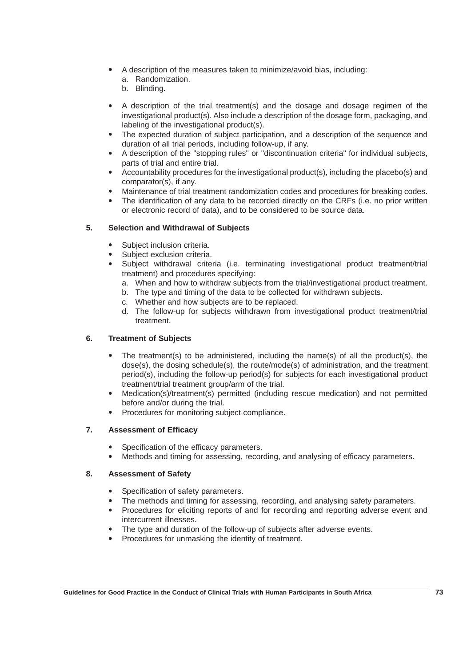- A description of the measures taken to minimize/avoid bias, including: a. Randomization.
	-
	- b. Blinding.
- A description of the trial treatment(s) and the dosage and dosage regimen of the investigational product(s). Also include a description of the dosage form, packaging, and labeling of the investigational product(s).
- The expected duration of subject participation, and a description of the sequence and duration of all trial periods, including follow-up, if any.
- A description of the "stopping rules" or "discontinuation criteria" for individual subjects, parts of trial and entire trial.
- Accountability procedures for the investigational product(s), including the placebo(s) and comparator(s), if any.
- Maintenance of trial treatment randomization codes and procedures for breaking codes.
- The identification of any data to be recorded directly on the CRFs (i.e. no prior written or electronic record of data), and to be considered to be source data.

# **5. Selection and Withdrawal of Subjects**

- Subject inclusion criteria.
- Subject exclusion criteria.
- Subject withdrawal criteria (i.e. terminating investigational product treatment/trial treatment) and procedures specifying:
	- a. When and how to withdraw subjects from the trial/investigational product treatment.
	- b. The type and timing of the data to be collected for withdrawn subjects.
	- c. Whether and how subjects are to be replaced.
	- d. The follow-up for subjects withdrawn from investigational product treatment/trial treatment.

# **6. Treatment of Subjects**

- The treatment(s) to be administered, including the name(s) of all the product(s), the dose(s), the dosing schedule(s), the route/mode(s) of administration, and the treatment period(s), including the follow-up period(s) for subjects for each investigational product treatment/trial treatment group/arm of the trial.
- Medication(s)/treatment(s) permitted (including rescue medication) and not permitted before and/or during the trial.
- Procedures for monitoring subject compliance.

# **7. Assessment of Efficacy**

- Specification of the efficacy parameters.
- Methods and timing for assessing, recording, and analysing of efficacy parameters.

# **8. Assessment of Safety**

- Specification of safety parameters.
- The methods and timing for assessing, recording, and analysing safety parameters.
- Procedures for eliciting reports of and for recording and reporting adverse event and intercurrent illnesses.
- The type and duration of the follow-up of subjects after adverse events.
- Procedures for unmasking the identity of treatment.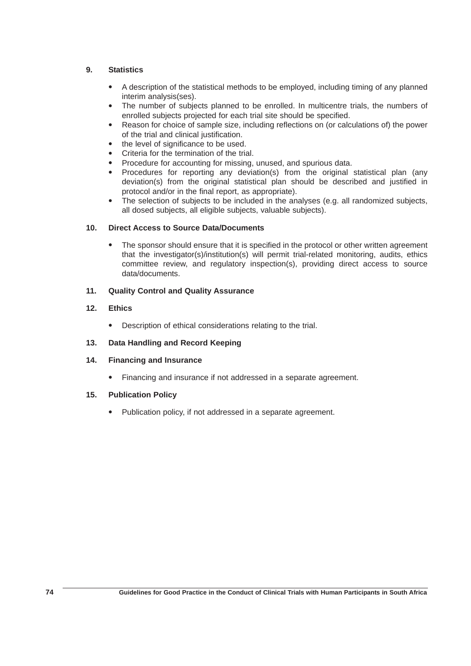# **9. Statistics**

- A description of the statistical methods to be employed, including timing of any planned interim analysis(ses).
- The number of subjects planned to be enrolled. In multicentre trials, the numbers of enrolled subjects projected for each trial site should be specified.
- Reason for choice of sample size, including reflections on (or calculations of) the power of the trial and clinical justification.
- the level of significance to be used.
- Criteria for the termination of the trial.
- Procedure for accounting for missing, unused, and spurious data.
- Procedures for reporting any deviation(s) from the original statistical plan (any deviation(s) from the original statistical plan should be described and justified in protocol and/or in the final report, as appropriate).
- The selection of subjects to be included in the analyses (e.g. all randomized subjects, all dosed subjects, all eligible subjects, valuable subjects).

# **10. Direct Access to Source Data/Documents**

• The sponsor should ensure that it is specified in the protocol or other written agreement that the investigator(s)/institution(s) will permit trial-related monitoring, audits, ethics committee review, and regulatory inspection(s), providing direct access to source data/documents.

# **11. Quality Control and Quality Assurance**

# **12. Ethics**

Description of ethical considerations relating to the trial.

# **13. Data Handling and Record Keeping**

# **14. Financing and Insurance**

Financing and insurance if not addressed in a separate agreement.

# **15. Publication Policy**

• Publication policy, if not addressed in a separate agreement.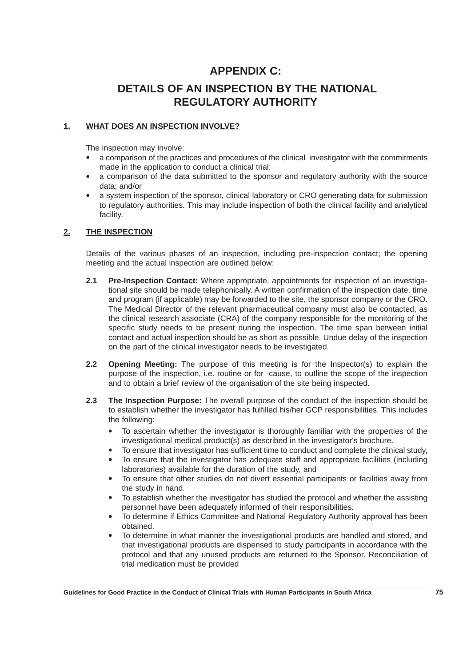# **APPENDIX C:**

# **DETAILS OF AN INSPECTION BY THE NATIONAL REGULATORY AUTHORITY**

# **1. WHAT DOES AN INSPECTION INVOLVE?**

The inspection may involve:

- a comparison of the practices and procedures of the clinical investigator with the commitments made in the application to conduct a clinical trial;
- a comparison of the data submitted to the sponsor and regulatory authority with the source data; and/or
- a system inspection of the sponsor, clinical laboratory or CRO generating data for submission to regulatory authorities. This may include inspection of both the clinical facility and analytical facility.

# **2. THE INSPECTION**

Details of the various phases of an inspection, including pre-inspection contact; the opening meeting and the actual inspection are outlined below:

- **2.1 Pre-Inspection Contact:** Where appropriate, appointments for inspection of an investigational site should be made telephonically. A written confirmation of the inspection date, time and program (if applicable) may be forwarded to the site, the sponsor company or the CRO. The Medical Director of the relevant pharmaceutical company must also be contacted, as the clinical research associate (CRA) of the company responsible for the monitoring of the specific study needs to be present during the inspection. The time span between initial contact and actual inspection should be as short as possible. Undue delay of the inspection on the part of the clinical investigator needs to be investigated.
- **2.2 Opening Meeting:** The purpose of this meeting is for the Inspector(s) to explain the purpose of the inspection, i.e. routine or for -cause, to outline the scope of the inspection and to obtain a brief review of the organisation of the site being inspected.
- **2.3 The Inspection Purpose:** The overall purpose of the conduct of the inspection should be to establish whether the investigator has fulfilled his/her GCP responsibilities. This includes the following:
	- To ascertain whether the investigator is thoroughly familiar with the properties of the investigational medical product(s) as described in the investigator's brochure.
	- To ensure that investigator has sufficient time to conduct and complete the clinical study,
	- To ensure that the investigator has adequate staff and appropriate facilities (including laboratories) available for the duration of the study, and
	- To ensure that other studies do not divert essential participants or facilities away from the study in hand.
	- To establish whether the investigator has studied the protocol and whether the assisting personnel have been adequately informed of their responsibilities.
	- To determine if Ethics Committee and National Regulatory Authority approval has been obtained.
	- To determine in what manner the investigational products are handled and stored, and that investigational products are dispensed to study participants in accordance with the protocol and that any unused products are returned to the Sponsor. Reconciliation of trial medication must be provided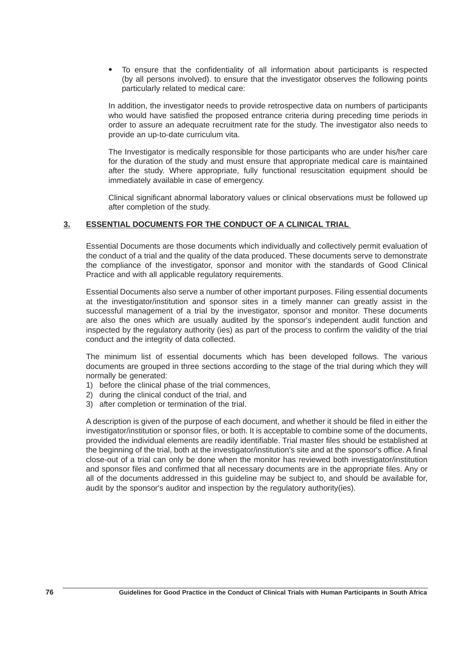To ensure that the confidentiality of all information about participants is respected (by all persons involved). to ensure that the investigator observes the following points particularly related to medical care:

In addition, the investigator needs to provide retrospective data on numbers of participants who would have satisfied the proposed entrance criteria during preceding time periods in order to assure an adequate recruitment rate for the study. The investigator also needs to provide an up-to-date curriculum vita.

The Investigator is medically responsible for those participants who are under his/her care for the duration of the study and must ensure that appropriate medical care is maintained after the study. Where appropriate, fully functional resuscitation equipment should be immediately available in case of emergency.

Clinical significant abnormal laboratory values or clinical observations must be followed up after completion of the study.

# **3. ESSENTIAL DOCUMENTS FOR THE CONDUCT OF A CLINICAL TRIAL**

Essential Documents are those documents which individually and collectively permit evaluation of the conduct of a trial and the quality of the data produced. These documents serve to demonstrate the compliance of the investigator, sponsor and monitor with the standards of Good Clinical Practice and with all applicable regulatory requirements.

Essential Documents also serve a number of other important purposes. Filing essential documents at the investigator/institution and sponsor sites in a timely manner can greatly assist in the successful management of a trial by the investigator, sponsor and monitor. These documents are also the ones which are usually audited by the sponsor's independent audit function and inspected by the regulatory authority (ies) as part of the process to confirm the validity of the trial conduct and the integrity of data collected.

The minimum list of essential documents which has been developed follows. The various documents are grouped in three sections according to the stage of the trial during which they will normally be generated:

- 1) before the clinical phase of the trial commences,
- 2) during the clinical conduct of the trial, and
- 3) after completion or termination of the trial.

A description is given of the purpose of each document, and whether it should be filed in either the investigator/institution or sponsor files, or both. It is acceptable to combine some of the documents, provided the individual elements are readily identifiable. Trial master files should be established at the beginning of the trial, both at the investigator/institution's site and at the sponsor's office. A final close-out of a trial can only be done when the monitor has reviewed both investigator/institution and sponsor files and confirmed that all necessary documents are in the appropriate files. Any or all of the documents addressed in this guideline may be subject to, and should be available for, audit by the sponsor's auditor and inspection by the regulatory authority(ies).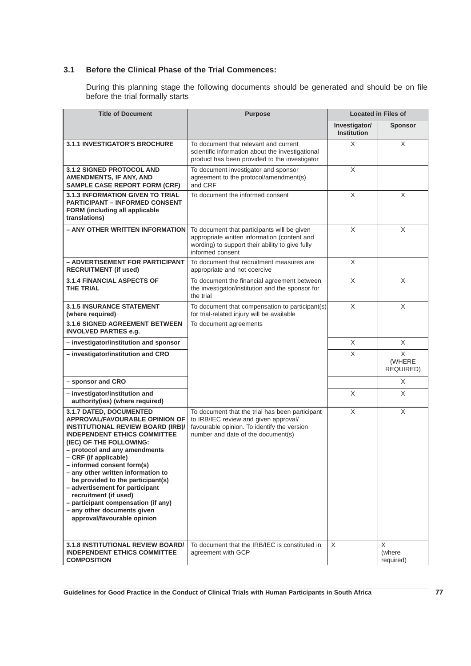# **3.1 Before the Clinical Phase of the Trial Commences:**

During this planning stage the following documents should be generated and should be on file before the trial formally starts

| <b>Title of Document</b>                                                                                                                                                                                                                                                                                                                                                                                                                                                                                    | <b>Located in Files of</b><br><b>Purpose</b>                                                                                                                                  |                                     |                          |
|-------------------------------------------------------------------------------------------------------------------------------------------------------------------------------------------------------------------------------------------------------------------------------------------------------------------------------------------------------------------------------------------------------------------------------------------------------------------------------------------------------------|-------------------------------------------------------------------------------------------------------------------------------------------------------------------------------|-------------------------------------|--------------------------|
|                                                                                                                                                                                                                                                                                                                                                                                                                                                                                                             |                                                                                                                                                                               | Investigator/<br><b>Institution</b> | <b>Sponsor</b>           |
| <b>3.1.1 INVESTIGATOR'S BROCHURE</b>                                                                                                                                                                                                                                                                                                                                                                                                                                                                        | To document that relevant and current<br>scientific information about the investigational<br>product has been provided to the investigator                                    | X                                   | X                        |
| <b>3.1.2 SIGNED PROTOCOL AND</b><br>AMENDMENTS, IF ANY, AND<br><b>SAMPLE CASE REPORT FORM (CRF)</b>                                                                                                                                                                                                                                                                                                                                                                                                         | To document investigator and sponsor<br>agreement to the protocol/amendment(s)<br>and CRF                                                                                     | X                                   |                          |
| <b>3.1.3 INFORMATION GIVEN TO TRIAL</b><br><b>PARTICIPANT – INFORMED CONSENT</b><br>FORM (including all applicable<br>translations)                                                                                                                                                                                                                                                                                                                                                                         | To document the informed consent                                                                                                                                              | X                                   | X                        |
| - ANY OTHER WRITTEN INFORMATION                                                                                                                                                                                                                                                                                                                                                                                                                                                                             | To document that participants will be given<br>appropriate written information (content and<br>wording) to support their ability to give fully<br>informed consent            | X                                   | X                        |
| - ADVERTISEMENT FOR PARTICIPANT<br><b>RECRUITMENT</b> (if used)                                                                                                                                                                                                                                                                                                                                                                                                                                             | To document that recruitment measures are<br>appropriate and not coercive                                                                                                     | X                                   |                          |
| <b>3.1.4 FINANCIAL ASPECTS OF</b><br>THE TRIAL                                                                                                                                                                                                                                                                                                                                                                                                                                                              | To document the financial agreement between<br>the investigator/institution and the sponsor for<br>the trial                                                                  | X                                   | X                        |
| <b>3.1.5 INSURANCE STATEMENT</b><br>(where required)                                                                                                                                                                                                                                                                                                                                                                                                                                                        | To document that compensation to participant(s)<br>for trial-related injury will be available                                                                                 | X                                   | X                        |
| <b>3.1.6 SIGNED AGREEMENT BETWEEN</b><br><b>INVOLVED PARTIES e.g.</b>                                                                                                                                                                                                                                                                                                                                                                                                                                       | To document agreements                                                                                                                                                        |                                     |                          |
| - investigator/institution and sponsor                                                                                                                                                                                                                                                                                                                                                                                                                                                                      |                                                                                                                                                                               | X                                   | X                        |
| - investigator/institution and CRO                                                                                                                                                                                                                                                                                                                                                                                                                                                                          |                                                                                                                                                                               | X                                   | X<br>(WHERE<br>REQUIRED) |
| - sponsor and CRO                                                                                                                                                                                                                                                                                                                                                                                                                                                                                           |                                                                                                                                                                               |                                     | X                        |
| - investigator/institution and<br>authority(ies) (where required)                                                                                                                                                                                                                                                                                                                                                                                                                                           |                                                                                                                                                                               | X                                   | X                        |
| 3.1.7 DATED, DOCUMENTED<br>APPROVAL/FAVOURABLE OPINION OF<br><b>INSTITUTIONAL REVIEW BOARD (IRB)/</b><br><b>INDEPENDENT ETHICS COMMITTEE</b><br>(IEC) OF THE FOLLOWING:<br>- protocol and any amendments<br>- CRF (if applicable)<br>- informed consent form(s)<br>- any other written information to<br>be provided to the participant(s)<br>- advertisement for participant<br>recruitment (if used)<br>- participant compensation (if any)<br>- any other documents given<br>approval/favourable opinion | To document that the trial has been participant<br>to IRB/IEC review and given approval/<br>favourable opinion. To identify the version<br>number and date of the document(s) | X                                   | X                        |
| <b>3.1.8 INSTITUTIONAL REVIEW BOARD/</b><br><b>INDEPENDENT ETHICS COMMITTEE</b><br><b>COMPOSITION</b>                                                                                                                                                                                                                                                                                                                                                                                                       | To document that the IRB/IEC is constituted in<br>agreement with GCP                                                                                                          | X                                   | X<br>(where<br>required) |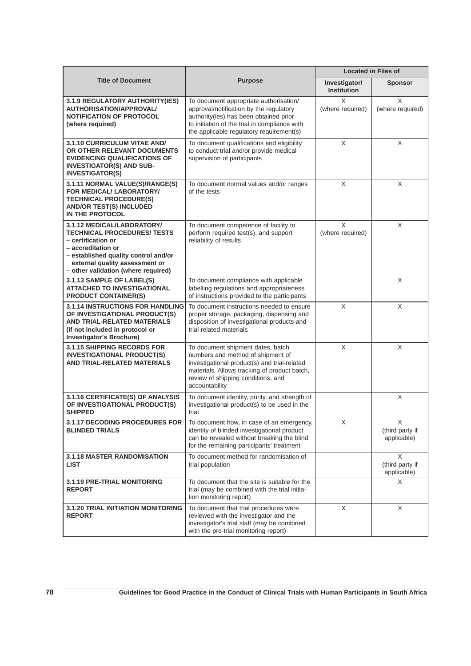|                                                                                                                                                                                                                               |                                                                                                                                                                                                                                | <b>Located in Files of</b>          |                                     |
|-------------------------------------------------------------------------------------------------------------------------------------------------------------------------------------------------------------------------------|--------------------------------------------------------------------------------------------------------------------------------------------------------------------------------------------------------------------------------|-------------------------------------|-------------------------------------|
| <b>Title of Document</b>                                                                                                                                                                                                      | <b>Purpose</b>                                                                                                                                                                                                                 | Investigator/<br><b>Institution</b> | <b>Sponsor</b>                      |
| 3.1.9 REGULATORY AUTHORITY(IES)<br>AUTHORISATION/APPROVAL/<br><b>NOTIFICATION OF PROTOCOL</b><br>(where required)                                                                                                             | To document appropriate authorisation/<br>approval/notification by the regulatory<br>authority(ies) has been obtained prior<br>to initiation of the trial in compliance with<br>the applicable regulatory requirement(s)       | X<br>(where required)               | X<br>(where required)               |
| 3.1.10 CURRICULUM VITAE AND/<br>OR OTHER RELEVANT DOCUMENTS<br><b>EVIDENCING QUALIFICATIONS OF</b><br><b>INVESTIGATOR(S) AND SUB-</b><br><b>INVESTIGATOR(S)</b>                                                               | To document qualifications and eligibility<br>to conduct trial and/or provide medical<br>supervision of participants                                                                                                           | X                                   | X                                   |
| 3.1.11 NORMAL VALUE(S)/RANGE(S)<br>FOR MEDICAL/ LABORATORY/<br><b>TECHNICAL PROCEDURE(S)</b><br><b>AND/OR TEST(S) INCLUDED</b><br>IN THE PROTOCOL                                                                             | To document normal values and/or ranges<br>of the tests                                                                                                                                                                        | X                                   | X                                   |
| 3.1.12 MEDICAL/LABORATORY/<br><b>TECHNICAL PROCEDURES/ TESTS</b><br>- certification or<br>- accreditation or<br>- established quality control and/or<br>external quality assessment or<br>- other validation (where required) | To document competence of facility to<br>perform required test(s), and support<br>reliability of results                                                                                                                       | X<br>(where required)               | X                                   |
| 3.1.13 SAMPLE OF LABEL(S)<br><b>ATTACHED TO INVESTIGATIONAL</b><br><b>PRODUCT CONTAINER(S)</b>                                                                                                                                | To document compliance with applicable<br>labelling regulations and appropriateness<br>of instructions provided to the participants                                                                                            |                                     | X                                   |
| 3.1.14 INSTRUCTIONS FOR HANDLING<br>OF INVESTIGATIONAL PRODUCT(S)<br><b>AND TRIAL-RELATED MATERIALS</b><br>(if not included in protocol or<br><b>Investigator's Brochure)</b>                                                 | To document instructions needed to ensure<br>proper storage, packaging, dispensing and<br>disposition of investigational products and<br>trial related materials                                                               | X                                   | X                                   |
| <b>3.1.15 SHIPPING RECORDS FOR</b><br><b>INVESTIGATIONAL PRODUCT(S)</b><br><b>AND TRIAL-RELATED MATERIALS</b>                                                                                                                 | To document shipment dates, batch<br>numbers and method of shipment of<br>investigational product(s) and trial-related<br>materials. Allows tracking of product batch,<br>review of shipping conditions, and<br>accountability | X                                   | X                                   |
| 3.1.16 CERTIFICATE(S) OF ANALYSIS<br>OF INVESTIGATIONAL PRODUCT(S)<br><b>SHIPPED</b>                                                                                                                                          | To document identity, purity, and strength of<br>investigational product(s) to be used in the<br>trial                                                                                                                         |                                     | X                                   |
| 3.1.17 DECODING PROCEDURES FOR<br><b>BLINDED TRIALS</b>                                                                                                                                                                       | To document how, in case of an emergency,<br>identity of blinded investigational product<br>can be revealed without breaking the blind<br>for the remaining participants' treatment                                            | X                                   | Χ<br>(third party if<br>applicable) |
| <b>3.1.18 MASTER RANDOMISATION</b><br><b>LIST</b>                                                                                                                                                                             | To document method for randomisation of<br>trial population                                                                                                                                                                    |                                     | X<br>(third party if<br>applicable) |
| 3.1.19 PRE-TRIAL MONITORING<br><b>REPORT</b>                                                                                                                                                                                  | To document that the site is suitable for the<br>trial (may be combined with the trial initia-<br>tion monitoring report)                                                                                                      |                                     | X                                   |
| <b>3.1.20 TRIAL INITIATION MONITORING</b><br><b>REPORT</b>                                                                                                                                                                    | To document that trial procedures were<br>reviewed with the investigator and the<br>investigator's trial staff (may be combined<br>with the pre-trial monitoring report)                                                       | X                                   | X                                   |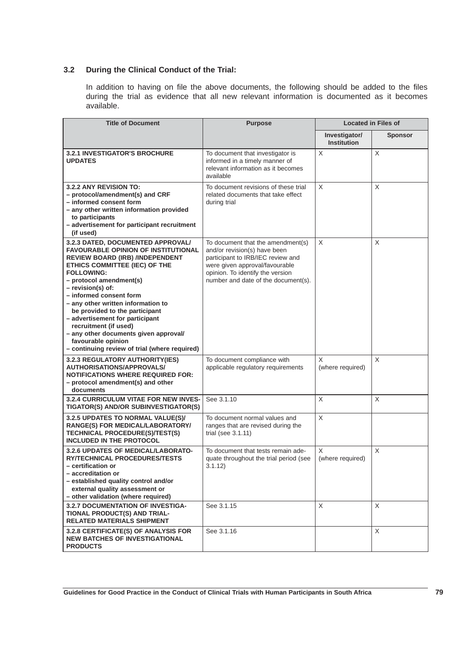## **3.2 During the Clinical Conduct of the Trial:**

In addition to having on file the above documents, the following should be added to the files during the trial as evidence that all new relevant information is documented as it becomes available.

| <b>Title of Document</b>                                                                                                                                                                                                                                                                                                                                                                                                                                                                                       | <b>Purpose</b>                                                                                                                                                                                                      | <b>Located in Files of</b>          |                |
|----------------------------------------------------------------------------------------------------------------------------------------------------------------------------------------------------------------------------------------------------------------------------------------------------------------------------------------------------------------------------------------------------------------------------------------------------------------------------------------------------------------|---------------------------------------------------------------------------------------------------------------------------------------------------------------------------------------------------------------------|-------------------------------------|----------------|
|                                                                                                                                                                                                                                                                                                                                                                                                                                                                                                                |                                                                                                                                                                                                                     | Investigator/<br><b>Institution</b> | <b>Sponsor</b> |
| <b>3.2.1 INVESTIGATOR'S BROCHURE</b><br><b>UPDATES</b>                                                                                                                                                                                                                                                                                                                                                                                                                                                         | To document that investigator is<br>informed in a timely manner of<br>relevant information as it becomes<br>available                                                                                               | X                                   | X              |
| 3.2.2 ANY REVISION TO:<br>- protocol/amendment(s) and CRF<br>- informed consent form<br>- any other written information provided<br>to participants<br>- advertisement for participant recruitment<br>(if used)                                                                                                                                                                                                                                                                                                | To document revisions of these trial<br>related documents that take effect<br>during trial                                                                                                                          | X                                   | X              |
| 3.2.3 DATED, DOCUMENTED APPROVAL/<br><b>FAVOURABLE OPINION OF INSTITUTIONAL</b><br><b>REVIEW BOARD (IRB) /INDEPENDENT</b><br>ETHICS COMMITTEE (IEC) OF THE<br><b>FOLLOWING:</b><br>- protocol amendment(s)<br>- revision(s) of:<br>- informed consent form<br>- any other written information to<br>be provided to the participant<br>- advertisement for participant<br>recruitment (if used)<br>- any other documents given approval/<br>favourable opinion<br>- continuing review of trial (where required) | To document that the amendment(s)<br>and/or revision(s) have been<br>participant to IRB/IEC review and<br>were given approval/favourable<br>opinion. To identify the version<br>number and date of the document(s). | X                                   | X              |
| 3.2.3 REGULATORY AUTHORITY(IES)<br><b>AUTHORISATIONS/APPROVALS/</b><br><b>NOTIFICATIONS WHERE REQUIRED FOR:</b><br>- protocol amendment(s) and other<br>documents                                                                                                                                                                                                                                                                                                                                              | To document compliance with<br>applicable regulatory requirements                                                                                                                                                   | X<br>(where required)               | $\times$       |
| <b>3.2.4 CURRICULUM VITAE FOR NEW INVES-</b><br>TIGATOR(S) AND/OR SUBINVESTIGATOR(S)                                                                                                                                                                                                                                                                                                                                                                                                                           | See 3.1.10                                                                                                                                                                                                          | X                                   | X              |
| 3.2.5 UPDATES TO NORMAL VALUE(S)/<br>RANGE(S) FOR MEDICAL/LABORATORY/<br>TECHNICAL PROCEDURE(S)/TEST(S)<br><b>INCLUDED IN THE PROTOCOL</b>                                                                                                                                                                                                                                                                                                                                                                     | To document normal values and<br>ranges that are revised during the<br>trial (see 3.1.11)                                                                                                                           | X                                   |                |
| <b>3.2.6 UPDATES OF MEDICAL/LABORATO-</b><br>RY/TECHNICAL PROCEDURES/TESTS<br>- certification or<br>- accreditation or<br>- established quality control and/or<br>external quality assessment or<br>- other validation (where required)                                                                                                                                                                                                                                                                        | To document that tests remain ade-<br>quate throughout the trial period (see<br>3.1.12)                                                                                                                             | X<br>(where required)               | X              |
| 3.2.7 DOCUMENTATION OF INVESTIGA-<br>TIONAL PRODUCT(S) AND TRIAL-<br><b>RELATED MATERIALS SHIPMENT</b>                                                                                                                                                                                                                                                                                                                                                                                                         | See 3.1.15                                                                                                                                                                                                          | X                                   | X              |
| 3.2.8 CERTIFICATE(S) OF ANALYSIS FOR<br><b>NEW BATCHES OF INVESTIGATIONAL</b><br><b>PRODUCTS</b>                                                                                                                                                                                                                                                                                                                                                                                                               | See 3.1.16                                                                                                                                                                                                          |                                     | X              |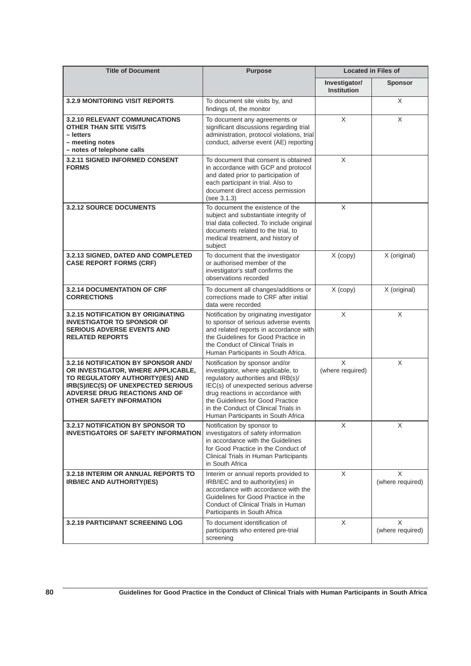| <b>Title of Document</b>                                                                                                                                                                                                        | <b>Purpose</b>                                                                                                                                                                                                                                                                                            | <b>Located in Files of</b>          |                       |
|---------------------------------------------------------------------------------------------------------------------------------------------------------------------------------------------------------------------------------|-----------------------------------------------------------------------------------------------------------------------------------------------------------------------------------------------------------------------------------------------------------------------------------------------------------|-------------------------------------|-----------------------|
|                                                                                                                                                                                                                                 |                                                                                                                                                                                                                                                                                                           | Investigator/<br><b>Institution</b> | <b>Sponsor</b>        |
| <b>3.2.9 MONITORING VISIT REPORTS</b>                                                                                                                                                                                           | To document site visits by, and<br>findings of, the monitor                                                                                                                                                                                                                                               |                                     | X                     |
| <b>3.2.10 RELEVANT COMMUNICATIONS</b><br>OTHER THAN SITE VISITS<br>- letters<br>- meeting notes<br>- notes of telephone calls                                                                                                   | To document any agreements or<br>significant discussions regarding trial<br>administration, protocol violations, trial<br>conduct, adverse event (AE) reporting                                                                                                                                           | X                                   | X                     |
| 3.2.11 SIGNED INFORMED CONSENT<br><b>FORMS</b>                                                                                                                                                                                  | To document that consent is obtained<br>in accordance with GCP and protocol<br>and dated prior to participation of<br>each participant in trial. Also to<br>document direct access permission<br>(see 3.1.3)                                                                                              | X                                   |                       |
| <b>3.2.12 SOURCE DOCUMENTS</b>                                                                                                                                                                                                  | To document the existence of the<br>subject and substantiate integrity of<br>trial data collected. To include original<br>documents related to the trial, to<br>medical treatment, and history of<br>subject                                                                                              | X                                   |                       |
| 3.2.13 SIGNED, DATED AND COMPLETED<br><b>CASE REPORT FORMS (CRF)</b>                                                                                                                                                            | To document that the investigator<br>or authorised member of the<br>investigator's staff confirms the<br>observations recorded                                                                                                                                                                            | X (copy)                            | X (original)          |
| 3.2.14 DOCUMENTATION OF CRF<br><b>CORRECTIONS</b>                                                                                                                                                                               | To document all changes/additions or<br>corrections made to CRF after initial<br>data were recorded                                                                                                                                                                                                       | X (copy)                            | X (original)          |
| 3.2.15 NOTIFICATION BY ORIGINATING<br><b>INVESTIGATOR TO SPONSOR OF</b><br><b>SERIOUS ADVERSE EVENTS AND</b><br><b>RELATED REPORTS</b>                                                                                          | Notification by originating investigator<br>to sponsor of serious adverse events<br>and related reports in accordance with<br>the Guidelines for Good Practice in<br>the Conduct of Clinical Trials in<br>Human Participants in South Africa.                                                             | X                                   | X                     |
| 3.2.16 NOTIFICATION BY SPONSOR AND/<br>OR INVESTIGATOR, WHERE APPLICABLE,<br>TO REGULATORY AUTHORITY(IES) AND<br>IRB(S)/IEC(S) OF UNEXPECTED SERIOUS<br><b>ADVERSE DRUG REACTIONS AND OF</b><br><b>OTHER SAFETY INFORMATION</b> | Notification by sponsor and/or<br>investigator, where applicable, to<br>regulatory authorities and IRB(s)/<br>IEC(s) of unexpected serious adverse<br>drug reactions in accordance with<br>the Guidelines for Good Practice<br>in the Conduct of Clinical Trials in<br>Human Participants in South Africa | $\times$<br>(where required)        | X                     |
| 3.2.17 NOTIFICATION BY SPONSOR TO<br><b>INVESTIGATORS OF SAFETY INFORMATION</b>                                                                                                                                                 | Notification by sponsor to<br>investigators of safety information<br>in accordance with the Guidelines<br>for Good Practice in the Conduct of<br>Clinical Trials in Human Participants<br>in South Africa                                                                                                 | X                                   | X                     |
| <b>3.2.18 INTERIM OR ANNUAL REPORTS TO</b><br><b>IRB/IEC AND AUTHORITY(IES)</b>                                                                                                                                                 | Interim or annual reports provided to<br>IRB/IEC and to authority(ies) in<br>accordance with accordance with the<br>Guidelines for Good Practice in the<br>Conduct of Clinical Trials in Human<br>Participants in South Africa                                                                            | Χ                                   | X<br>(where required) |
| <b>3.2.19 PARTICIPANT SCREENING LOG</b>                                                                                                                                                                                         | To document identification of<br>participants who entered pre-trial<br>screening                                                                                                                                                                                                                          | X                                   | X<br>(where required) |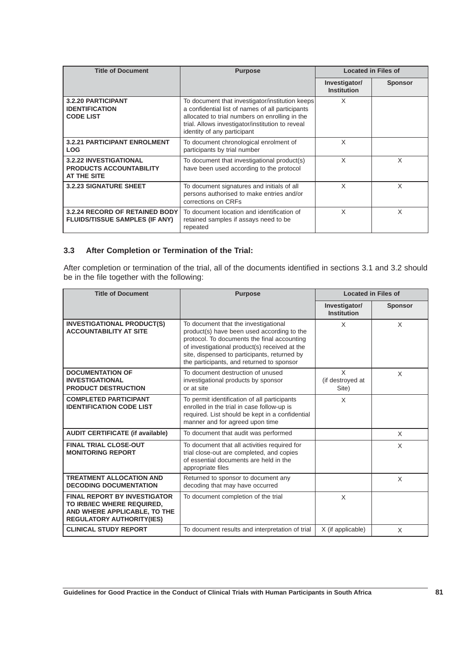| <b>Title of Document</b>                                                       | <b>Purpose</b>                                                                                                                                                                                                                           | <b>Located in Files of</b>          |                |
|--------------------------------------------------------------------------------|------------------------------------------------------------------------------------------------------------------------------------------------------------------------------------------------------------------------------------------|-------------------------------------|----------------|
|                                                                                |                                                                                                                                                                                                                                          | Investigator/<br><b>Institution</b> | <b>Sponsor</b> |
| 3.2.20 PARTICIPANT<br><b>IDENTIFICATION</b><br><b>CODE LIST</b>                | To document that investigator/institution keeps<br>a confidential list of names of all participants<br>allocated to trial numbers on enrolling in the<br>trial. Allows investigator/institution to reveal<br>identity of any participant | X                                   |                |
| <b>3.2.21 PARTICIPANT ENROLMENT</b><br><b>LOG</b>                              | To document chronological enrolment of<br>participants by trial number                                                                                                                                                                   | $\times$                            |                |
| <b>3.2.22 INVESTIGATIONAL</b><br><b>PRODUCTS ACCOUNTABILITY</b><br>AT THE SITE | To document that investigational product(s)<br>have been used according to the protocol                                                                                                                                                  | $\mathsf{X}$                        | X              |
| <b>3.2.23 SIGNATURE SHEET</b>                                                  | To document signatures and initials of all<br>persons authorised to make entries and/or<br>corrections on CRFs                                                                                                                           | X                                   | X              |
| <b>3.2.24 RECORD OF RETAINED BODY</b><br><b>FLUIDS/TISSUE SAMPLES (IF ANY)</b> | To document location and identification of<br>retained samples if assays need to be<br>repeated                                                                                                                                          | X                                   | X              |

# **3.3 After Completion or Termination of the Trial:**

After completion or termination of the trial, all of the documents identified in sections 3.1 and 3.2 should be in the file together with the following:

| <b>Title of Document</b>                                                                                                              | <b>Purpose</b>                                                                                                                                                                                                                                                                  |                                     | <b>Located in Files of</b> |
|---------------------------------------------------------------------------------------------------------------------------------------|---------------------------------------------------------------------------------------------------------------------------------------------------------------------------------------------------------------------------------------------------------------------------------|-------------------------------------|----------------------------|
|                                                                                                                                       |                                                                                                                                                                                                                                                                                 | Investigator/<br><b>Institution</b> | <b>Sponsor</b>             |
| <b>INVESTIGATIONAL PRODUCT(S)</b><br><b>ACCOUNTABILITY AT SITE</b>                                                                    | To document that the investigational<br>product(s) have been used according to the<br>protocol. To documents the final accounting<br>of investigational product(s) received at the<br>site, dispensed to participants, returned by<br>the participants, and returned to sponsor | X                                   | $\times$                   |
| <b>DOCUMENTATION OF</b><br><b>INVESTIGATIONAL</b><br><b>PRODUCT DESTRUCTION</b>                                                       | To document destruction of unused<br>investigational products by sponsor<br>or at site                                                                                                                                                                                          | X<br>(if destroyed at<br>Site)      | X                          |
| <b>COMPLETED PARTICIPANT</b><br><b>IDENTIFICATION CODE LIST</b>                                                                       | To permit identification of all participants<br>enrolled in the trial in case follow-up is<br>required. List should be kept in a confidential<br>manner and for agreed upon time                                                                                                | X                                   |                            |
| <b>AUDIT CERTIFICATE (if available)</b>                                                                                               | To document that audit was performed                                                                                                                                                                                                                                            |                                     | X                          |
| <b>FINAL TRIAL CLOSE-OUT</b><br><b>MONITORING REPORT</b>                                                                              | To document that all activities required for<br>trial close-out are completed, and copies<br>of essential documents are held in the<br>appropriate files                                                                                                                        |                                     | X                          |
| <b>TREATMENT ALLOCATION AND</b><br><b>DECODING DOCUMENTATION</b>                                                                      | Returned to sponsor to document any<br>decoding that may have occurred                                                                                                                                                                                                          |                                     | X                          |
| <b>FINAL REPORT BY INVESTIGATOR</b><br>TO IRB/IEC WHERE REQUIRED.<br>AND WHERE APPLICABLE, TO THE<br><b>REGULATORY AUTHORITY(IES)</b> | To document completion of the trial                                                                                                                                                                                                                                             | $\times$                            |                            |
| <b>CLINICAL STUDY REPORT</b>                                                                                                          | To document results and interpretation of trial                                                                                                                                                                                                                                 | X (if applicable)                   | X                          |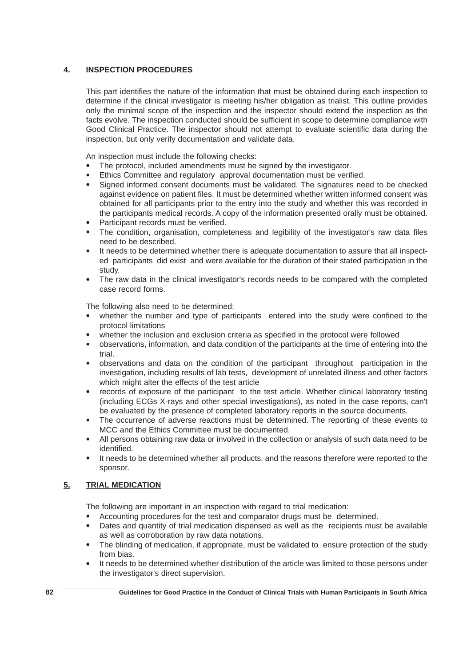# **4. INSPECTION PROCEDURES**

This part identifies the nature of the information that must be obtained during each inspection to determine if the clinical investigator is meeting his/her obligation as trialist. This outline provides only the minimal scope of the inspection and the inspector should extend the inspection as the facts evolve. The inspection conducted should be sufficient in scope to determine compliance with Good Clinical Practice. The inspector should not attempt to evaluate scientific data during the inspection, but only verify documentation and validate data.

An inspection must include the following checks:

- The protocol, included amendments must be signed by the investigator.
- Ethics Committee and regulatory approval documentation must be verified.
- Signed informed consent documents must be validated. The signatures need to be checked against evidence on patient files. It must be determined whether written informed consent was obtained for all participants prior to the entry into the study and whether this was recorded in the participants medical records. A copy of the information presented orally must be obtained.
- Participant records must be verified.
- The condition, organisation, completeness and legibility of the investigator's raw data files need to be described.
- It needs to be determined whether there is adequate documentation to assure that all inspected participants did exist and were available for the duration of their stated participation in the study.
- The raw data in the clinical investigator's records needs to be compared with the completed case record forms.

The following also need to be determined:

- whether the number and type of participants entered into the study were confined to the protocol limitations
- whether the inclusion and exclusion criteria as specified in the protocol were followed
- observations, information, and data condition of the participants at the time of entering into the trial.
- observations and data on the condition of the participant throughout participation in the investigation, including results of lab tests, development of unrelated illness and other factors which might alter the effects of the test article
- records of exposure of the participant to the test article. Whether clinical laboratory testing (including ECGs X-rays and other special investigations), as noted in the case reports, can't be evaluated by the presence of completed laboratory reports in the source documents.
- The occurrence of adverse reactions must be determined. The reporting of these events to MCC and the Ethics Committee must be documented.
- All persons obtaining raw data or involved in the collection or analysis of such data need to be identified.
- It needs to be determined whether all products, and the reasons therefore were reported to the sponsor.

# **5. TRIAL MEDICATION**

The following are important in an inspection with regard to trial medication:

- Accounting procedures for the test and comparator drugs must be determined.
- Dates and quantity of trial medication dispensed as well as the recipients must be available as well as corroboration by raw data notations.
- The blinding of medication, if appropriate, must be validated to ensure protection of the study from bias.
- It needs to be determined whether distribution of the article was limited to those persons under the investigator's direct supervision.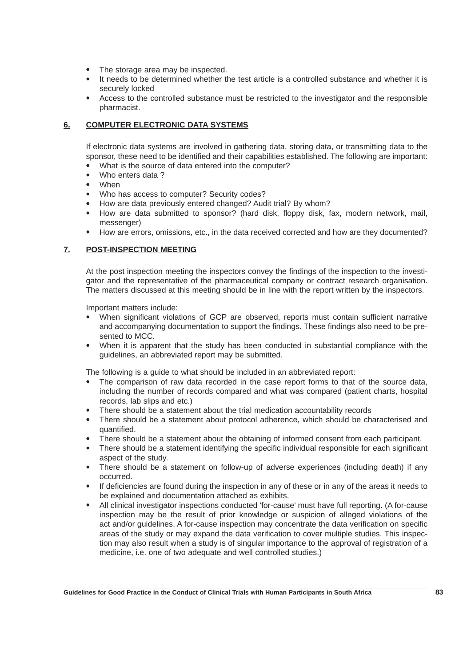- The storage area may be inspected.
- It needs to be determined whether the test article is a controlled substance and whether it is securely locked
- Access to the controlled substance must be restricted to the investigator and the responsible pharmacist.

## **6. COMPUTER ELECTRONIC DATA SYSTEMS**

If electronic data systems are involved in gathering data, storing data, or transmitting data to the sponsor, these need to be identified and their capabilities established. The following are important:

- What is the source of data entered into the computer?
- Who enters data?
- When
- Who has access to computer? Security codes?<br>• How are data previously entered changed? Aud
- How are data previously entered changed? Audit trial? By whom?
- How are data submitted to sponsor? (hard disk, floppy disk, fax, modern network, mail, messenger)
- How are errors, omissions, etc., in the data received corrected and how are they documented?

## **7. POST-INSPECTION MEETING**

At the post inspection meeting the inspectors convey the findings of the inspection to the investigator and the representative of the pharmaceutical company or contract research organisation. The matters discussed at this meeting should be in line with the report written by the inspectors.

Important matters include:

- When significant violations of GCP are observed, reports must contain sufficient narrative and accompanying documentation to support the findings. These findings also need to be presented to MCC.
- When it is apparent that the study has been conducted in substantial compliance with the guidelines, an abbreviated report may be submitted.

The following is a guide to what should be included in an abbreviated report:

- The comparison of raw data recorded in the case report forms to that of the source data, including the number of records compared and what was compared (patient charts, hospital records, lab slips and etc.)
- There should be a statement about the trial medication accountability records
- There should be a statement about protocol adherence, which should be characterised and quantified.
- There should be a statement about the obtaining of informed consent from each participant.
- There should be a statement identifying the specific individual responsible for each significant aspect of the study.
- There should be a statement on follow-up of adverse experiences (including death) if any occurred.
- If deficiencies are found during the inspection in any of these or in any of the areas it needs to be explained and documentation attached as exhibits.
- All clinical investigator inspections conducted 'for-cause' must have full reporting. (A for-cause inspection may be the result of prior knowledge or suspicion of alleged violations of the act and/or guidelines. A for-cause inspection may concentrate the data verification on specific areas of the study or may expand the data verification to cover multiple studies. This inspection may also result when a study is of singular importance to the approval of registration of a medicine, i.e. one of two adequate and well controlled studies.)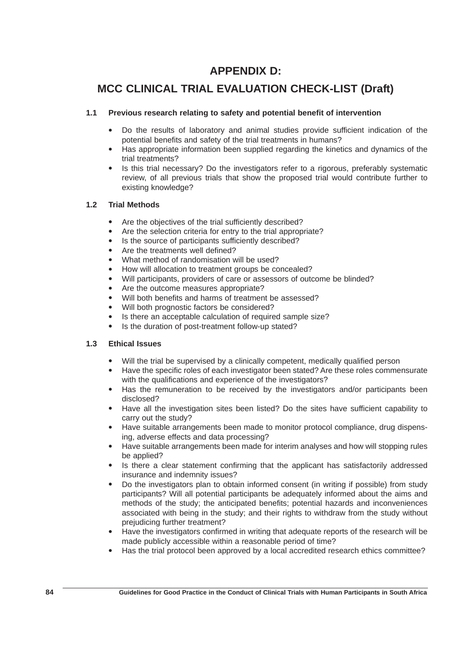# **APPENDIX D:**

# **MCC CLINICAL TRIAL EVALUATION CHECK-LIST (Draft)**

# **1.1 Previous research relating to safety and potential benefit of intervention**

- Do the results of laboratory and animal studies provide sufficient indication of the potential benefits and safety of the trial treatments in humans?
- Has appropriate information been supplied regarding the kinetics and dynamics of the trial treatments?
- Is this trial necessary? Do the investigators refer to a rigorous, preferably systematic review, of all previous trials that show the proposed trial would contribute further to existing knowledge?

# **1.2 Trial Methods**

- Are the objectives of the trial sufficiently described?
- Are the selection criteria for entry to the trial appropriate?
- Is the source of participants sufficiently described?
- Are the treatments well defined?
- What method of randomisation will be used?
- How will allocation to treatment groups be concealed?
- Will participants, providers of care or assessors of outcome be blinded?
- Are the outcome measures appropriate?
- Will both benefits and harms of treatment be assessed?
- Will both prognostic factors be considered?
- Is there an acceptable calculation of required sample size?
- Is the duration of post-treatment follow-up stated?

# **1.3 Ethical Issues**

- Will the trial be supervised by a clinically competent, medically qualified person
- Have the specific roles of each investigator been stated? Are these roles commensurate with the qualifications and experience of the investigators?
- Has the remuneration to be received by the investigators and/or participants been disclosed?
- Have all the investigation sites been listed? Do the sites have sufficient capability to carry out the study?
- Have suitable arrangements been made to monitor protocol compliance, drug dispensing, adverse effects and data processing?
- Have suitable arrangements been made for interim analyses and how will stopping rules be applied?
- Is there a clear statement confirming that the applicant has satisfactorily addressed insurance and indemnity issues?
- Do the investigators plan to obtain informed consent (in writing if possible) from study participants? Will all potential participants be adequately informed about the aims and methods of the study; the anticipated benefits; potential hazards and inconveniences associated with being in the study; and their rights to withdraw from the study without prejudicing further treatment?
- Have the investigators confirmed in writing that adequate reports of the research will be made publicly accessible within a reasonable period of time?
- Has the trial protocol been approved by a local accredited research ethics committee?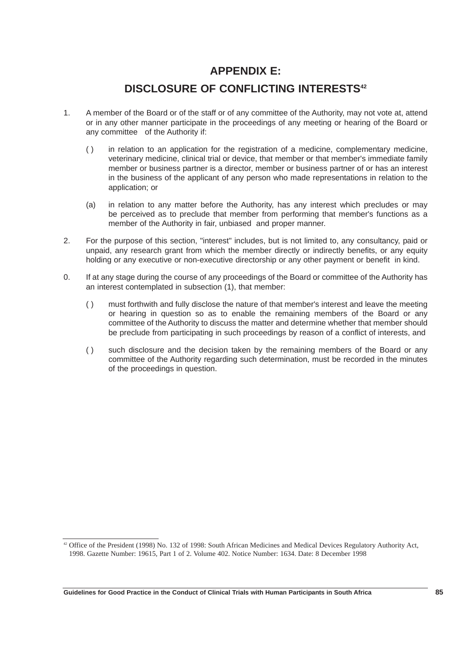# **APPENDIX E:**

# **DISCLOSURE OF CONFLICTING INTERESTS<sup>42</sup>**

- 1. A member of the Board or of the staff or of any committee of the Authority, may not vote at, attend or in any other manner participate in the proceedings of any meeting or hearing of the Board or any committee of the Authority if:
	- ( ) in relation to an application for the registration of a medicine, complementary medicine, veterinary medicine, clinical trial or device, that member or that member's immediate family member or business partner is a director, member or business partner of or has an interest in the business of the applicant of any person who made representations in relation to the application; or
	- (a) in relation to any matter before the Authority, has any interest which precludes or may be perceived as to preclude that member from performing that member's functions as a member of the Authority in fair, unbiased and proper manner.
- 2. For the purpose of this section, "interest" includes, but is not limited to, any consultancy, paid or unpaid, any research grant from which the member directly or indirectly benefits, or any equity holding or any executive or non-executive directorship or any other payment or benefit in kind.
- 0. If at any stage during the course of any proceedings of the Board or committee of the Authority has an interest contemplated in subsection (1), that member:
	- ( ) must forthwith and fully disclose the nature of that member's interest and leave the meeting or hearing in question so as to enable the remaining members of the Board or any committee of the Authority to discuss the matter and determine whether that member should be preclude from participating in such proceedings by reason of a conflict of interests, and
	- ( ) such disclosure and the decision taken by the remaining members of the Board or any committee of the Authority regarding such determination, must be recorded in the minutes of the proceedings in question.

**Guidelines for Good Practice in the Conduct of Clinical Trials with Human Participants in South Africa 85**

<sup>42</sup> Office of the President (1998) No. 132 of 1998: South African Medicines and Medical Devices Regulatory Authority Act, 1998. Gazette Number: 19615, Part 1 of 2. Volume 402. Notice Number: 1634. Date: 8 December 1998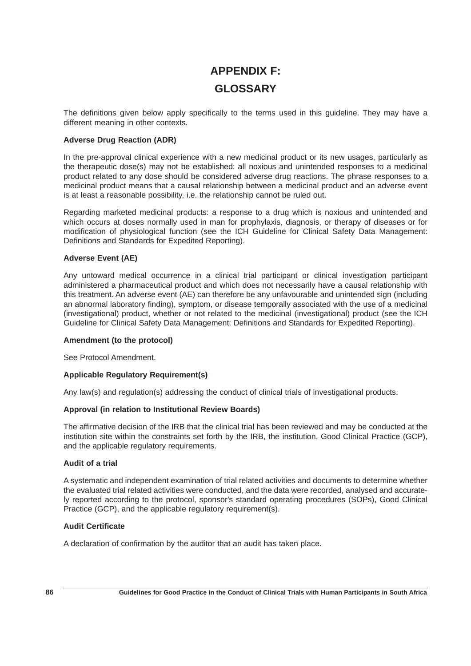# **APPENDIX F: GLOSSARY**

The definitions given below apply specifically to the terms used in this guideline. They may have a different meaning in other contexts.

# **Adverse Drug Reaction (ADR)**

In the pre-approval clinical experience with a new medicinal product or its new usages, particularly as the therapeutic dose(s) may not be established: all noxious and unintended responses to a medicinal product related to any dose should be considered adverse drug reactions. The phrase responses to a medicinal product means that a causal relationship between a medicinal product and an adverse event is at least a reasonable possibility, i.e. the relationship cannot be ruled out.

Regarding marketed medicinal products: a response to a drug which is noxious and unintended and which occurs at doses normally used in man for prophylaxis, diagnosis, or therapy of diseases or for modification of physiological function (see the ICH Guideline for Clinical Safety Data Management: Definitions and Standards for Expedited Reporting).

## **Adverse Event (AE)**

Any untoward medical occurrence in a clinical trial participant or clinical investigation participant administered a pharmaceutical product and which does not necessarily have a causal relationship with this treatment. An adverse event (AE) can therefore be any unfavourable and unintended sign (including an abnormal laboratory finding), symptom, or disease temporally associated with the use of a medicinal (investigational) product, whether or not related to the medicinal (investigational) product (see the ICH Guideline for Clinical Safety Data Management: Definitions and Standards for Expedited Reporting).

## **Amendment (to the protocol)**

See Protocol Amendment.

# **Applicable Regulatory Requirement(s)**

Any law(s) and regulation(s) addressing the conduct of clinical trials of investigational products.

# **Approval (in relation to Institutional Review Boards)**

The affirmative decision of the IRB that the clinical trial has been reviewed and may be conducted at the institution site within the constraints set forth by the IRB, the institution, Good Clinical Practice (GCP), and the applicable regulatory requirements.

## **Audit of a trial**

A systematic and independent examination of trial related activities and documents to determine whether the evaluated trial related activities were conducted, and the data were recorded, analysed and accurately reported according to the protocol, sponsor's standard operating procedures (SOPs), Good Clinical Practice (GCP), and the applicable regulatory requirement(s).

# **Audit Certificate**

A declaration of confirmation by the auditor that an audit has taken place.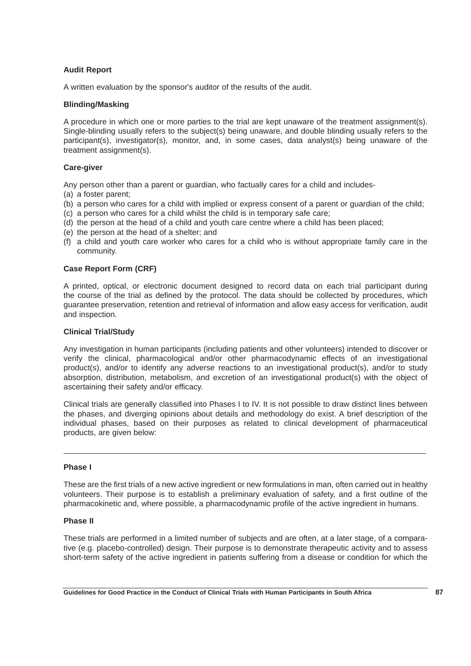# **Audit Report**

A written evaluation by the sponsor's auditor of the results of the audit.

## **Blinding/Masking**

A procedure in which one or more parties to the trial are kept unaware of the treatment assignment(s). Single-blinding usually refers to the subject(s) being unaware, and double blinding usually refers to the participant(s), investigator(s), monitor, and, in some cases, data analyst(s) being unaware of the treatment assignment(s).

## **Care-giver**

Any person other than a parent or guardian, who factually cares for a child and includes-

- (a) a foster parent;
- (b) a person who cares for a child with implied or express consent of a parent or guardian of the child;
- (c) a person who cares for a child whilst the child is in temporary safe care;
- (d) the person at the head of a child and youth care centre where a child has been placed;
- (e) the person at the head of a shelter; and
- (f) a child and youth care worker who cares for a child who is without appropriate family care in the community.

# **Case Report Form (CRF)**

A printed, optical, or electronic document designed to record data on each trial participant during the course of the trial as defined by the protocol. The data should be collected by procedures, which guarantee preservation, retention and retrieval of information and allow easy access for verification, audit and inspection.

## **Clinical Trial/Study**

Any investigation in human participants (including patients and other volunteers) intended to discover or verify the clinical, pharmacological and/or other pharmacodynamic effects of an investigational product(s), and/or to identify any adverse reactions to an investigational product(s), and/or to study absorption, distribution, metabolism, and excretion of an investigational product(s) with the object of ascertaining their safety and/or efficacy.

Clinical trials are generally classified into Phases I to IV. It is not possible to draw distinct lines between the phases, and diverging opinions about details and methodology do exist. A brief description of the individual phases, based on their purposes as related to clinical development of pharmaceutical products, are given below:

## **Phase I**

These are the first trials of a new active ingredient or new formulations in man, often carried out in healthy volunteers. Their purpose is to establish a preliminary evaluation of safety, and a first outline of the pharmacokinetic and, where possible, a pharmacodynamic profile of the active ingredient in humans.

# **Phase II**

These trials are performed in a limited number of subjects and are often, at a later stage, of a comparative (e.g. placebo-controlled) design. Their purpose is to demonstrate therapeutic activity and to assess short-term safety of the active ingredient in patients suffering from a disease or condition for which the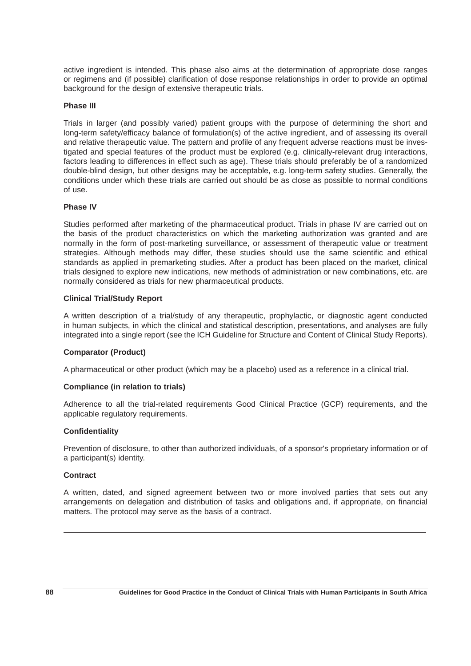active ingredient is intended. This phase also aims at the determination of appropriate dose ranges or regimens and (if possible) clarification of dose response relationships in order to provide an optimal background for the design of extensive therapeutic trials.

## **Phase III**

Trials in larger (and possibly varied) patient groups with the purpose of determining the short and long-term safety/efficacy balance of formulation(s) of the active ingredient, and of assessing its overall and relative therapeutic value. The pattern and profile of any frequent adverse reactions must be investigated and special features of the product must be explored (e.g. clinically-relevant drug interactions, factors leading to differences in effect such as age). These trials should preferably be of a randomized double-blind design, but other designs may be acceptable, e.g. long-term safety studies. Generally, the conditions under which these trials are carried out should be as close as possible to normal conditions of use.

## **Phase IV**

Studies performed after marketing of the pharmaceutical product. Trials in phase IV are carried out on the basis of the product characteristics on which the marketing authorization was granted and are normally in the form of post-marketing surveillance, or assessment of therapeutic value or treatment strategies. Although methods may differ, these studies should use the same scientific and ethical standards as applied in premarketing studies. After a product has been placed on the market, clinical trials designed to explore new indications, new methods of administration or new combinations, etc. are normally considered as trials for new pharmaceutical products.

## **Clinical Trial/Study Report**

A written description of a trial/study of any therapeutic, prophylactic, or diagnostic agent conducted in human subjects, in which the clinical and statistical description, presentations, and analyses are fully integrated into a single report (see the ICH Guideline for Structure and Content of Clinical Study Reports).

# **Comparator (Product)**

A pharmaceutical or other product (which may be a placebo) used as a reference in a clinical trial.

## **Compliance (in relation to trials)**

Adherence to all the trial-related requirements Good Clinical Practice (GCP) requirements, and the applicable regulatory requirements.

## **Confidentiality**

Prevention of disclosure, to other than authorized individuals, of a sponsor's proprietary information or of a participant(s) identity.

## **Contract**

A written, dated, and signed agreement between two or more involved parties that sets out any arrangements on delegation and distribution of tasks and obligations and, if appropriate, on financial matters. The protocol may serve as the basis of a contract.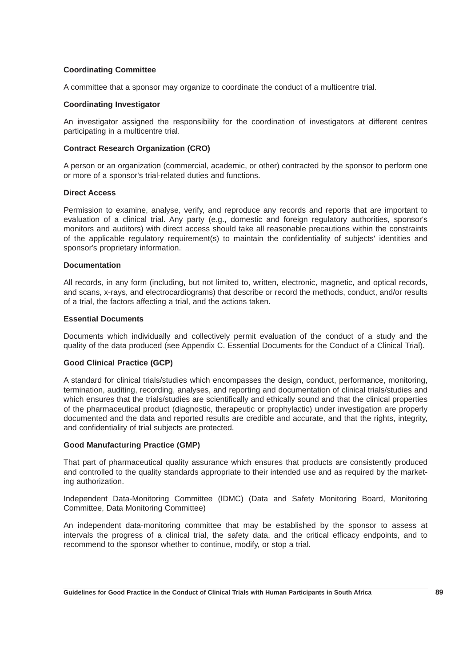# **Coordinating Committee**

A committee that a sponsor may organize to coordinate the conduct of a multicentre trial.

## **Coordinating Investigator**

An investigator assigned the responsibility for the coordination of investigators at different centres participating in a multicentre trial.

## **Contract Research Organization (CRO)**

A person or an organization (commercial, academic, or other) contracted by the sponsor to perform one or more of a sponsor's trial-related duties and functions.

## **Direct Access**

Permission to examine, analyse, verify, and reproduce any records and reports that are important to evaluation of a clinical trial. Any party (e.g., domestic and foreign regulatory authorities, sponsor's monitors and auditors) with direct access should take all reasonable precautions within the constraints of the applicable regulatory requirement(s) to maintain the confidentiality of subjects' identities and sponsor's proprietary information.

## **Documentation**

All records, in any form (including, but not limited to, written, electronic, magnetic, and optical records, and scans, x-rays, and electrocardiograms) that describe or record the methods, conduct, and/or results of a trial, the factors affecting a trial, and the actions taken.

#### **Essential Documents**

Documents which individually and collectively permit evaluation of the conduct of a study and the quality of the data produced (see Appendix C. Essential Documents for the Conduct of a Clinical Trial).

## **Good Clinical Practice (GCP)**

A standard for clinical trials/studies which encompasses the design, conduct, performance, monitoring, termination, auditing, recording, analyses, and reporting and documentation of clinical trials/studies and which ensures that the trials/studies are scientifically and ethically sound and that the clinical properties of the pharmaceutical product (diagnostic, therapeutic or prophylactic) under investigation are properly documented and the data and reported results are credible and accurate, and that the rights, integrity, and confidentiality of trial subjects are protected.

## **Good Manufacturing Practice (GMP)**

That part of pharmaceutical quality assurance which ensures that products are consistently produced and controlled to the quality standards appropriate to their intended use and as required by the marketing authorization.

Independent Data-Monitoring Committee (IDMC) (Data and Safety Monitoring Board, Monitoring Committee, Data Monitoring Committee)

An independent data-monitoring committee that may be established by the sponsor to assess at intervals the progress of a clinical trial, the safety data, and the critical efficacy endpoints, and to recommend to the sponsor whether to continue, modify, or stop a trial.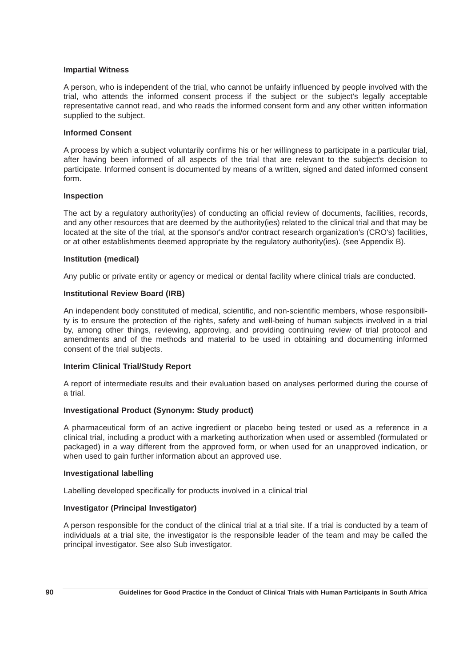## **Impartial Witness**

A person, who is independent of the trial, who cannot be unfairly influenced by people involved with the trial, who attends the informed consent process if the subject or the subject's legally acceptable representative cannot read, and who reads the informed consent form and any other written information supplied to the subject.

## **Informed Consent**

A process by which a subject voluntarily confirms his or her willingness to participate in a particular trial, after having been informed of all aspects of the trial that are relevant to the subject's decision to participate. Informed consent is documented by means of a written, signed and dated informed consent form.

## **Inspection**

The act by a regulatory authority(ies) of conducting an official review of documents, facilities, records, and any other resources that are deemed by the authority(ies) related to the clinical trial and that may be located at the site of the trial, at the sponsor's and/or contract research organization's (CRO's) facilities, or at other establishments deemed appropriate by the regulatory authority(ies). (see Appendix B).

## **Institution (medical)**

Any public or private entity or agency or medical or dental facility where clinical trials are conducted.

## **Institutional Review Board (IRB)**

An independent body constituted of medical, scientific, and non-scientific members, whose responsibility is to ensure the protection of the rights, safety and well-being of human subjects involved in a trial by, among other things, reviewing, approving, and providing continuing review of trial protocol and amendments and of the methods and material to be used in obtaining and documenting informed consent of the trial subjects.

# **Interim Clinical Trial/Study Report**

A report of intermediate results and their evaluation based on analyses performed during the course of a trial.

# **Investigational Product (Synonym: Study product)**

A pharmaceutical form of an active ingredient or placebo being tested or used as a reference in a clinical trial, including a product with a marketing authorization when used or assembled (formulated or packaged) in a way different from the approved form, or when used for an unapproved indication, or when used to gain further information about an approved use.

## **Investigational labelling**

Labelling developed specifically for products involved in a clinical trial

# **Investigator (Principal Investigator)**

A person responsible for the conduct of the clinical trial at a trial site. If a trial is conducted by a team of individuals at a trial site, the investigator is the responsible leader of the team and may be called the principal investigator. See also Sub investigator.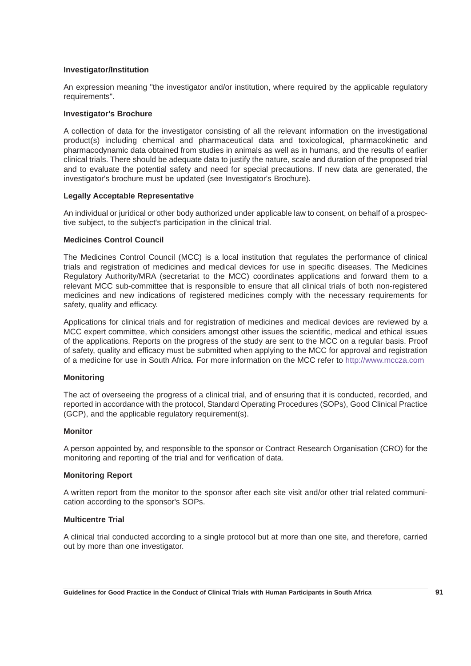## **Investigator/Institution**

An expression meaning "the investigator and/or institution, where required by the applicable regulatory requirements".

## **Investigator's Brochure**

A collection of data for the investigator consisting of all the relevant information on the investigational product(s) including chemical and pharmaceutical data and toxicological, pharmacokinetic and pharmacodynamic data obtained from studies in animals as well as in humans, and the results of earlier clinical trials. There should be adequate data to justify the nature, scale and duration of the proposed trial and to evaluate the potential safety and need for special precautions. If new data are generated, the investigator's brochure must be updated (see Investigator's Brochure).

## **Legally Acceptable Representative**

An individual or juridical or other body authorized under applicable law to consent, on behalf of a prospective subject, to the subject's participation in the clinical trial.

## **Medicines Control Council**

The Medicines Control Council (MCC) is a local institution that regulates the performance of clinical trials and registration of medicines and medical devices for use in specific diseases. The Medicines Regulatory Authority/MRA (secretariat to the MCC) coordinates applications and forward them to a relevant MCC sub-committee that is responsible to ensure that all clinical trials of both non-registered medicines and new indications of registered medicines comply with the necessary requirements for safety, quality and efficacy.

Applications for clinical trials and for registration of medicines and medical devices are reviewed by a MCC expert committee, which considers amongst other issues the scientific, medical and ethical issues of the applications. Reports on the progress of the study are sent to the MCC on a regular basis. Proof of safety, quality and efficacy must be submitted when applying to the MCC for approval and registration of a medicine for use in South Africa. For more information on the MCC refer to http://www.mccza.com

## **Monitoring**

The act of overseeing the progress of a clinical trial, and of ensuring that it is conducted, recorded, and reported in accordance with the protocol, Standard Operating Procedures (SOPs), Good Clinical Practice (GCP), and the applicable regulatory requirement(s).

## **Monitor**

A person appointed by, and responsible to the sponsor or Contract Research Organisation (CRO) for the monitoring and reporting of the trial and for verification of data.

## **Monitoring Report**

A written report from the monitor to the sponsor after each site visit and/or other trial related communication according to the sponsor's SOPs.

# **Multicentre Trial**

A clinical trial conducted according to a single protocol but at more than one site, and therefore, carried out by more than one investigator.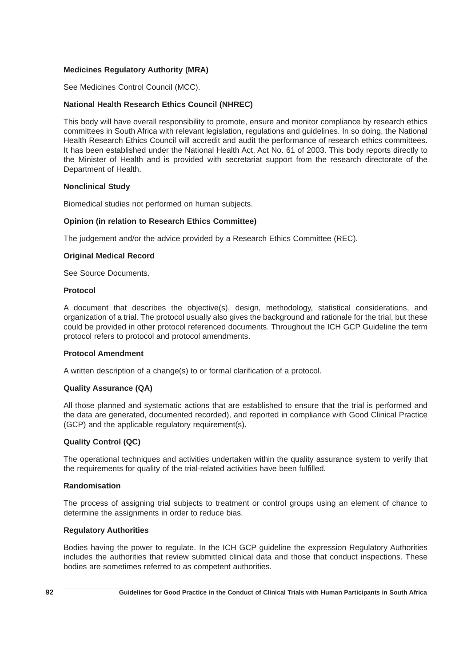# **Medicines Regulatory Authority (MRA)**

See Medicines Control Council (MCC).

# **National Health Research Ethics Council (NHREC)**

This body will have overall responsibility to promote, ensure and monitor compliance by research ethics committees in South Africa with relevant legislation, regulations and guidelines. In so doing, the National Health Research Ethics Council will accredit and audit the performance of research ethics committees. It has been established under the National Health Act, Act No. 61 of 2003. This body reports directly to the Minister of Health and is provided with secretariat support from the research directorate of the Department of Health.

# **Nonclinical Study**

Biomedical studies not performed on human subjects.

# **Opinion (in relation to Research Ethics Committee)**

The judgement and/or the advice provided by a Research Ethics Committee (REC).

## **Original Medical Record**

See Source Documents.

# **Protocol**

A document that describes the objective(s), design, methodology, statistical considerations, and organization of a trial. The protocol usually also gives the background and rationale for the trial, but these could be provided in other protocol referenced documents. Throughout the ICH GCP Guideline the term protocol refers to protocol and protocol amendments.

# **Protocol Amendment**

A written description of a change(s) to or formal clarification of a protocol.

# **Quality Assurance (QA)**

All those planned and systematic actions that are established to ensure that the trial is performed and the data are generated, documented recorded), and reported in compliance with Good Clinical Practice (GCP) and the applicable regulatory requirement(s).

# **Quality Control (QC)**

The operational techniques and activities undertaken within the quality assurance system to verify that the requirements for quality of the trial-related activities have been fulfilled.

## **Randomisation**

The process of assigning trial subjects to treatment or control groups using an element of chance to determine the assignments in order to reduce bias.

# **Regulatory Authorities**

Bodies having the power to regulate. In the ICH GCP guideline the expression Regulatory Authorities includes the authorities that review submitted clinical data and those that conduct inspections. These bodies are sometimes referred to as competent authorities.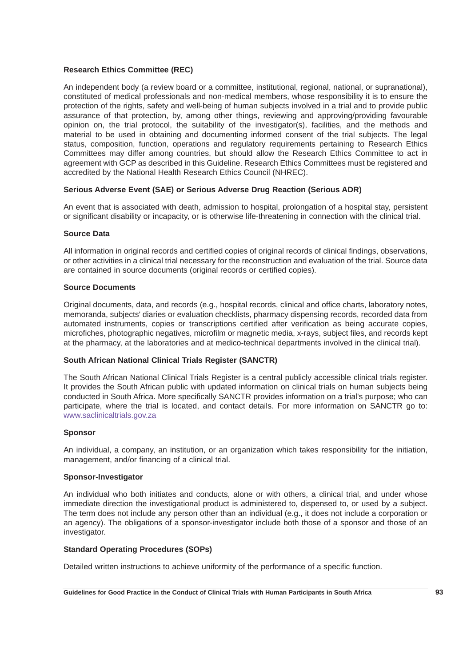## **Research Ethics Committee (REC)**

An independent body (a review board or a committee, institutional, regional, national, or supranational), constituted of medical professionals and non-medical members, whose responsibility it is to ensure the protection of the rights, safety and well-being of human subjects involved in a trial and to provide public assurance of that protection, by, among other things, reviewing and approving/providing favourable opinion on, the trial protocol, the suitability of the investigator(s), facilities, and the methods and material to be used in obtaining and documenting informed consent of the trial subjects. The legal status, composition, function, operations and regulatory requirements pertaining to Research Ethics Committees may differ among countries, but should allow the Research Ethics Committee to act in agreement with GCP as described in this Guideline. Research Ethics Committees must be registered and accredited by the National Health Research Ethics Council (NHREC).

# **Serious Adverse Event (SAE) or Serious Adverse Drug Reaction (Serious ADR)**

An event that is associated with death, admission to hospital, prolongation of a hospital stay, persistent or significant disability or incapacity, or is otherwise life-threatening in connection with the clinical trial.

## **Source Data**

All information in original records and certified copies of original records of clinical findings, observations, or other activities in a clinical trial necessary for the reconstruction and evaluation of the trial. Source data are contained in source documents (original records or certified copies).

## **Source Documents**

Original documents, data, and records (e.g., hospital records, clinical and office charts, laboratory notes, memoranda, subjects' diaries or evaluation checklists, pharmacy dispensing records, recorded data from automated instruments, copies or transcriptions certified after verification as being accurate copies, microfiches, photographic negatives, microfilm or magnetic media, x-rays, subject files, and records kept at the pharmacy, at the laboratories and at medico-technical departments involved in the clinical trial).

# **South African National Clinical Trials Register (SANCTR)**

The South African National Clinical Trials Register is a central publicly accessible clinical trials register. It provides the South African public with updated information on clinical trials on human subjects being conducted in South Africa. More specifically SANCTR provides information on a trial's purpose; who can participate, where the trial is located, and contact details. For more information on SANCTR go to: www.saclinicaltrials.gov.za

## **Sponsor**

An individual, a company, an institution, or an organization which takes responsibility for the initiation, management, and/or financing of a clinical trial.

## **Sponsor-Investigator**

An individual who both initiates and conducts, alone or with others, a clinical trial, and under whose immediate direction the investigational product is administered to, dispensed to, or used by a subject. The term does not include any person other than an individual (e.g., it does not include a corporation or an agency). The obligations of a sponsor-investigator include both those of a sponsor and those of an investigator.

# **Standard Operating Procedures (SOPs)**

Detailed written instructions to achieve uniformity of the performance of a specific function.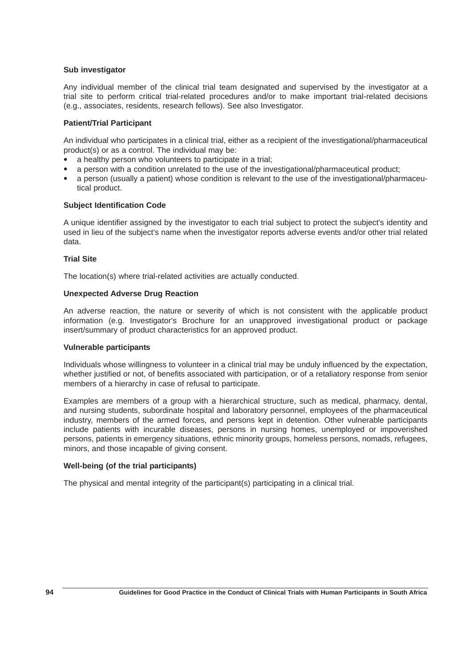## **Sub investigator**

Any individual member of the clinical trial team designated and supervised by the investigator at a trial site to perform critical trial-related procedures and/or to make important trial-related decisions (e.g., associates, residents, research fellows). See also Investigator.

## **Patient/Trial Participant**

An individual who participates in a clinical trial, either as a recipient of the investigational/pharmaceutical product(s) or as a control. The individual may be:

- a healthy person who volunteers to participate in a trial;
- a person with a condition unrelated to the use of the investigational/pharmaceutical product;
- a person (usually a patient) whose condition is relevant to the use of the investigational/pharmaceutical product.

## **Subject Identification Code**

A unique identifier assigned by the investigator to each trial subject to protect the subject's identity and used in lieu of the subject's name when the investigator reports adverse events and/or other trial related data.

## **Trial Site**

The location(s) where trial-related activities are actually conducted.

## **Unexpected Adverse Drug Reaction**

An adverse reaction, the nature or severity of which is not consistent with the applicable product information (e.g. Investigator's Brochure for an unapproved investigational product or package insert/summary of product characteristics for an approved product.

## **Vulnerable participants**

Individuals whose willingness to volunteer in a clinical trial may be unduly influenced by the expectation, whether justified or not, of benefits associated with participation, or of a retaliatory response from senior members of a hierarchy in case of refusal to participate.

Examples are members of a group with a hierarchical structure, such as medical, pharmacy, dental, and nursing students, subordinate hospital and laboratory personnel, employees of the pharmaceutical industry, members of the armed forces, and persons kept in detention. Other vulnerable participants include patients with incurable diseases, persons in nursing homes, unemployed or impoverished persons, patients in emergency situations, ethnic minority groups, homeless persons, nomads, refugees, minors, and those incapable of giving consent.

## **Well-being (of the trial participants)**

The physical and mental integrity of the participant(s) participating in a clinical trial.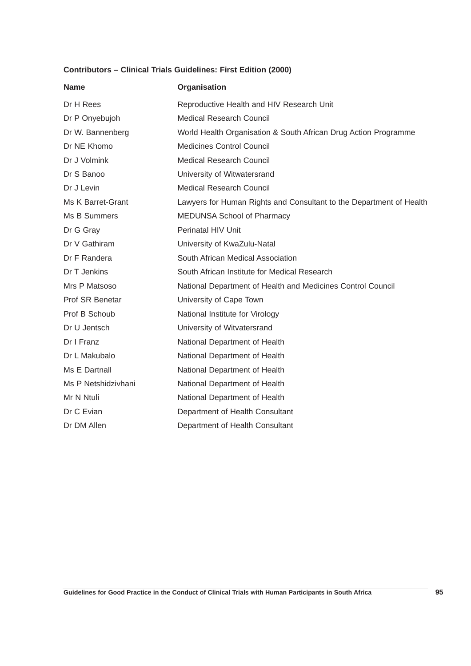# **Contributors – Clinical Trials Guidelines: First Edition (2000)**

| <b>Name</b>         | Organisation                                                        |
|---------------------|---------------------------------------------------------------------|
| Dr H Rees           | Reproductive Health and HIV Research Unit                           |
| Dr P Onyebujoh      | <b>Medical Research Council</b>                                     |
| Dr W. Bannenberg    | World Health Organisation & South African Drug Action Programme     |
| Dr NE Khomo         | <b>Medicines Control Council</b>                                    |
| Dr J Volmink        | <b>Medical Research Council</b>                                     |
| Dr S Banoo          | University of Witwatersrand                                         |
| Dr J Levin          | <b>Medical Research Council</b>                                     |
| Ms K Barret-Grant   | Lawyers for Human Rights and Consultant to the Department of Health |
| Ms B Summers        | <b>MEDUNSA School of Pharmacy</b>                                   |
| Dr G Gray           | Perinatal HIV Unit                                                  |
| Dr V Gathiram       | University of KwaZulu-Natal                                         |
| Dr F Randera        | South African Medical Association                                   |
| Dr T Jenkins        | South African Institute for Medical Research                        |
| Mrs P Matsoso       | National Department of Health and Medicines Control Council         |
| Prof SR Benetar     | University of Cape Town                                             |
| Prof B Schoub       | National Institute for Virology                                     |
| Dr U Jentsch        | University of Witvatersrand                                         |
| Dr I Franz          | National Department of Health                                       |
| Dr L Makubalo       | National Department of Health                                       |
| Ms E Dartnall       | National Department of Health                                       |
| Ms P Netshidzivhani | National Department of Health                                       |
| Mr N Ntuli          | National Department of Health                                       |
| Dr C Evian          | Department of Health Consultant                                     |
| Dr DM Allen         | Department of Health Consultant                                     |